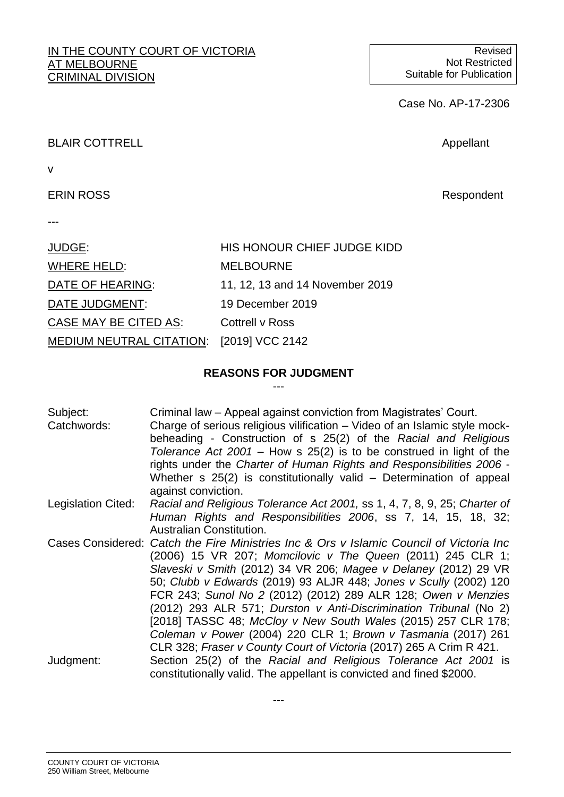#### IN THE COUNTY COURT OF VICTORIA AT MELBOURNE CRIMINAL DIVISION

Case No. AP-17-2306

# BLAIR COTTRELL **Appellant**

v

# ERIN ROSS **Respondent**

---

| JUDGE:                                   | HIS HONOUR CHIEF JUDGE KIDD     |
|------------------------------------------|---------------------------------|
| WHERE HELD:                              | <b>MELBOURNE</b>                |
| DATE OF HEARING:                         | 11, 12, 13 and 14 November 2019 |
| DATE JUDGMENT:                           | 19 December 2019                |
| CASE MAY BE CITED AS:                    | Cottrell v Ross                 |
| MEDIUM NEUTRAL CITATION: [2019] VCC 2142 |                                 |

#### **REASONS FOR JUDGMENT** ---

| Subject:<br>Catchwords: | Criminal law – Appeal against conviction from Magistrates' Court.<br>Charge of serious religious vilification – Video of an Islamic style mock-<br>beheading - Construction of s 25(2) of the Racial and Religious<br>Tolerance Act $2001$ – How s $25(2)$ is to be construed in light of the<br>rights under the Charter of Human Rights and Responsibilities 2006 -<br>Whether s 25(2) is constitutionally valid – Determination of appeal<br>against conviction. |
|-------------------------|---------------------------------------------------------------------------------------------------------------------------------------------------------------------------------------------------------------------------------------------------------------------------------------------------------------------------------------------------------------------------------------------------------------------------------------------------------------------|
| Legislation Cited:      | Racial and Religious Tolerance Act 2001, ss 1, 4, 7, 8, 9, 25; Charter of                                                                                                                                                                                                                                                                                                                                                                                           |
|                         | Human Rights and Responsibilities 2006, ss 7, 14, 15, 18, 32;<br><b>Australian Constitution.</b>                                                                                                                                                                                                                                                                                                                                                                    |
|                         | Cases Considered: Catch the Fire Ministries Inc & Ors v Islamic Council of Victoria Inc                                                                                                                                                                                                                                                                                                                                                                             |
|                         |                                                                                                                                                                                                                                                                                                                                                                                                                                                                     |
|                         | (2006) 15 VR 207; Momcilovic v The Queen (2011) 245 CLR 1;                                                                                                                                                                                                                                                                                                                                                                                                          |
|                         | Slaveski v Smith (2012) 34 VR 206; Magee v Delaney (2012) 29 VR                                                                                                                                                                                                                                                                                                                                                                                                     |
|                         | 50; Clubb v Edwards (2019) 93 ALJR 448; Jones v Scully (2002) 120                                                                                                                                                                                                                                                                                                                                                                                                   |
|                         | FCR 243; Sunol No 2 (2012) (2012) 289 ALR 128; Owen v Menzies                                                                                                                                                                                                                                                                                                                                                                                                       |
|                         | (2012) 293 ALR 571; Durston v Anti-Discrimination Tribunal (No 2)                                                                                                                                                                                                                                                                                                                                                                                                   |
|                         | [2018] TASSC 48; McCloy v New South Wales (2015) 257 CLR 178;                                                                                                                                                                                                                                                                                                                                                                                                       |
|                         | Coleman v Power (2004) 220 CLR 1; Brown v Tasmania (2017) 261                                                                                                                                                                                                                                                                                                                                                                                                       |
|                         | CLR 328; Fraser v County Court of Victoria (2017) 265 A Crim R 421.                                                                                                                                                                                                                                                                                                                                                                                                 |
| Judgment:               | Section 25(2) of the Racial and Religious Tolerance Act 2001 is                                                                                                                                                                                                                                                                                                                                                                                                     |
|                         | constitutionally valid. The appellant is convicted and fined \$2000.                                                                                                                                                                                                                                                                                                                                                                                                |

---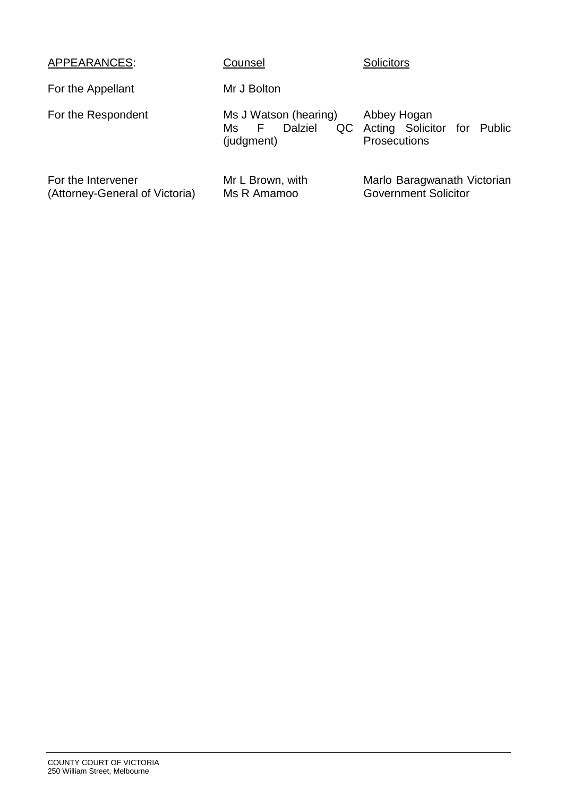| APPEARANCES:                                         | Counsel                                                      | <b>Solicitors</b>                                                 |
|------------------------------------------------------|--------------------------------------------------------------|-------------------------------------------------------------------|
| For the Appellant                                    | Mr J Bolton                                                  |                                                                   |
| For the Respondent                                   | Ms J Watson (hearing)<br>Dalziel<br>QC<br>Ms F<br>(judgment) | Abbey Hogan<br>Acting Solicitor for Public<br><b>Prosecutions</b> |
| For the Intervener<br>(Attorney-General of Victoria) | Mr L Brown, with<br>Ms R Amamoo                              | Marlo Baragwanath Victorian<br><b>Government Solicitor</b>        |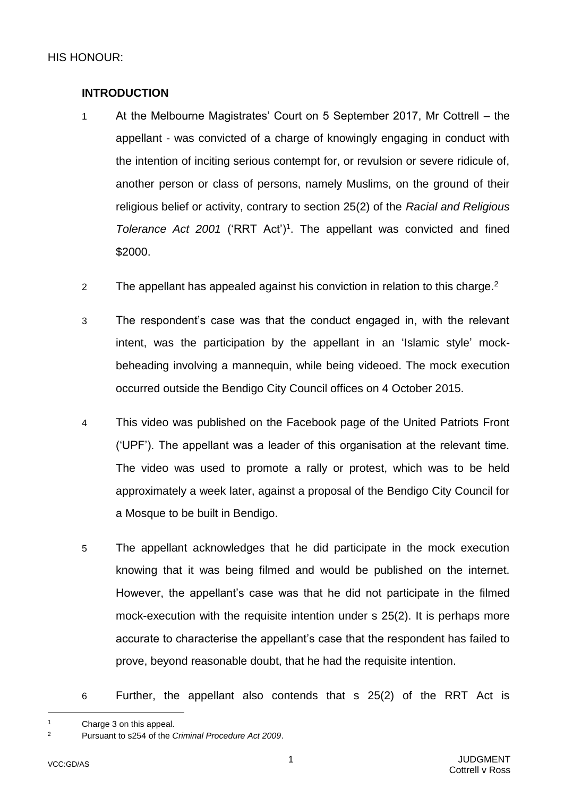# <span id="page-3-0"></span>**INTRODUCTION**

- 1 At the Melbourne Magistrates' Court on 5 September 2017, Mr Cottrell the appellant - was convicted of a charge of knowingly engaging in conduct with the intention of inciting serious contempt for, or revulsion or severe ridicule of, another person or class of persons, namely Muslims, on the ground of their religious belief or activity, contrary to section 25(2) of the *Racial and Religious*  Tolerance Act 2001 ('RRT Act')<sup>1</sup>. The appellant was convicted and fined \$2000.
- 2 The appellant has appealed against his conviction in relation to this charge.<sup>2</sup>
- 3 The respondent's case was that the conduct engaged in, with the relevant intent, was the participation by the appellant in an 'Islamic style' mockbeheading involving a mannequin, while being videoed. The mock execution occurred outside the Bendigo City Council offices on 4 October 2015.
- 4 This video was published on the Facebook page of the United Patriots Front ('UPF'). The appellant was a leader of this organisation at the relevant time. The video was used to promote a rally or protest, which was to be held approximately a week later, against a proposal of the Bendigo City Council for a Mosque to be built in Bendigo.
- 5 The appellant acknowledges that he did participate in the mock execution knowing that it was being filmed and would be published on the internet. However, the appellant's case was that he did not participate in the filmed mock-execution with the requisite intention under s 25(2). It is perhaps more accurate to characterise the appellant's case that the respondent has failed to prove, beyond reasonable doubt, that he had the requisite intention.
- 6 Further, the appellant also contends that s 25(2) of the RRT Act is

<sup>&</sup>lt;sup>1</sup> Charge 3 on this appeal.<br><sup>2</sup> Pursuant to s<sup>254</sup> of the 0

<sup>2</sup> Pursuant to s254 of the *Criminal Procedure Act 2009*.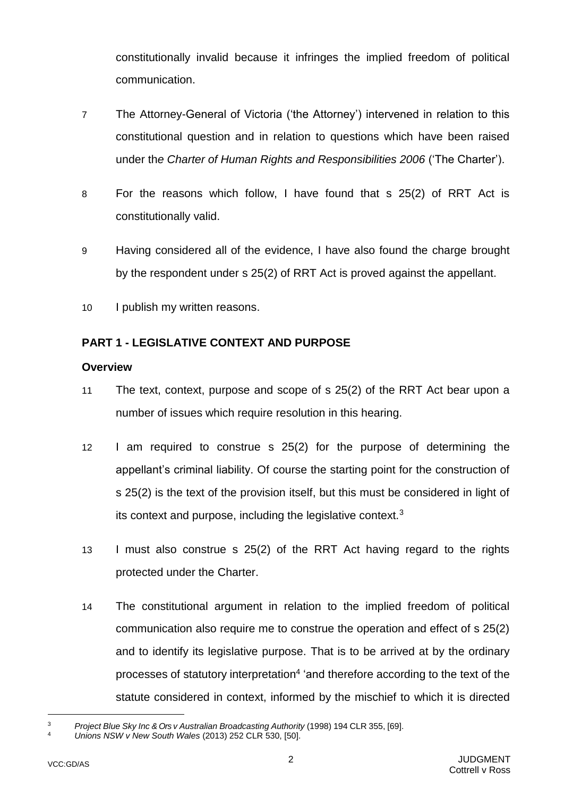constitutionally invalid because it infringes the implied freedom of political communication.

- 7 The Attorney-General of Victoria ('the Attorney') intervened in relation to this constitutional question and in relation to questions which have been raised under th*e Charter of Human Rights and Responsibilities 2006* ('The Charter').
- 8 For the reasons which follow, I have found that s 25(2) of RRT Act is constitutionally valid.
- 9 Having considered all of the evidence, I have also found the charge brought by the respondent under s 25(2) of RRT Act is proved against the appellant.
- 10 I publish my written reasons.

# <span id="page-4-0"></span>**PART 1 - LEGISLATIVE CONTEXT AND PURPOSE**

# <span id="page-4-1"></span>**Overview**

- <span id="page-4-2"></span>11 The text, context, purpose and scope of s 25(2) of the RRT Act bear upon a number of issues which require resolution in this hearing.
- 12 I am required to construe s 25(2) for the purpose of determining the appellant's criminal liability. Of course the starting point for the construction of s 25(2) is the text of the provision itself, but this must be considered in light of its context and purpose, including the legislative context. $3$
- 13 I must also construe s 25(2) of the RRT Act having regard to the rights protected under the Charter.
- 14 The constitutional argument in relation to the implied freedom of political communication also require me to construe the operation and effect of s 25(2) and to identify its legislative purpose. That is to be arrived at by the ordinary processes of statutory interpretation<sup>4</sup> 'and therefore according to the text of the statute considered in context, informed by the mischief to which it is directed

<sup>3</sup> *Project Blue Sky Inc & Ors v Australian Broadcasting Authority* (1998) 194 CLR 355, [69].

<sup>4</sup> *Unions NSW v New South Wales* (2013) 252 CLR 530, [50].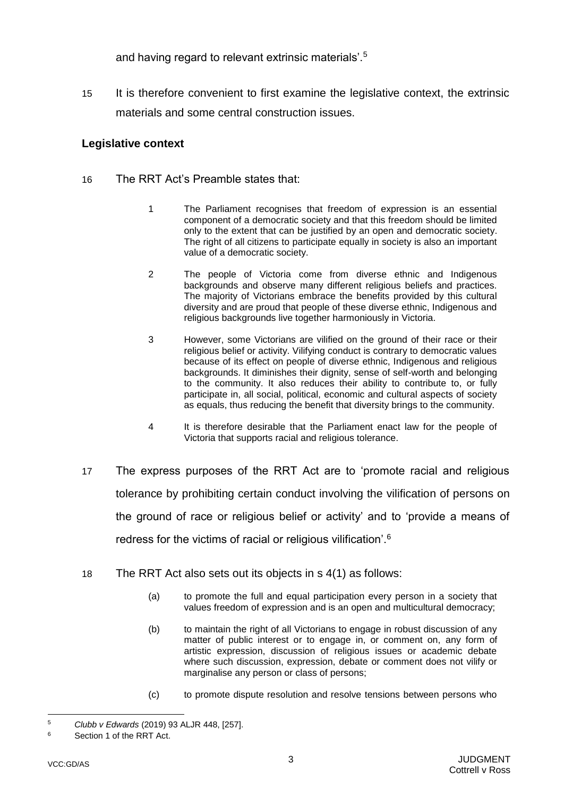and having regard to relevant extrinsic materials'.<sup>5</sup>

15 It is therefore convenient to first examine the legislative context, the extrinsic materials and some central construction issues.

# <span id="page-5-0"></span>**Legislative context**

- 16 The RRT Act's Preamble states that:
	- 1 The Parliament recognises that freedom of expression is an essential component of a democratic society and that this freedom should be limited only to the extent that can be justified by an open and democratic society. The right of all citizens to participate equally in society is also an important value of a democratic society.
	- 2 The people of Victoria come from diverse ethnic and Indigenous backgrounds and observe many different religious beliefs and practices. The majority of Victorians embrace the benefits provided by this cultural diversity and are proud that people of these diverse ethnic, Indigenous and religious backgrounds live together harmoniously in Victoria.
	- 3 However, some Victorians are vilified on the ground of their race or their religious belief or activity. Vilifying conduct is contrary to democratic values because of its effect on people of diverse ethnic, Indigenous and religious backgrounds. It diminishes their dignity, sense of self-worth and belonging to the community. It also reduces their ability to contribute to, or fully participate in, all social, political, economic and cultural aspects of society as equals, thus reducing the benefit that diversity brings to the community.
	- 4 It is therefore desirable that the Parliament enact law for the people of Victoria that supports racial and religious tolerance.
- 17 The express purposes of the RRT Act are to 'promote racial and religious tolerance by prohibiting certain conduct involving the vilification of persons on the ground of race or religious belief or activity' and to 'provide a means of redress for the victims of racial or religious vilification'.<sup>6</sup>
- 18 The RRT Act also sets out its objects in s 4(1) as follows:
	- (a) to promote the full and equal participation every person in a society that values freedom of expression and is an open and multicultural democracy;
	- (b) to maintain the right of all Victorians to engage in robust discussion of any matter of public interest or to engage in, or comment on, any form of artistic expression, discussion of religious issues or academic debate where such discussion, expression, debate or comment does not vilify or marginalise any person or class of persons;
	- (c) to promote dispute resolution and resolve tensions between persons who

l <sup>5</sup> *Clubb v Edwards* (2019) 93 ALJR 448, [257].

<sup>6</sup> Section 1 of the RRT Act.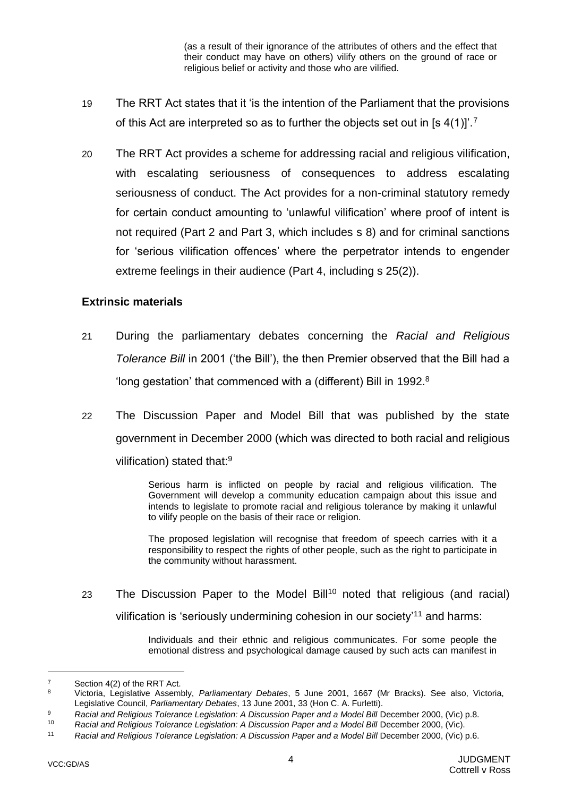(as a result of their ignorance of the attributes of others and the effect that their conduct may have on others) vilify others on the ground of race or religious belief or activity and those who are vilified.

- 19 The RRT Act states that it 'is the intention of the Parliament that the provisions of this Act are interpreted so as to further the objects set out in [s  $4(1)$ ]'.<sup>7</sup>
- 20 The RRT Act provides a scheme for addressing racial and religious vilification, with escalating seriousness of consequences to address escalating seriousness of conduct. The Act provides for a non-criminal statutory remedy for certain conduct amounting to 'unlawful vilification' where proof of intent is not required (Part 2 and Part 3, which includes s 8) and for criminal sanctions for 'serious vilification offences' where the perpetrator intends to engender extreme feelings in their audience (Part 4, including s 25(2)).

#### <span id="page-6-0"></span>**Extrinsic materials**

- 21 During the parliamentary debates concerning the *Racial and Religious Tolerance Bill* in 2001 ('the Bill'), the then Premier observed that the Bill had a 'long gestation' that commenced with a (different) Bill in 1992.<sup>8</sup>
- 22 The Discussion Paper and Model Bill that was published by the state government in December 2000 (which was directed to both racial and religious vilification) stated that:<sup>9</sup>

Serious harm is inflicted on people by racial and religious vilification. The Government will develop a community education campaign about this issue and intends to legislate to promote racial and religious tolerance by making it unlawful to vilify people on the basis of their race or religion.

The proposed legislation will recognise that freedom of speech carries with it a responsibility to respect the rights of other people, such as the right to participate in the community without harassment.

23 The Discussion Paper to the Model Bill<sup>10</sup> noted that religious (and racial) vilification is 'seriously undermining cohesion in our society'<sup>11</sup> and harms:

> Individuals and their ethnic and religious communicates. For some people the emotional distress and psychological damage caused by such acts can manifest in

 $7 \t\text{Section 4(2) of the RRT Act.}$ 

<sup>8</sup> Victoria, Legislative Assembly, *Parliamentary Debates*, 5 June 2001, 1667 (Mr Bracks). See also, Victoria, Legislative Council, *Parliamentary Debates*, 13 June 2001, 33 (Hon C. A. Furletti).

<sup>9</sup> **Racial and Religious Tolerance Legislation: A Discussion Paper and a Model Bill December 2000, (Vic) p.8.**<br>10 **Pacial and Poligious Tolerance Logislation: A Discussion Paper and a Model Bill December 2000, (Vic)** 

<sup>10</sup> *Racial and Religious Tolerance Legislation: A Discussion Paper and a Model Bill* December 2000, (Vic).

<sup>&</sup>lt;sup>11</sup> *Racial and Religious Tolerance Legislation: A Discussion Paper and a Model Bill December 2000, (Vic) p.6.*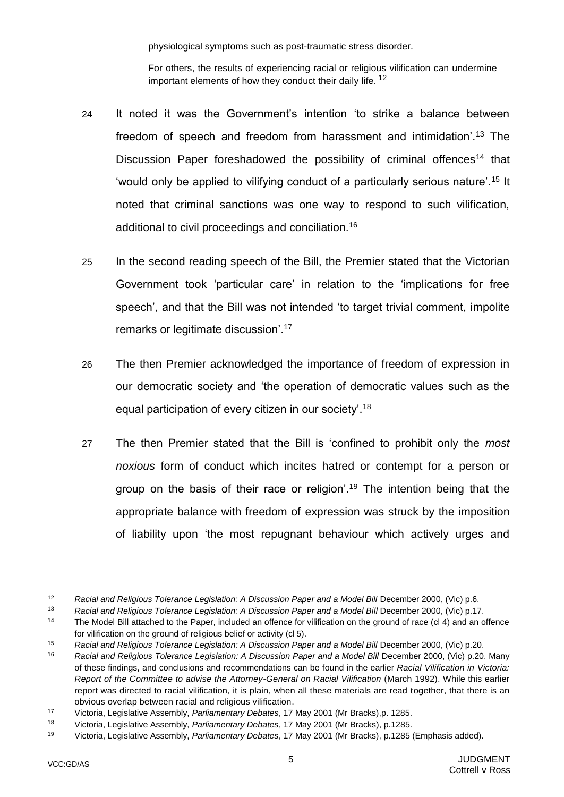physiological symptoms such as post-traumatic stress disorder.

For others, the results of experiencing racial or religious vilification can undermine important elements of how they conduct their daily life. <sup>12</sup>

- 24 It noted it was the Government's intention 'to strike a balance between freedom of speech and freedom from harassment and intimidation'.<sup>13</sup> The Discussion Paper foreshadowed the possibility of criminal offences<sup>14</sup> that 'would only be applied to vilifying conduct of a particularly serious nature'.<sup>15</sup> It noted that criminal sanctions was one way to respond to such vilification, additional to civil proceedings and conciliation.<sup>16</sup>
- 25 In the second reading speech of the Bill, the Premier stated that the Victorian Government took 'particular care' in relation to the 'implications for free speech', and that the Bill was not intended 'to target trivial comment, impolite remarks or legitimate discussion'.<sup>17</sup>
- 26 The then Premier acknowledged the importance of freedom of expression in our democratic society and 'the operation of democratic values such as the equal participation of every citizen in our society'.<sup>18</sup>
- 27 The then Premier stated that the Bill is 'confined to prohibit only the *most noxious* form of conduct which incites hatred or contempt for a person or group on the basis of their race or religion<sup>'.19</sup> The intention being that the appropriate balance with freedom of expression was struck by the imposition of liability upon 'the most repugnant behaviour which actively urges and

<sup>12</sup> **Racial and Religious Tolerance Legislation: A Discussion Paper and a Model Bill December 2000, (Vic) p.6.**<br>13 **Pacial and Religious Tolerance Legislation: A Discussion Paper and a Model Bill December 2000, (Vic) p.17** 

Racial and Religious Tolerance Legislation: A Discussion Paper and a Model Bill December 2000, (Vic) p.17.

<sup>14</sup> The Model Bill attached to the Paper, included an offence for vilification on the ground of race (cl 4) and an offence for vilification on the ground of religious belief or activity (cl 5).

<sup>&</sup>lt;sup>15</sup> Racial and Religious Tolerance Legislation: A Discussion Paper and a Model Bill December 2000, (Vic) p.20.

<sup>&</sup>lt;sup>16</sup> Racial and Religious Tolerance Legislation: A Discussion Paper and a Model Bill December 2000, (Vic) p.20. Many of these findings, and conclusions and recommendations can be found in the earlier *Racial Vilification in Victoria: Report of the Committee to advise the Attorney-General on Racial Vilification* (March 1992). While this earlier report was directed to racial vilification, it is plain, when all these materials are read together, that there is an obvious overlap between racial and religious vilification.

<sup>17</sup> Victoria, Legislative Assembly, *Parliamentary Debates*, 17 May 2001 (Mr Bracks),p. 1285.

<sup>18</sup> Victoria, Legislative Assembly, *Parliamentary Debates*, 17 May 2001 (Mr Bracks), p.1285.

<sup>19</sup> Victoria, Legislative Assembly, *Parliamentary Debates*, 17 May 2001 (Mr Bracks), p.1285 (Emphasis added).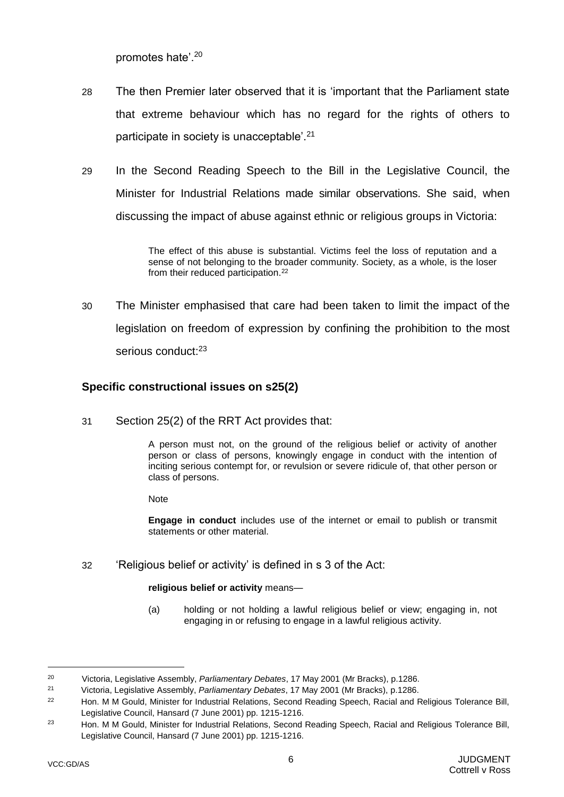promotes hate'.<sup>20</sup>

- 28 The then Premier later observed that it is 'important that the Parliament state that extreme behaviour which has no regard for the rights of others to participate in society is unacceptable<sup>'.21</sup>
- 29 In the Second Reading Speech to the Bill in the Legislative Council, the Minister for Industrial Relations made similar observations. She said, when discussing the impact of abuse against ethnic or religious groups in Victoria:

The effect of this abuse is substantial. Victims feel the loss of reputation and a sense of not belonging to the broader community. Society, as a whole, is the loser from their reduced participation.<sup>22</sup>

30 The Minister emphasised that care had been taken to limit the impact of the legislation on freedom of expression by confining the prohibition to the most serious conduct:<sup>23</sup>

## <span id="page-8-0"></span>**Specific constructional issues on s25(2)**

31 Section 25(2) of the RRT Act provides that:

A person must not, on the ground of the religious belief or activity of another person or class of persons, knowingly engage in conduct with the intention of inciting serious contempt for, or revulsion or severe ridicule of, that other person or class of persons.

Note

**Engage in conduct** includes use of the internet or email to publish or transmit statements or other material.

32 'Religious belief or activity' is defined in s 3 of the Act:

#### **religious belief or activity** means—

(a) holding or not holding a lawful religious belief or view; engaging in, not engaging in or refusing to engage in a lawful religious activity.

<sup>20</sup> Victoria, Legislative Assembly, *Parliamentary Debates*, 17 May 2001 (Mr Bracks), p.1286.

<sup>21</sup> Victoria, Legislative Assembly, *Parliamentary Debates*, 17 May 2001 (Mr Bracks), p.1286.

<sup>&</sup>lt;sup>22</sup> Hon. M M Gould, Minister for Industrial Relations, Second Reading Speech, Racial and Religious Tolerance Bill, Legislative Council, Hansard (7 June 2001) pp. 1215-1216.

<sup>23</sup> Hon. M M Gould, Minister for Industrial Relations, Second Reading Speech, Racial and Religious Tolerance Bill, Legislative Council, Hansard (7 June 2001) pp. 1215-1216.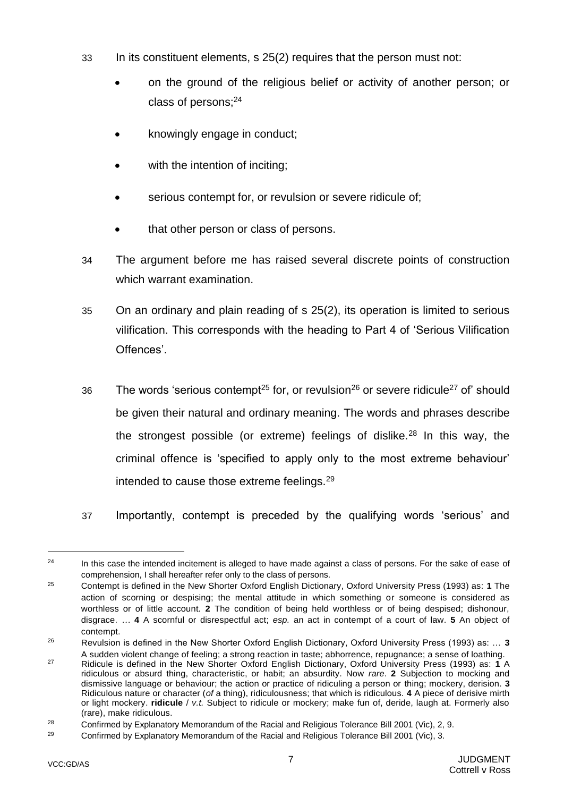- 33 In its constituent elements, s 25(2) requires that the person must not:
	- on the ground of the religious belief or activity of another person; or class of persons;<sup>24</sup>
	- knowingly engage in conduct;
	- with the intention of inciting;
	- serious contempt for, or revulsion or severe ridicule of;
	- that other person or class of persons.
- <span id="page-9-1"></span>34 The argument before me has raised several discrete points of construction which warrant examination.
- <span id="page-9-0"></span>35 On an ordinary and plain reading of s 25(2), its operation is limited to serious vilification. This corresponds with the heading to Part 4 of 'Serious Vilification Offences'.
- 36 The words 'serious contempt<sup>25</sup> for, or revulsion<sup>26</sup> or severe ridicule<sup>27</sup> of' should be given their natural and ordinary meaning. The words and phrases describe the strongest possible (or extreme) feelings of dislike.<sup>28</sup> In this way, the criminal offence is 'specified to apply only to the most extreme behaviour' intended to cause those extreme feelings.<sup>29</sup>
- 37 Importantly, contempt is preceded by the qualifying words 'serious' and

<sup>&</sup>lt;sup>24</sup> In this case the intended incitement is alleged to have made against a class of persons. For the sake of ease of comprehension, I shall hereafter refer only to the class of persons.

<sup>25</sup> Contempt is defined in the New Shorter Oxford English Dictionary, Oxford University Press (1993) as: **1** The action of scorning or despising; the mental attitude in which something or someone is considered as worthless or of little account. **2** The condition of being held worthless or of being despised; dishonour, disgrace. *…* **4** A scornful or disrespectful act; *esp.* an act in contempt of a court of law. **5** An object of contempt.

<sup>26</sup> Revulsion is defined in the New Shorter Oxford English Dictionary, Oxford University Press (1993) as: … **3**  A sudden violent change of feeling; a strong reaction in taste; abhorrence, repugnance; a sense of loathing.

<sup>27</sup> Ridicule is defined in the New Shorter Oxford English Dictionary, Oxford University Press (1993) as: **1** A ridiculous or absurd thing, characteristic, or habit; an absurdity. Now *rare*. **2** Subjection to mocking and dismissive language or behaviour; the action or practice of ridiculing a person or thing; mockery, derision. **3**  Ridiculous nature or character (*of* a thing), ridiculousness; that which is ridiculous. **4** A piece of derisive mirth or light mockery. **ridicule** / *v.t.* Subject to ridicule or mockery; make fun of, deride, laugh at. Formerly also (rare), make ridiculous.

<sup>&</sup>lt;sup>28</sup> Confirmed by Explanatory Memorandum of the Racial and Religious Tolerance Bill 2001 (Vic), 2, 9.

<sup>&</sup>lt;sup>29</sup> Confirmed by Explanatory Memorandum of the Racial and Religious Tolerance Bill 2001 (Vic), 3.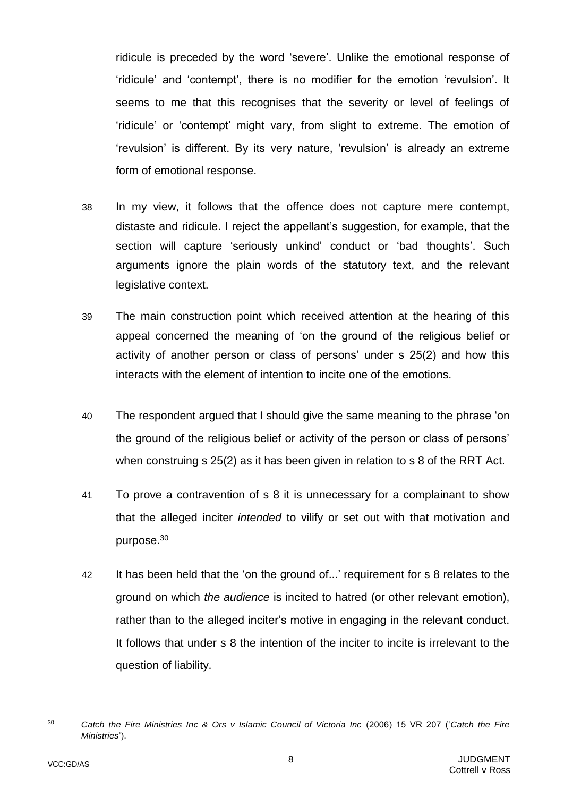ridicule is preceded by the word 'severe'. Unlike the emotional response of 'ridicule' and 'contempt', there is no modifier for the emotion 'revulsion'. It seems to me that this recognises that the severity or level of feelings of 'ridicule' or 'contempt' might vary, from slight to extreme. The emotion of 'revulsion' is different. By its very nature, 'revulsion' is already an extreme form of emotional response.

- <span id="page-10-0"></span>38 In my view, it follows that the offence does not capture mere contempt, distaste and ridicule. I reject the appellant's suggestion, for example, that the section will capture 'seriously unkind' conduct or 'bad thoughts'. Such arguments ignore the plain words of the statutory text, and the relevant legislative context.
- 39 The main construction point which received attention at the hearing of this appeal concerned the meaning of 'on the ground of the religious belief or activity of another person or class of persons' under s 25(2) and how this interacts with the element of intention to incite one of the emotions.
- 40 The respondent argued that I should give the same meaning to the phrase 'on the ground of the religious belief or activity of the person or class of persons' when construing s 25(2) as it has been given in relation to s 8 of the RRT Act.
- 41 To prove a contravention of s 8 it is unnecessary for a complainant to show that the alleged inciter *intended* to vilify or set out with that motivation and purpose.<sup>30</sup>
- 42 It has been held that the 'on the ground of...' requirement for s 8 relates to the ground on which *the audience* is incited to hatred (or other relevant emotion), rather than to the alleged inciter's motive in engaging in the relevant conduct. It follows that under s 8 the intention of the inciter to incite is irrelevant to the question of liability.

l

<sup>30</sup> *Catch the Fire Ministries Inc & Ors v Islamic Council of Victoria Inc* (2006) 15 VR 207 ('*Catch the Fire Ministries*').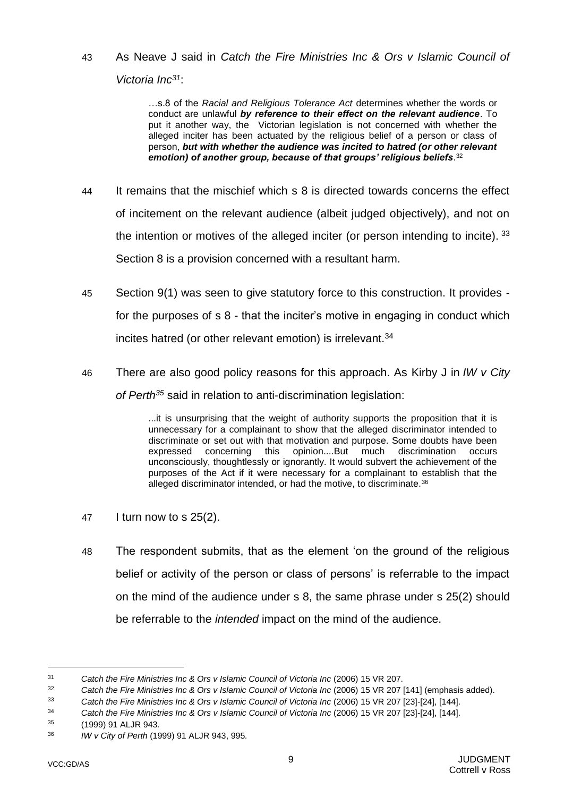43 As Neave J said in *Catch the Fire Ministries Inc & Ors v Islamic Council of Victoria Inc<sup>31</sup>*:

> …s.8 of the *Racial and Religious Tolerance Act* determines whether the words or conduct are unlawful *by reference to their effect on the relevant audience*. To put it another way, the Victorian legislation is not concerned with whether the alleged inciter has been actuated by the religious belief of a person or class of person, *but with whether the audience was incited to hatred (or other relevant emotion) of another group, because of that groups' religious beliefs*. 32

- 44 It remains that the mischief which s 8 is directed towards concerns the effect of incitement on the relevant audience (albeit judged objectively), and not on the intention or motives of the alleged inciter (or person intending to incite). 33 Section 8 is a provision concerned with a resultant harm.
- 45 Section 9(1) was seen to give statutory force to this construction. It provides for the purposes of s 8 - that the inciter's motive in engaging in conduct which incites hatred (or other relevant emotion) is irrelevant.<sup>34</sup>
- 46 There are also good policy reasons for this approach. As Kirby J in *IW v City of Perth<sup>35</sup>* said in relation to anti-discrimination legislation:

...it is unsurprising that the weight of authority supports the proposition that it is unnecessary for a complainant to show that the alleged discriminator intended to discriminate or set out with that motivation and purpose. Some doubts have been expressed concerning this opinion....But much discrimination occurs unconsciously, thoughtlessly or ignorantly. It would subvert the achievement of the purposes of the Act if it were necessary for a complainant to establish that the alleged discriminator intended, or had the motive, to discriminate.<sup>36</sup>

- 47 I turn now to s 25(2).
- 48 The respondent submits, that as the element 'on the ground of the religious belief or activity of the person or class of persons' is referrable to the impact on the mind of the audience under s 8, the same phrase under s 25(2) should be referrable to the *intended* impact on the mind of the audience.

<sup>31</sup> *Catch the Fire Ministries Inc & Ors v Islamic Council of Victoria Inc* (2006) 15 VR 207.

<sup>32</sup> *Catch the Fire Ministries Inc & Ors v Islamic Council of Victoria Inc* (2006) 15 VR 207 [141] (emphasis added).

<sup>33</sup> *Catch the Fire Ministries Inc & Ors v Islamic Council of Victoria Inc* (2006) 15 VR 207 [23]-[24], [144].

<sup>34</sup> *Catch the Fire Ministries Inc & Ors v Islamic Council of Victoria Inc* (2006) 15 VR 207 [23]-[24], [144].

<sup>35</sup> [\(1999\) 91 ALJR 943](https://www.austlii.edu.au/cgi-bin/LawCite?cit=%281999%29%2091%20ALJR%20943)*.*

<sup>36</sup> *IW v City of Perth* [\(1999\) 91 ALJR 943,](https://www.austlii.edu.au/cgi-bin/LawCite?cit=%281999%29%2091%20ALJR%20943) 995*.*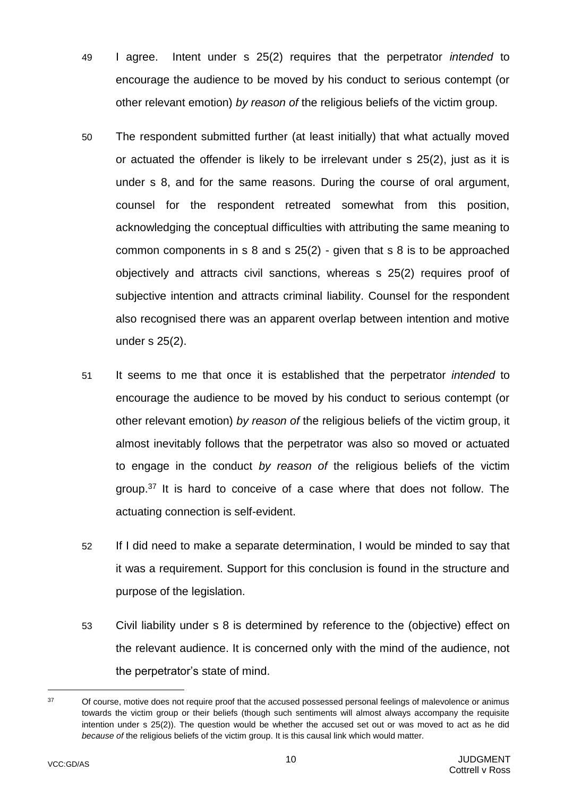- 49 I agree. Intent under s 25(2) requires that the perpetrator *intended* to encourage the audience to be moved by his conduct to serious contempt (or other relevant emotion) *by reason of* the religious beliefs of the victim group.
- 50 The respondent submitted further (at least initially) that what actually moved or actuated the offender is likely to be irrelevant under s 25(2), just as it is under s 8, and for the same reasons. During the course of oral argument, counsel for the respondent retreated somewhat from this position, acknowledging the conceptual difficulties with attributing the same meaning to common components in s 8 and s 25(2) - given that s 8 is to be approached objectively and attracts civil sanctions, whereas s 25(2) requires proof of subjective intention and attracts criminal liability. Counsel for the respondent also recognised there was an apparent overlap between intention and motive under s 25(2).
- 51 It seems to me that once it is established that the perpetrator *intended* to encourage the audience to be moved by his conduct to serious contempt (or other relevant emotion) *by reason of* the religious beliefs of the victim group, it almost inevitably follows that the perpetrator was also so moved or actuated to engage in the conduct *by reason of* the religious beliefs of the victim group.<sup>37</sup> It is hard to conceive of a case where that does not follow. The actuating connection is self-evident.
- 52 If I did need to make a separate determination, I would be minded to say that it was a requirement. Support for this conclusion is found in the structure and purpose of the legislation.
- 53 Civil liability under s 8 is determined by reference to the (objective) effect on the relevant audience. It is concerned only with the mind of the audience, not the perpetrator's state of mind.

<sup>&</sup>lt;sup>37</sup> Of course, motive does not require proof that the accused possessed personal feelings of malevolence or animus towards the victim group or their beliefs (though such sentiments will almost always accompany the requisite intention under s 25(2)). The question would be whether the accused set out or was moved to act as he did *because of* the religious beliefs of the victim group. It is this causal link which would matter.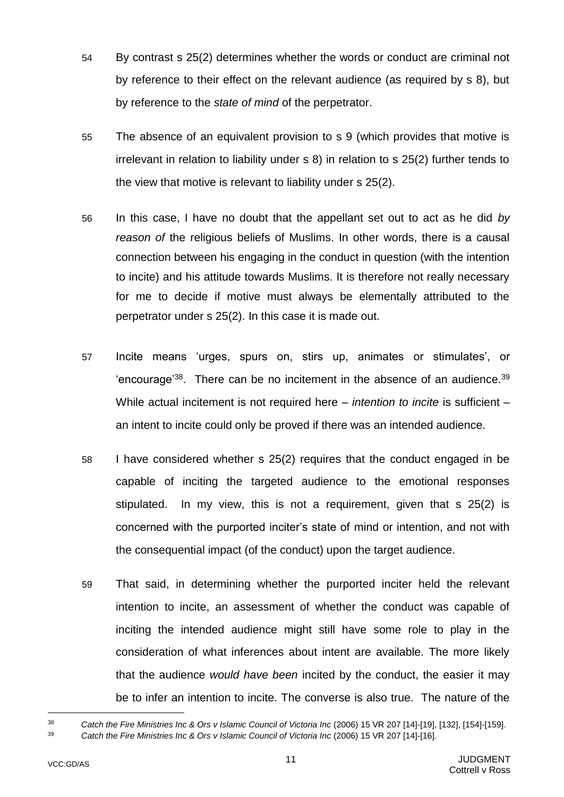- 54 By contrast s 25(2) determines whether the words or conduct are criminal not by reference to their effect on the relevant audience (as required by s 8), but by reference to the *state of mind* of the perpetrator.
- 55 The absence of an equivalent provision to s 9 (which provides that motive is irrelevant in relation to liability under s 8) in relation to s 25(2) further tends to the view that motive is relevant to liability under s 25(2).
- 56 In this case, I have no doubt that the appellant set out to act as he did *by reason of* the religious beliefs of Muslims. In other words, there is a causal connection between his engaging in the conduct in question (with the intention to incite) and his attitude towards Muslims. It is therefore not really necessary for me to decide if motive must always be elementally attributed to the perpetrator under s 25(2). In this case it is made out.
- 57 Incite means 'urges, spurs on, stirs up, animates or stimulates', or 'encourage<sup>'38</sup>. There can be no incitement in the absence of an audience.<sup>39</sup> While actual incitement is not required here – *intention to incite* is sufficient – an intent to incite could only be proved if there was an intended audience.
- 58 I have considered whether s 25(2) requires that the conduct engaged in be capable of inciting the targeted audience to the emotional responses stipulated. In my view, this is not a requirement, given that s 25(2) is concerned with the purported inciter's state of mind or intention, and not with the consequential impact (of the conduct) upon the target audience.
- 59 That said, in determining whether the purported inciter held the relevant intention to incite, an assessment of whether the conduct was capable of inciting the intended audience might still have some role to play in the consideration of what inferences about intent are available. The more likely that the audience *would have been* incited by the conduct, the easier it may be to infer an intention to incite. The converse is also true. The nature of the

<sup>38</sup> *Catch the Fire Ministries Inc & Ors v Islamic Council of Victoria Inc* (2006) 15 VR 207 [14]-[19], [132], [154]-[159]. <sup>39</sup> *Catch the Fire Ministries Inc & Ors v Islamic Council of Victoria Inc* (2006) 15 VR 207 [14]-[16].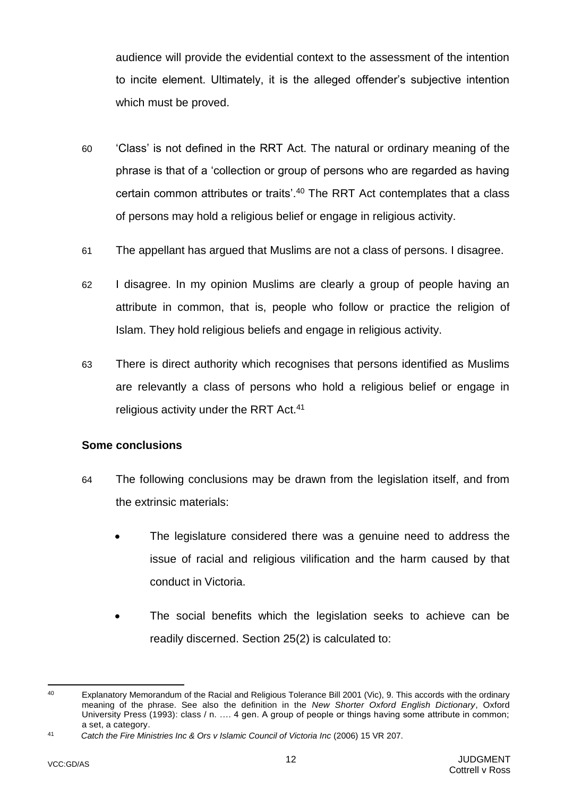audience will provide the evidential context to the assessment of the intention to incite element. Ultimately, it is the alleged offender's subjective intention which must be proved.

- 60 'Class' is not defined in the RRT Act. The natural or ordinary meaning of the phrase is that of a 'collection or group of persons who are regarded as having certain common attributes or traits'.<sup>40</sup> The RRT Act contemplates that a class of persons may hold a religious belief or engage in religious activity.
- 61 The appellant has argued that Muslims are not a class of persons. I disagree.
- 62 I disagree. In my opinion Muslims are clearly a group of people having an attribute in common, that is, people who follow or practice the religion of Islam. They hold religious beliefs and engage in religious activity.
- 63 There is direct authority which recognises that persons identified as Muslims are relevantly a class of persons who hold a religious belief or engage in religious activity under the RRT Act.<sup>41</sup>

#### <span id="page-14-0"></span>**Some conclusions**

- 64 The following conclusions may be drawn from the legislation itself, and from the extrinsic materials:
	- The legislature considered there was a genuine need to address the issue of racial and religious vilification and the harm caused by that conduct in Victoria.
	- The social benefits which the legislation seeks to achieve can be readily discerned. Section 25(2) is calculated to:

l

<sup>&</sup>lt;sup>40</sup> Explanatory Memorandum of the Racial and Religious Tolerance Bill 2001 (Vic), 9. This accords with the ordinary meaning of the phrase. See also the definition in the *New Shorter Oxford English Dictionary*, Oxford University Press (1993): class / n. …. 4 gen. A group of people or things having some attribute in common; a set, a category.

<sup>41</sup> *Catch the Fire Ministries Inc & Ors v Islamic Council of Victoria Inc* (2006) 15 VR 207.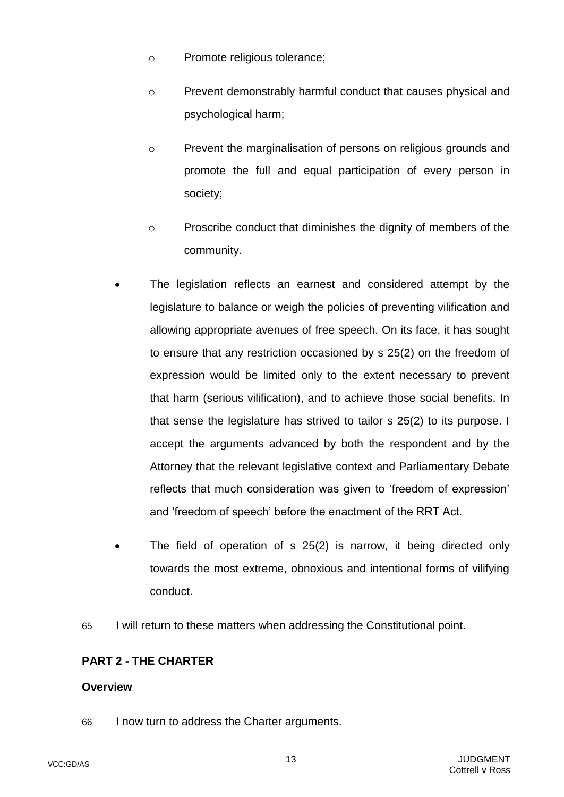- o Promote religious tolerance;
- o Prevent demonstrably harmful conduct that causes physical and psychological harm;
- o Prevent the marginalisation of persons on religious grounds and promote the full and equal participation of every person in society;
- o Proscribe conduct that diminishes the dignity of members of the community.
- The legislation reflects an earnest and considered attempt by the legislature to balance or weigh the policies of preventing vilification and allowing appropriate avenues of free speech. On its face, it has sought to ensure that any restriction occasioned by s 25(2) on the freedom of expression would be limited only to the extent necessary to prevent that harm (serious vilification), and to achieve those social benefits. In that sense the legislature has strived to tailor s 25(2) to its purpose. I accept the arguments advanced by both the respondent and by the Attorney that the relevant legislative context and Parliamentary Debate reflects that much consideration was given to 'freedom of expression' and 'freedom of speech' before the enactment of the RRT Act.
- The field of operation of s 25(2) is narrow, it being directed only towards the most extreme, obnoxious and intentional forms of vilifying conduct.
- <span id="page-15-2"></span>65 I will return to these matters when addressing the Constitutional point.

# <span id="page-15-0"></span>**PART 2 - THE CHARTER**

# <span id="page-15-1"></span>**Overview**

66 I now turn to address the Charter arguments.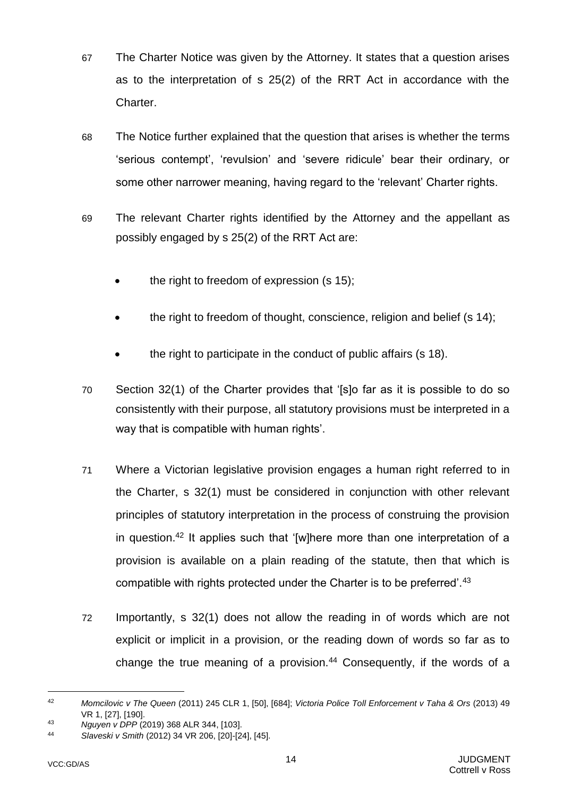- 67 The Charter Notice was given by the Attorney. It states that a question arises as to the interpretation of s 25(2) of the RRT Act in accordance with the Charter.
- 68 The Notice further explained that the question that arises is whether the terms 'serious contempt', 'revulsion' and 'severe ridicule' bear their ordinary, or some other narrower meaning, having regard to the 'relevant' Charter rights.
- 69 The relevant Charter rights identified by the Attorney and the appellant as possibly engaged by s 25(2) of the RRT Act are:
	- the right to freedom of expression (s 15);
	- the right to freedom of thought, conscience, religion and belief (s 14);
	- the right to participate in the conduct of public affairs (s 18).
- 70 Section 32(1) of the Charter provides that '[s]o far as it is possible to do so consistently with their purpose, all statutory provisions must be interpreted in a way that is compatible with human rights'.
- 71 Where a Victorian legislative provision engages a human right referred to in the Charter, s 32(1) must be considered in conjunction with other relevant principles of statutory interpretation in the process of construing the provision in question.<sup>42</sup> It applies such that '[w]here more than one interpretation of a provision is available on a plain reading of the statute, then that which is compatible with rights protected under the Charter is to be preferred'.<sup>43</sup>
- 72 Importantly, s 32(1) does not allow the reading in of words which are not explicit or implicit in a provision, or the reading down of words so far as to change the true meaning of a provision. $44$  Consequently, if the words of a

<sup>42</sup> *Momcilovic v The Queen* (2011) 245 CLR 1, [50], [684]; *Victoria Police Toll Enforcement v Taha & Ors* (2013) 49 VR 1, [27], [190].

<sup>43</sup> *Nguyen v DPP* (2019) 368 ALR 344, [103].

<sup>44</sup> *Slaveski v Smith* (2012) 34 VR 206, [20]-[24], [45].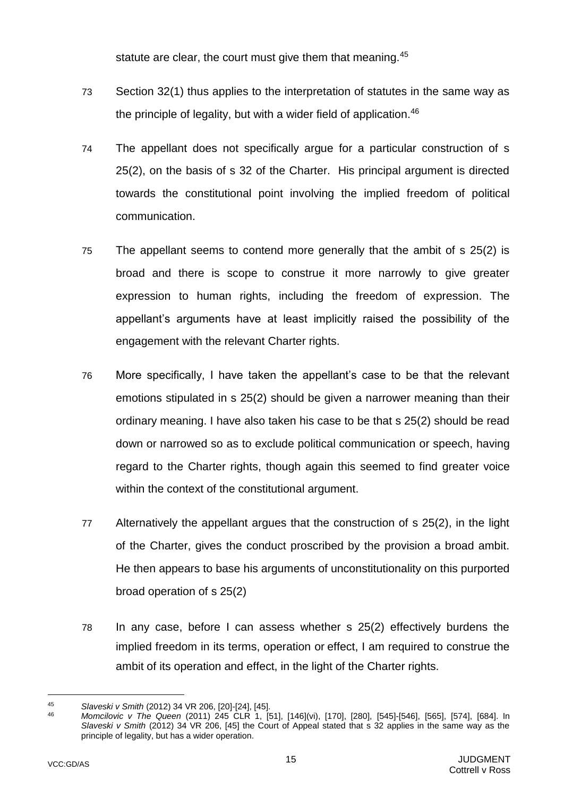statute are clear, the court must give them that meaning.<sup>45</sup>

- 73 Section 32(1) thus applies to the interpretation of statutes in the same way as the principle of legality, but with a wider field of application.<sup>46</sup>
- 74 The appellant does not specifically argue for a particular construction of s 25(2), on the basis of s 32 of the Charter. His principal argument is directed towards the constitutional point involving the implied freedom of political communication.
- 75 The appellant seems to contend more generally that the ambit of s 25(2) is broad and there is scope to construe it more narrowly to give greater expression to human rights, including the freedom of expression. The appellant's arguments have at least implicitly raised the possibility of the engagement with the relevant Charter rights.
- 76 More specifically, I have taken the appellant's case to be that the relevant emotions stipulated in s 25(2) should be given a narrower meaning than their ordinary meaning. I have also taken his case to be that s 25(2) should be read down or narrowed so as to exclude political communication or speech, having regard to the Charter rights, though again this seemed to find greater voice within the context of the constitutional argument.
- 77 Alternatively the appellant argues that the construction of s 25(2), in the light of the Charter, gives the conduct proscribed by the provision a broad ambit. He then appears to base his arguments of unconstitutionality on this purported broad operation of s 25(2)
- 78 In any case, before I can assess whether s 25(2) effectively burdens the implied freedom in its terms, operation or effect, I am required to construe the ambit of its operation and effect, in the light of the Charter rights.

<sup>45</sup> *Slaveski v Smith* (2012) 34 VR 206, [20]-[24], [45].

<sup>46</sup> *Momcilovic v The Queen* (2011) 245 CLR 1, [51], [146](vi), [170], [280], [545]-[546], [565], [574], [684]. In *Slaveski v Smith* (2012) 34 VR 206, [45] the Court of Appeal stated that s 32 applies in the same way as the principle of legality, but has a wider operation.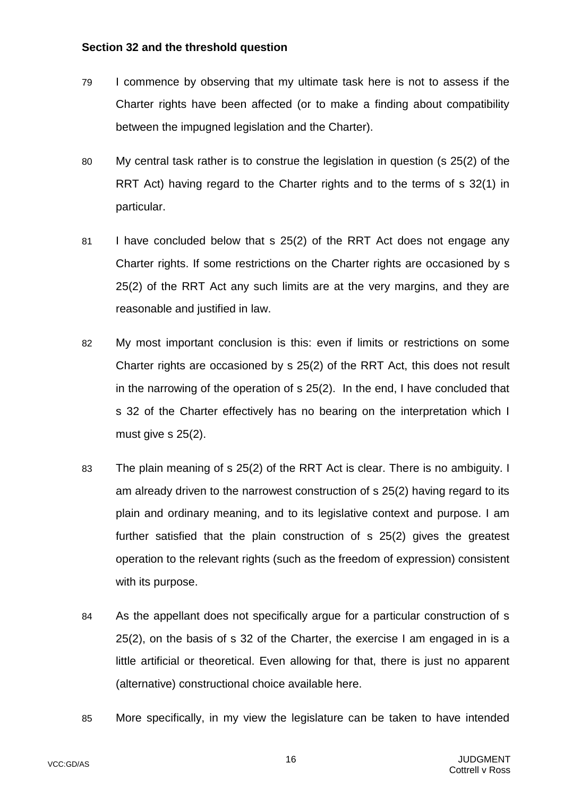### <span id="page-18-0"></span>**Section 32 and the threshold question**

- 79 I commence by observing that my ultimate task here is not to assess if the Charter rights have been affected (or to make a finding about compatibility between the impugned legislation and the Charter).
- 80 My central task rather is to construe the legislation in question (s 25(2) of the RRT Act) having regard to the Charter rights and to the terms of s 32(1) in particular.
- 81 I have concluded below that s 25(2) of the RRT Act does not engage any Charter rights. If some restrictions on the Charter rights are occasioned by s 25(2) of the RRT Act any such limits are at the very margins, and they are reasonable and justified in law.
- 82 My most important conclusion is this: even if limits or restrictions on some Charter rights are occasioned by s 25(2) of the RRT Act, this does not result in the narrowing of the operation of s 25(2). In the end, I have concluded that s 32 of the Charter effectively has no bearing on the interpretation which I must give s 25(2).
- 83 The plain meaning of s 25(2) of the RRT Act is clear. There is no ambiguity. I am already driven to the narrowest construction of s 25(2) having regard to its plain and ordinary meaning, and to its legislative context and purpose. I am further satisfied that the plain construction of s 25(2) gives the greatest operation to the relevant rights (such as the freedom of expression) consistent with its purpose.
- 84 As the appellant does not specifically argue for a particular construction of s 25(2), on the basis of s 32 of the Charter, the exercise I am engaged in is a little artificial or theoretical. Even allowing for that, there is just no apparent (alternative) constructional choice available here.
- 85 More specifically, in my view the legislature can be taken to have intended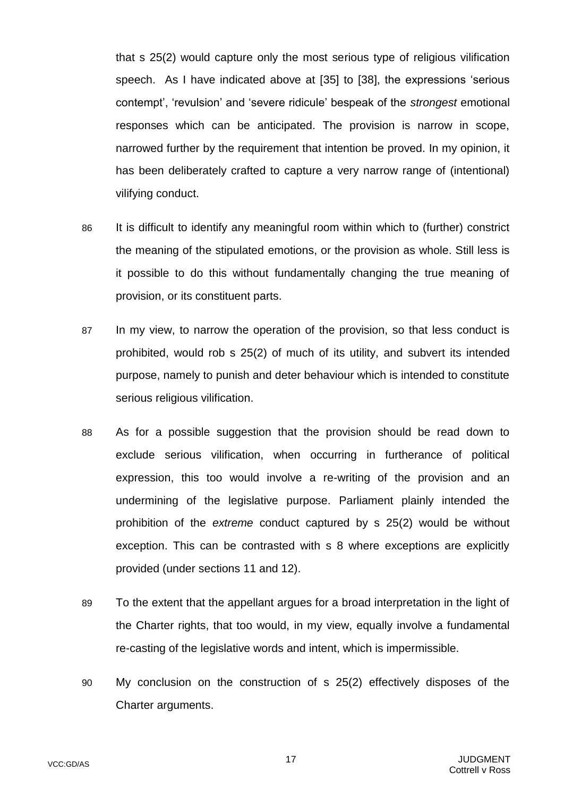that s 25(2) would capture only the most serious type of religious vilification speech. As I have indicated above at [\[35\]](#page-9-0) to [\[38\]](#page-10-0), the expressions 'serious contempt', 'revulsion' and 'severe ridicule' bespeak of the *strongest* emotional responses which can be anticipated. The provision is narrow in scope, narrowed further by the requirement that intention be proved. In my opinion, it has been deliberately crafted to capture a very narrow range of (intentional) vilifying conduct.

- 86 It is difficult to identify any meaningful room within which to (further) constrict the meaning of the stipulated emotions, or the provision as whole. Still less is it possible to do this without fundamentally changing the true meaning of provision, or its constituent parts.
- 87 In my view, to narrow the operation of the provision, so that less conduct is prohibited, would rob s 25(2) of much of its utility, and subvert its intended purpose, namely to punish and deter behaviour which is intended to constitute serious religious vilification.
- 88 As for a possible suggestion that the provision should be read down to exclude serious vilification, when occurring in furtherance of political expression, this too would involve a re-writing of the provision and an undermining of the legislative purpose. Parliament plainly intended the prohibition of the *extreme* conduct captured by s 25(2) would be without exception. This can be contrasted with s 8 where exceptions are explicitly provided (under sections 11 and 12).
- 89 To the extent that the appellant argues for a broad interpretation in the light of the Charter rights, that too would, in my view, equally involve a fundamental re-casting of the legislative words and intent, which is impermissible.
- 90 My conclusion on the construction of s 25(2) effectively disposes of the Charter arguments.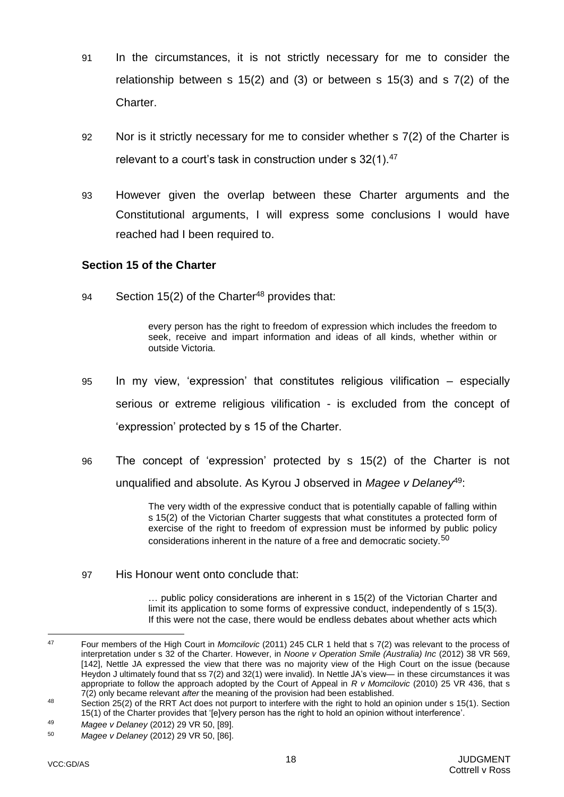- 91 In the circumstances, it is not strictly necessary for me to consider the relationship between s 15(2) and (3) or between s 15(3) and s 7(2) of the Charter.
- 92 Nor is it strictly necessary for me to consider whether s 7(2) of the Charter is relevant to a court's task in construction under s 32(1).<sup>47</sup>
- 93 However given the overlap between these Charter arguments and the Constitutional arguments, I will express some conclusions I would have reached had I been required to.

### <span id="page-20-0"></span>**Section 15 of the Charter**

94 Section 15(2) of the Charter<sup>48</sup> provides that:

every person has the right to freedom of expression which includes the freedom to seek, receive and impart information and ideas of all kinds, whether within or outside Victoria.

- 95 In my view, 'expression' that constitutes religious vilification especially serious or extreme religious vilification - is excluded from the concept of 'expression' protected by s 15 of the Charter.
- 96 The concept of 'expression' protected by s 15(2) of the Charter is not unqualified and absolute. As Kyrou J observed in *Magee v Delaney*<sup>49</sup>:

The very width of the expressive conduct that is potentially capable of falling within s 15(2) of the Victorian Charter suggests that what constitutes a protected form of exercise of the right to freedom of expression must be informed by public policy considerations inherent in the nature of a free and democratic society.<sup>50</sup>

97 His Honour went onto conclude that:

… public policy considerations are inherent in s 15(2) of the Victorian Charter and limit its application to some forms of expressive conduct, independently of s 15(3). If this were not the case, there would be endless debates about whether acts which

<sup>49</sup> *Magee v Delaney* (2012) 29 VR 50, [89].

 $\Delta$ 7 <sup>47</sup> Four members of the High Court in *Momcilovic* (2011) 245 CLR 1 held that s 7(2) was relevant to the process of interpretation under s 32 of the Charter. However, in *Noone v Operation Smile (Australia) Inc* (2012) 38 VR 569, [142], Nettle JA expressed the view that there was no majority view of the High Court on the issue (because Heydon J ultimately found that ss 7(2) and 32(1) were invalid). In Nettle JA's view— in these circumstances it was appropriate to follow the approach adopted by the Court of Appeal in *R v Momcilovic* (2010) 25 VR 436, that s 7(2) only became relevant *after* the meaning of the provision had been established.

<sup>48</sup> Section 25(2) of the RRT Act does not purport to interfere with the right to hold an opinion under s 15(1). Section 15(1) of the Charter provides that '[e]very person has the right to hold an opinion without interference'.

<sup>50</sup> *Magee v Delaney* (2012) 29 VR 50, [86].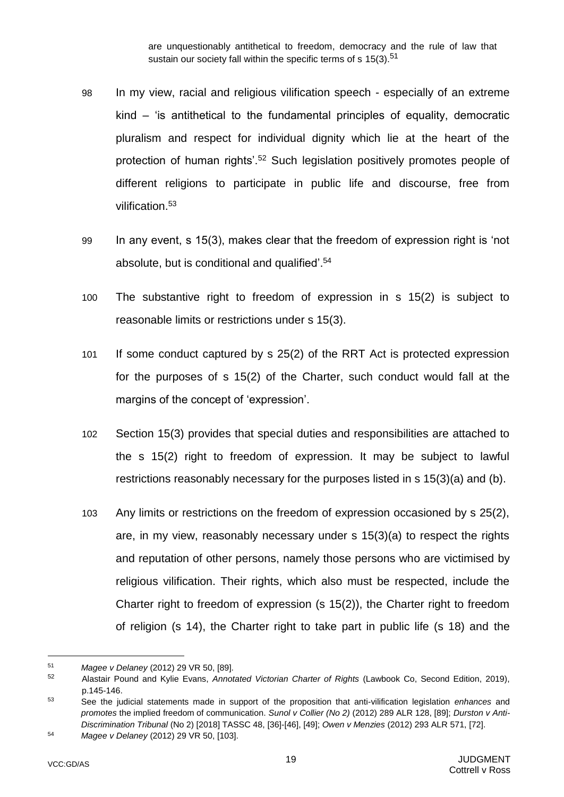are unquestionably antithetical to freedom, democracy and the rule of law that sustain our society fall within the specific terms of s 15(3).<sup>51</sup>

- 98 In my view, racial and religious vilification speech especially of an extreme kind – 'is antithetical to the fundamental principles of equality, democratic pluralism and respect for individual dignity which lie at the heart of the protection of human rights'.<sup>52</sup> Such legislation positively promotes people of different religions to participate in public life and discourse, free from vilification.<sup>53</sup>
- 99 In any event, s 15(3), makes clear that the freedom of expression right is 'not absolute, but is conditional and qualified'.<sup>54</sup>
- 100 The substantive right to freedom of expression in s 15(2) is subject to reasonable limits or restrictions under s 15(3).
- 101 If some conduct captured by s 25(2) of the RRT Act is protected expression for the purposes of s 15(2) of the Charter, such conduct would fall at the margins of the concept of 'expression'.
- 102 Section 15(3) provides that special duties and responsibilities are attached to the s 15(2) right to freedom of expression. It may be subject to lawful restrictions reasonably necessary for the purposes listed in s 15(3)(a) and (b).
- 103 Any limits or restrictions on the freedom of expression occasioned by s 25(2), are, in my view, reasonably necessary under s 15(3)(a) to respect the rights and reputation of other persons, namely those persons who are victimised by religious vilification. Their rights, which also must be respected, include the Charter right to freedom of expression (s 15(2)), the Charter right to freedom of religion (s 14), the Charter right to take part in public life (s 18) and the

<sup>51</sup> *Magee v Delaney* (2012) 29 VR 50, [89].

<sup>52</sup> Alastair Pound and Kylie Evans, *Annotated Victorian Charter of Rights* (Lawbook Co, Second Edition, 2019), p.145-146.

<sup>53</sup> See the judicial statements made in support of the proposition that anti-vilification legislation *enhances* and *promotes* the implied freedom of communication. *Sunol v Collier (No 2)* (2012) 289 ALR 128, [89]; *Durston v Anti-Discrimination Tribunal* (No 2) [2018] TASSC 48, [36]-[46], [49]; *Owen v Menzies* (2012) 293 ALR 571, [72].

<sup>54</sup> *Magee v Delaney* (2012) 29 VR 50, [103].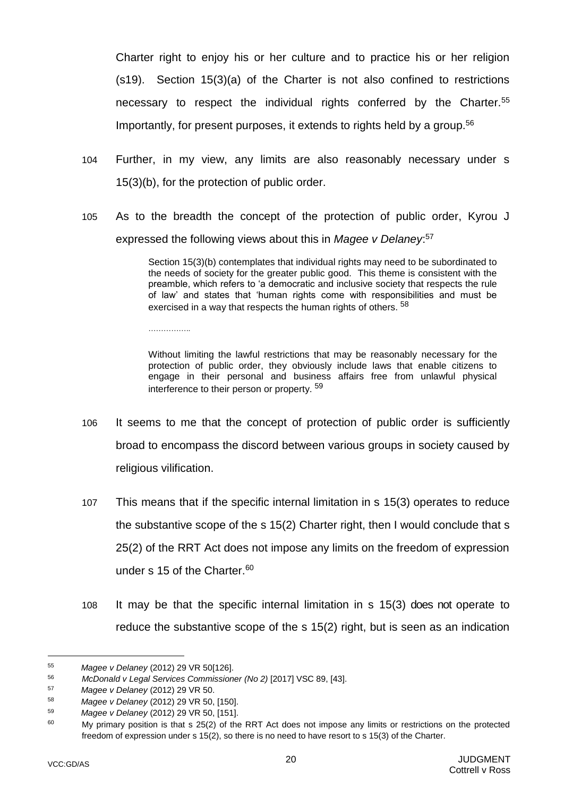Charter right to enjoy his or her culture and to practice his or her religion (s19). Section 15(3)(a) of the Charter is not also confined to restrictions necessary to respect the individual rights conferred by the Charter.<sup>55</sup> Importantly, for present purposes, it extends to rights held by a group.<sup>56</sup>

- 104 Further, in my view, any limits are also reasonably necessary under s 15(3)(b), for the protection of public order.
- 105 As to the breadth the concept of the protection of public order, Kyrou J expressed the following views about this in *Magee v Delaney*: 57

Section 15(3)(b) contemplates that individual rights may need to be subordinated to the needs of society for the greater public good. This theme is consistent with the preamble, which refers to 'a democratic and inclusive society that respects the rule of law' and states that 'human rights come with responsibilities and must be exercised in a way that respects the human rights of others. <sup>58</sup>

Without limiting the lawful restrictions that may be reasonably necessary for the protection of public order, they obviously include laws that enable citizens to engage in their personal and business affairs free from unlawful physical interference to their person or property.<sup>59</sup>

- 106 It seems to me that the concept of protection of public order is sufficiently broad to encompass the discord between various groups in society caused by religious vilification.
- 107 This means that if the specific internal limitation in s 15(3) operates to reduce the substantive scope of the s 15(2) Charter right, then I would conclude that s 25(2) of the RRT Act does not impose any limits on the freedom of expression under s 15 of the Charter.<sup>60</sup>
- 108 It may be that the specific internal limitation in s 15(3) does not operate to reduce the substantive scope of the s 15(2) right, but is seen as an indication

<sup>55</sup> *Magee v Delaney* (2012) 29 VR 50[126].

<sup>56</sup> *McDonald v Legal Services Commissioner (No 2)* [2017] VSC 89, [43].<br>57 *Mage v Dolanov (2013)* 29 VB 50

<sup>57</sup> *Magee v Delaney* (2012) 29 VR 50.

<sup>58</sup> *Magee v Delaney* (2012) 29 VR 50, [150].

<sup>59</sup> *Magee v Delaney* (2012) 29 VR 50, [151].

<sup>&</sup>lt;sup>60</sup> My primary position is that s 25(2) of the RRT Act does not impose any limits or restrictions on the protected freedom of expression under s 15(2), so there is no need to have resort to s 15(3) of the Charter.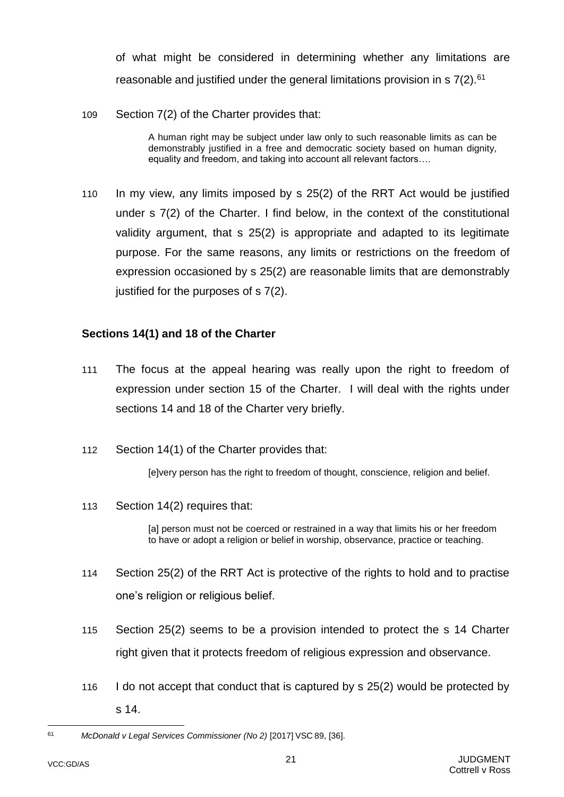of what might be considered in determining whether any limitations are reasonable and justified under the general limitations provision in  $\frac{57(2)}{61}$ 

109 Section 7(2) of the Charter provides that:

A human right may be subject under law only to such reasonable limits as can be demonstrably justified in a free and democratic society based on human dignity, equality and freedom, and taking into account all relevant factors….

110 In my view, any limits imposed by s 25(2) of the RRT Act would be justified under s 7(2) of the Charter. I find below, in the context of the constitutional validity argument, that s 25(2) is appropriate and adapted to its legitimate purpose. For the same reasons, any limits or restrictions on the freedom of expression occasioned by s 25(2) are reasonable limits that are demonstrably justified for the purposes of s 7(2).

# <span id="page-23-0"></span>**Sections 14(1) and 18 of the Charter**

- 111 The focus at the appeal hearing was really upon the right to freedom of expression under section 15 of the Charter. I will deal with the rights under sections 14 and 18 of the Charter very briefly.
- 112 Section 14(1) of the Charter provides that:

[e]very person has the right to freedom of thought, conscience, religion and belief.

113 Section 14(2) requires that:

[a] person must not be coerced or restrained in a way that limits his or her freedom to have or adopt a religion or belief in worship, observance, practice or teaching.

- 114 Section 25(2) of the RRT Act is protective of the rights to hold and to practise one's religion or religious belief.
- 115 Section 25(2) seems to be a provision intended to protect the s 14 Charter right given that it protects freedom of religious expression and observance.
- 116 I do not accept that conduct that is captured by s 25(2) would be protected by s 14.

<sup>61</sup> *McDonald v Legal Services Commissioner (No 2)* [2017] VSC 89, [36].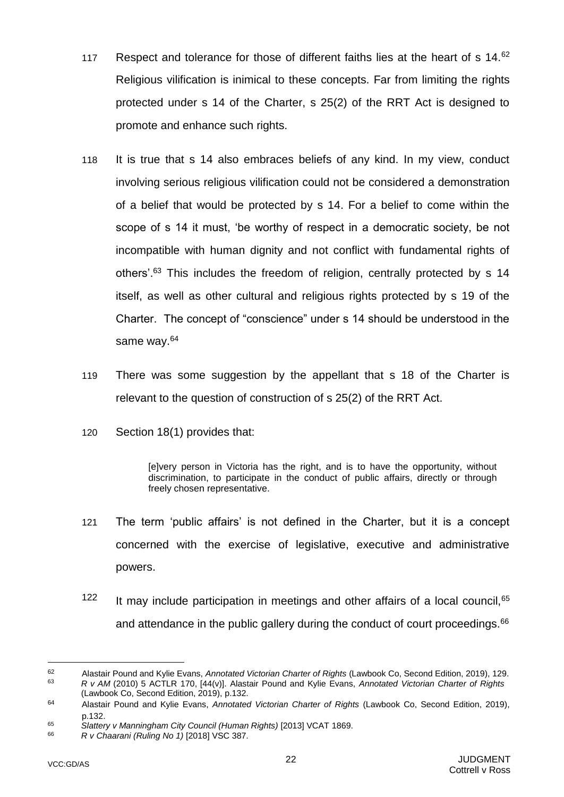- 117 Respect and tolerance for those of different faiths lies at the heart of s 14.62 Religious vilification is inimical to these concepts. Far from limiting the rights protected under s 14 of the Charter, s 25(2) of the RRT Act is designed to promote and enhance such rights.
- 118 It is true that s 14 also embraces beliefs of any kind. In my view, conduct involving serious religious vilification could not be considered a demonstration of a belief that would be protected by s 14. For a belief to come within the scope of s 14 it must, 'be worthy of respect in a democratic society, be not incompatible with human dignity and not conflict with fundamental rights of others'.<sup>63</sup> This includes the freedom of religion, centrally protected by s 14 itself, as well as other cultural and religious rights protected by s 19 of the Charter. The concept of "conscience" under s 14 should be understood in the same way.<sup>64</sup>
- 119 There was some suggestion by the appellant that s 18 of the Charter is relevant to the question of construction of s 25(2) of the RRT Act.
- 120 Section 18(1) provides that:

[e]very person in Victoria has the right, and is to have the opportunity, without discrimination, to participate in the conduct of public affairs, directly or through freely chosen representative.

- 121 The term 'public affairs' is not defined in the Charter, but it is a concept concerned with the exercise of legislative, executive and administrative powers.
- $122$  It may include participation in meetings and other affairs of a local council,  $65$ and attendance in the public gallery during the conduct of court proceedings.<sup>66</sup>

<sup>62</sup> Alastair Pound and Kylie Evans, *Annotated Victorian Charter of Rights* (Lawbook Co, Second Edition, 2019), 129. <sup>63</sup> *R v AM* (2010) 5 ACTLR 170, [44(v)]. Alastair Pound and Kylie Evans, *Annotated Victorian Charter of Rights* 

<sup>(</sup>Lawbook Co, Second Edition, 2019), p.132.

<sup>64</sup> Alastair Pound and Kylie Evans, *Annotated Victorian Charter of Rights* (Lawbook Co, Second Edition, 2019), p.132.

<sup>65</sup> Slattery v Manningham City Council (Human Rights) <sup>[2013]</sup> VCAT 1869.

<sup>66</sup> *R v Chaarani (Ruling No 1)* [2018] VSC 387.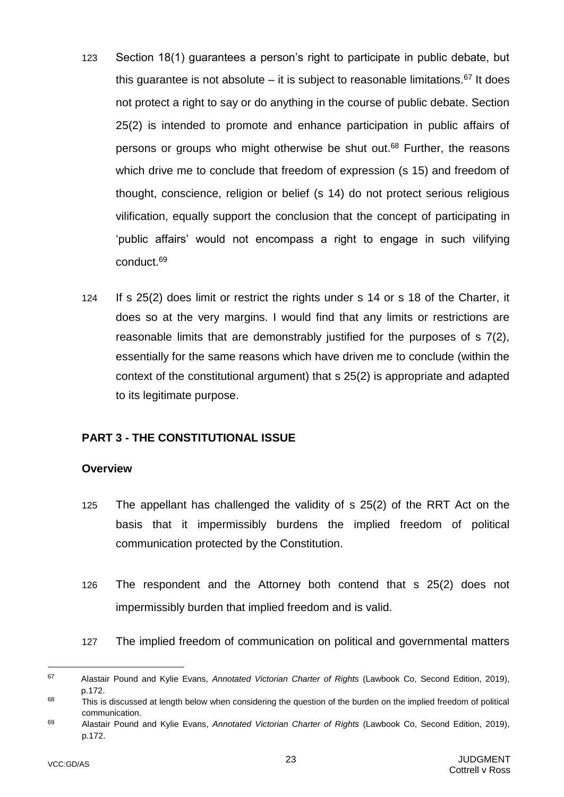- 123 Section 18(1) guarantees a person's right to participate in public debate, but this guarantee is not absolute – it is subject to reasonable limitations.<sup>67</sup> It does not protect a right to say or do anything in the course of public debate. Section 25(2) is intended to promote and enhance participation in public affairs of persons or groups who might otherwise be shut out.<sup>68</sup> Further, the reasons which drive me to conclude that freedom of expression (s 15) and freedom of thought, conscience, religion or belief (s 14) do not protect serious religious vilification, equally support the conclusion that the concept of participating in 'public affairs' would not encompass a right to engage in such vilifying conduct.<sup>69</sup>
- 124 If s 25(2) does limit or restrict the rights under s 14 or s 18 of the Charter, it does so at the very margins. I would find that any limits or restrictions are reasonable limits that are demonstrably justified for the purposes of s 7(2), essentially for the same reasons which have driven me to conclude (within the context of the constitutional argument) that s 25(2) is appropriate and adapted to its legitimate purpose.

# <span id="page-25-0"></span>**PART 3 - THE CONSTITUTIONAL ISSUE**

#### <span id="page-25-1"></span>**Overview**

- 125 The appellant has challenged the validity of s 25(2) of the RRT Act on the basis that it impermissibly burdens the implied freedom of political communication protected by the Constitution.
- 126 The respondent and the Attorney both contend that s 25(2) does not impermissibly burden that implied freedom and is valid.
- 127 The implied freedom of communication on political and governmental matters

<sup>67</sup> Alastair Pound and Kylie Evans, *Annotated Victorian Charter of Rights* (Lawbook Co, Second Edition, 2019), p.172.

<sup>&</sup>lt;sup>68</sup> This is discussed at length below when considering the question of the burden on the implied freedom of political communication.

<sup>69</sup> Alastair Pound and Kylie Evans, *Annotated Victorian Charter of Rights* (Lawbook Co, Second Edition, 2019), p.172.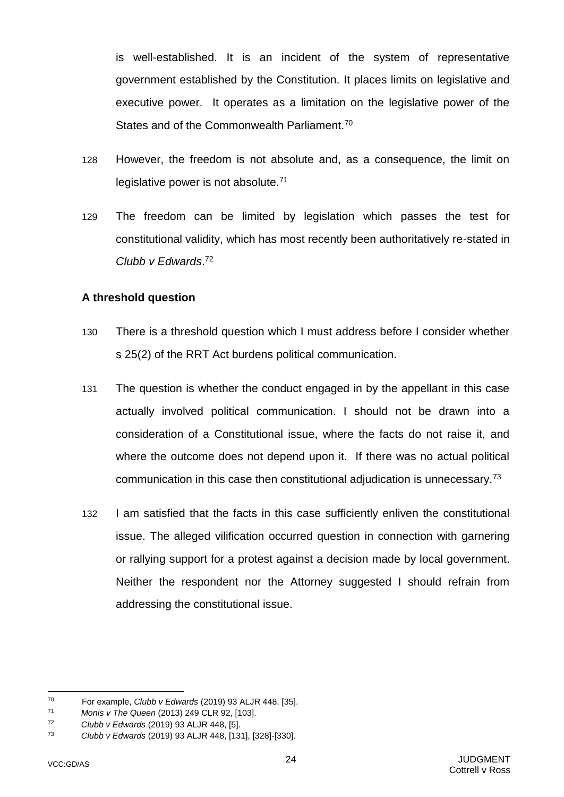is well-established. It is an incident of the system of representative government established by the Constitution. It places limits on legislative and executive power. It operates as a limitation on the legislative power of the States and of the Commonwealth Parliament.<sup>70</sup>

- 128 However, the freedom is not absolute and, as a consequence, the limit on legislative power is not absolute.<sup>71</sup>
- 129 The freedom can be limited by legislation which passes the test for constitutional validity, which has most recently been authoritatively re-stated in *Clubb v Edwards*. 72

## <span id="page-26-0"></span>**A threshold question**

- 130 There is a threshold question which I must address before I consider whether s 25(2) of the RRT Act burdens political communication.
- 131 The question is whether the conduct engaged in by the appellant in this case actually involved political communication. I should not be drawn into a consideration of a Constitutional issue, where the facts do not raise it, and where the outcome does not depend upon it. If there was no actual political communication in this case then constitutional adjudication is unnecessary.<sup>73</sup>
- 132 I am satisfied that the facts in this case sufficiently enliven the constitutional issue. The alleged vilification occurred question in connection with garnering or rallying support for a protest against a decision made by local government. Neither the respondent nor the Attorney suggested I should refrain from addressing the constitutional issue.

<sup>70</sup> <sup>70</sup> For example, *Clubb v Edwards* (2019) 93 ALJR 448, [35].

<sup>71</sup> *Monis v The Queen* (2013) 249 CLR 92, [103].

<sup>72</sup> *Clubb v Edwards* (2019) 93 ALJR 448, [5].

<sup>73</sup> *Clubb v Edwards* (2019) 93 ALJR 448, [131], [328]-[330].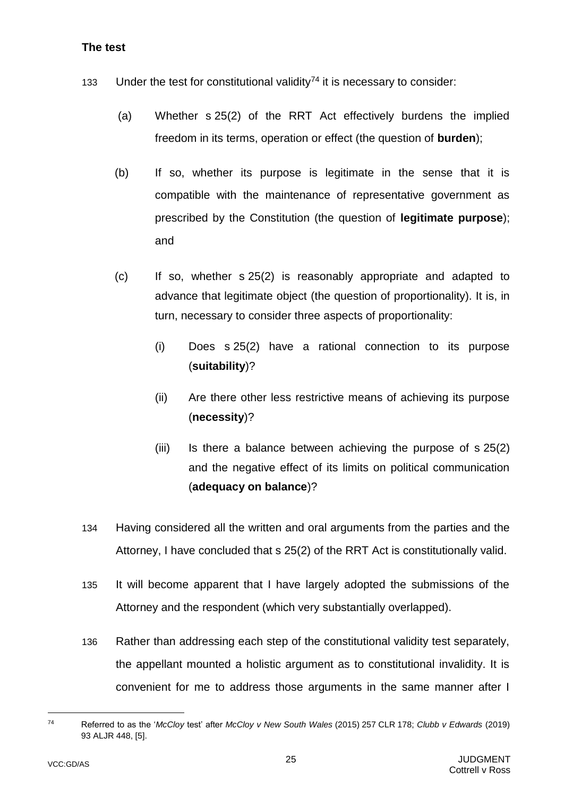# <span id="page-27-0"></span>**The test**

- 133 Under the test for constitutional validity<sup>74</sup> it is necessary to consider:
	- (a) Whether s 25(2) of the RRT Act effectively burdens the implied freedom in its terms, operation or effect (the question of **burden**);
	- (b) If so, whether its purpose is legitimate in the sense that it is compatible with the maintenance of representative government as prescribed by the Constitution (the question of **legitimate purpose**); and
	- (c) If so, whether s 25(2) is reasonably appropriate and adapted to advance that legitimate object (the question of proportionality). It is, in turn, necessary to consider three aspects of proportionality:
		- (i) Does s 25(2) have a rational connection to its purpose (**suitability**)?
		- (ii) Are there other less restrictive means of achieving its purpose (**necessity**)?
		- (iii) Is there a balance between achieving the purpose of s 25(2) and the negative effect of its limits on political communication (**adequacy on balance**)?
- 134 Having considered all the written and oral arguments from the parties and the Attorney, I have concluded that s 25(2) of the RRT Act is constitutionally valid.
- 135 It will become apparent that I have largely adopted the submissions of the Attorney and the respondent (which very substantially overlapped).
- 136 Rather than addressing each step of the constitutional validity test separately, the appellant mounted a holistic argument as to constitutional invalidity. It is convenient for me to address those arguments in the same manner after I

<sup>74</sup> Referred to as the '*McCloy* test' after *McCloy v New South Wales* (2015) 257 CLR 178; *Clubb v Edwards* (2019) 93 ALJR 448, [5].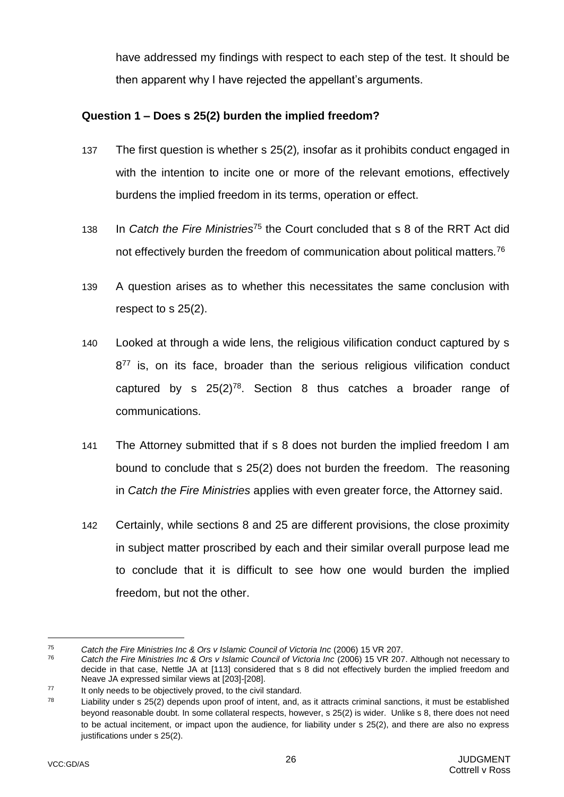have addressed my findings with respect to each step of the test. It should be then apparent why I have rejected the appellant's arguments.

# <span id="page-28-0"></span>**Question 1 – Does s 25(2) burden the implied freedom?**

- 137 The first question is whether s 25(2)*,* insofar as it prohibits conduct engaged in with the intention to incite one or more of the relevant emotions, effectively burdens the implied freedom in its terms, operation or effect.
- 138 In *Catch the Fire Ministries*<sup>75</sup> the Court concluded that s 8 of the RRT Act did not effectively burden the freedom of communication about political matters*.* 76
- 139 A question arises as to whether this necessitates the same conclusion with respect to s 25(2).
- 140 Looked at through a wide lens, the religious vilification conduct captured by s 8<sup>77</sup> is, on its face, broader than the serious religious vilification conduct captured by s  $25(2)^{78}$ . Section 8 thus catches a broader range of communications.
- 141 The Attorney submitted that if s 8 does not burden the implied freedom I am bound to conclude that s 25(2) does not burden the freedom. The reasoning in *Catch the Fire Ministries* applies with even greater force, the Attorney said.
- 142 Certainly, while sections 8 and 25 are different provisions, the close proximity in subject matter proscribed by each and their similar overall purpose lead me to conclude that it is difficult to see how one would burden the implied freedom, but not the other.

<sup>75</sup> *Catch the Fire Ministries Inc & Ors v Islamic Council of Victoria Inc* (2006) 15 VR 207.

<sup>76</sup> *Catch the Fire Ministries Inc & Ors v Islamic Council of Victoria Inc* (2006) 15 VR 207. Although not necessary to decide in that case, Nettle JA at [113] considered that s 8 did not effectively burden the implied freedom and Neave JA expressed similar views at [203]-[208].

<sup>77</sup> It only needs to be objectively proved, to the civil standard.

 $78$  Liability under s 25(2) depends upon proof of intent, and, as it attracts criminal sanctions, it must be established beyond reasonable doubt. In some collateral respects, however, s 25(2) is wider. Unlike s 8, there does not need to be actual incitement, or impact upon the audience, for liability under s 25(2), and there are also no express justifications under s 25(2).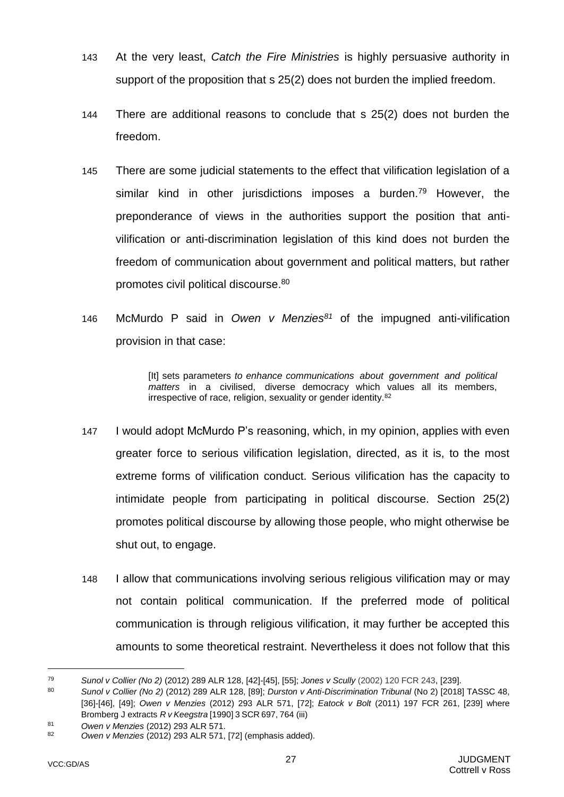- 143 At the very least, *Catch the Fire Ministries* is highly persuasive authority in support of the proposition that s 25(2) does not burden the implied freedom.
- 144 There are additional reasons to conclude that s 25(2) does not burden the freedom.
- 145 There are some judicial statements to the effect that vilification legislation of a similar kind in other jurisdictions imposes a burden.<sup>79</sup> However, the preponderance of views in the authorities support the position that antivilification or anti-discrimination legislation of this kind does not burden the freedom of communication about government and political matters, but rather promotes civil political discourse.<sup>80</sup>
- 146 McMurdo P said in *Owen v Menzies<sup>81</sup>* of the impugned anti-vilification provision in that case:

[It] sets parameters *to enhance communications about government and political matters* in a civilised, diverse democracy which values all its members, irrespective of race, religion, sexuality or gender identity.<sup>82</sup>

- 147 I would adopt McMurdo P's reasoning, which, in my opinion, applies with even greater force to serious vilification legislation, directed, as it is, to the most extreme forms of vilification conduct. Serious vilification has the capacity to intimidate people from participating in political discourse. Section 25(2) promotes political discourse by allowing those people, who might otherwise be shut out, to engage.
- 148 I allow that communications involving serious religious vilification may or may not contain political communication. If the preferred mode of political communication is through religious vilification, it may further be accepted this amounts to some theoretical restraint. Nevertheless it does not follow that this

<sup>79</sup> *Sunol v Collier (No 2)* (2012) 289 ALR 128, [42]-[45], [55]; *Jones v Scully* (2002) 120 FCR 243, [239].

<sup>80</sup> *Sunol v Collier (No 2)* (2012) 289 ALR 128, [89]; *Durston v Anti-Discrimination Tribunal* (No 2) [2018] TASSC 48, [36]-[46], [49]; *Owen v Menzies* (2012) 293 ALR 571, [72]; *Eatock v Bolt* (2011) 197 FCR 261, [239] where Bromberg J extracts *R v Keegstra* [1990] 3 SCR 697, 764 (iii)

<sup>81</sup> *Owen v Menzies* (2012) 293 ALR 571.

<sup>82</sup> *Owen v Menzies* (2012) 293 ALR 571, [72] (emphasis added).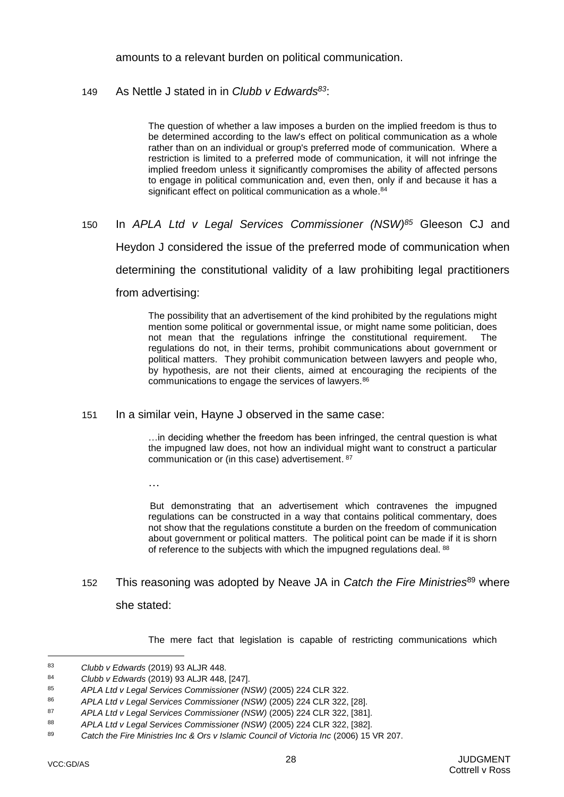amounts to a relevant burden on political communication.

### 149 As Nettle J stated in in *Clubb v Edwards<sup>83</sup>*:

The question of whether a law imposes a burden on the implied freedom is thus to be determined according to the law's effect on political communication as a whole rather than on an individual or group's preferred mode of communication. Where a restriction is limited to a preferred mode of communication, it will not infringe the implied freedom unless it significantly compromises the ability of affected persons to engage in political communication and, even then, only if and because it has a significant effect on political communication as a whole.<sup>84</sup>

150 In *APLA Ltd v Legal Services Commissioner (NSW)<sup>85</sup>* Gleeson CJ and Heydon J considered the issue of the preferred mode of communication when determining the constitutional validity of a law prohibiting legal practitioners from advertising:

> The possibility that an advertisement of the kind prohibited by the regulations might mention some political or governmental issue, or might name some politician, does not mean that the regulations infringe the constitutional requirement. regulations do not, in their terms, prohibit communications about government or political matters. They prohibit communication between lawyers and people who, by hypothesis, are not their clients, aimed at encouraging the recipients of the communications to engage the services of lawyers.<sup>86</sup>

151 In a similar vein, Hayne J observed in the same case:

…in deciding whether the freedom has been infringed, the central question is what the impugned law does, not how an individual might want to construct a particular communication or (in this case) advertisement. 87

…

But demonstrating that an advertisement which contravenes the impugned regulations can be constructed in a way that contains political commentary, does not show that the regulations constitute a burden on the freedom of communication about government or political matters. The political point can be made if it is shorn of reference to the subjects with which the impugned regulations deal. 88

152 This reasoning was adopted by Neave JA in *Catch the Fire Ministries*<sup>89</sup> where she stated:

The mere fact that legislation is capable of restricting communications which

<sup>83</sup> *Clubb v Edwards* (2019) 93 ALJR 448.

<sup>84</sup> *Clubb v Edwards* (2019) 93 ALJR 448, [247].

<sup>85</sup> *APLA Ltd v Legal Services Commissioner (NSW)* (2005) 224 CLR 322.

<sup>86</sup> *APLA Ltd v Legal Services Commissioner (NSW)* (2005) 224 CLR 322, [28].

<sup>87</sup> *APLA Ltd v Legal Services Commissioner (NSW)* (2005) 224 CLR 322, [381].

<sup>88</sup> *APLA Ltd v Legal Services Commissioner (NSW)* (2005) 224 CLR 322, [382].

<sup>89</sup> *Catch the Fire Ministries Inc & Ors v Islamic Council of Victoria Inc* (2006) 15 VR 207.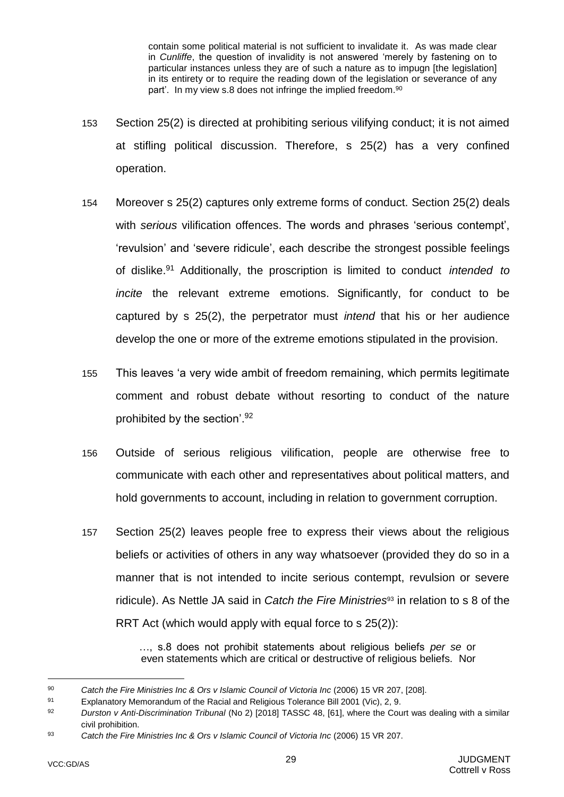contain some political material is not sufficient to invalidate it. As was made clear in *Cunliffe*, the question of invalidity is not answered 'merely by fastening on to particular instances unless they are of such a nature as to impugn [the legislation] in its entirety or to require the reading down of the legislation or severance of any part'.In my view s.8 does not infringe the implied freedom.<sup>90</sup>

- 153 Section 25(2) is directed at prohibiting serious vilifying conduct; it is not aimed at stifling political discussion. Therefore, s 25(2) has a very confined operation.
- 154 Moreover s 25(2) captures only extreme forms of conduct. Section 25(2) deals with *serious* vilification offences. The words and phrases 'serious contempt', 'revulsion' and 'severe ridicule', each describe the strongest possible feelings of dislike.<sup>91</sup> Additionally, the proscription is limited to conduct *intended to incite* the relevant extreme emotions. Significantly, for conduct to be captured by s 25(2), the perpetrator must *intend* that his or her audience develop the one or more of the extreme emotions stipulated in the provision.
- 155 This leaves 'a very wide ambit of freedom remaining, which permits legitimate comment and robust debate without resorting to conduct of the nature prohibited by the section'.<sup>92</sup>
- 156 Outside of serious religious vilification, people are otherwise free to communicate with each other and representatives about political matters, and hold governments to account, including in relation to government corruption.
- 157 Section 25(2) leaves people free to express their views about the religious beliefs or activities of others in any way whatsoever (provided they do so in a manner that is not intended to incite serious contempt, revulsion or severe ridicule). As Nettle JA said in *Catch the Fire Ministries*<sup>93</sup> in relation to s 8 of the RRT Act (which would apply with equal force to s 25(2)):

…, s.8 does not prohibit statements about religious beliefs *per se* or even statements which are critical or destructive of religious beliefs. Nor

<sup>90</sup> *Catch the Fire Ministries Inc & Ors v Islamic Council of Victoria Inc* (2006) 15 VR 207, [208].

<sup>91</sup> Explanatory Memorandum of the Racial and Religious Tolerance Bill 2001 (Vic), 2, 9.

<sup>92</sup> *Durston v Anti-Discrimination Tribunal* (No 2) [2018] TASSC 48, [61], where the Court was dealing with a similar civil prohibition.

<sup>93</sup> *Catch the Fire Ministries Inc & Ors v Islamic Council of Victoria Inc* (2006) 15 VR 207.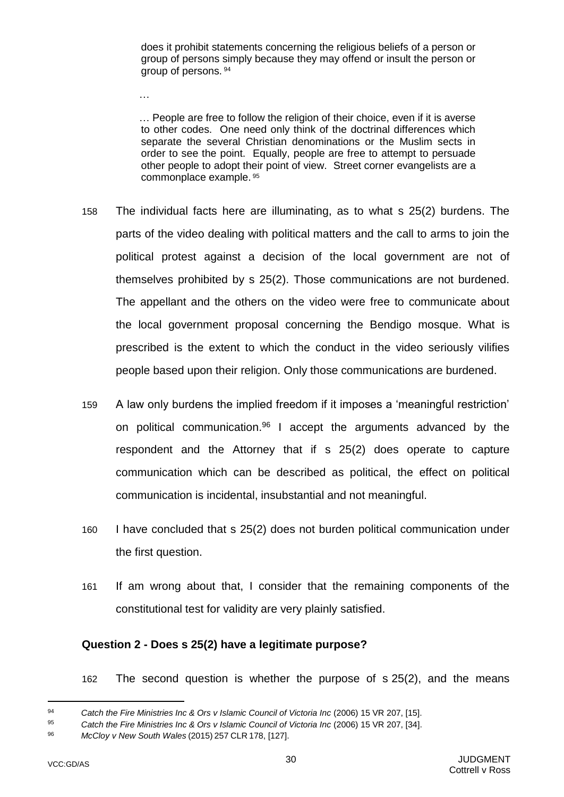does it prohibit statements concerning the religious beliefs of a person or group of persons simply because they may offend or insult the person or group of persons. <sup>94</sup>

… People are free to follow the religion of their choice, even if it is averse to other codes. One need only think of the doctrinal differences which separate the several Christian denominations or the Muslim sects in order to see the point. Equally, people are free to attempt to persuade other people to adopt their point of view. Street corner evangelists are a commonplace example. <sup>95</sup>

- 158 The individual facts here are illuminating, as to what s 25(2) burdens. The parts of the video dealing with political matters and the call to arms to join the political protest against a decision of the local government are not of themselves prohibited by s 25(2). Those communications are not burdened. The appellant and the others on the video were free to communicate about the local government proposal concerning the Bendigo mosque. What is prescribed is the extent to which the conduct in the video seriously vilifies people based upon their religion. Only those communications are burdened.
- 159 A law only burdens the implied freedom if it imposes a 'meaningful restriction' on political communication.<sup>96</sup> I accept the arguments advanced by the respondent and the Attorney that if s 25(2) does operate to capture communication which can be described as political, the effect on political communication is incidental, insubstantial and not meaningful.
- 160 I have concluded that s 25(2) does not burden political communication under the first question.
- 161 If am wrong about that, I consider that the remaining components of the constitutional test for validity are very plainly satisfied.

#### <span id="page-32-0"></span>**Question 2 - Does s 25(2) have a legitimate purpose?**

162 The second question is whether the purpose of s 25(2), and the means

…

<sup>94</sup> *Catch the Fire Ministries Inc & Ors v Islamic Council of Victoria Inc* (2006) 15 VR 207, [15].

<sup>95</sup> *Catch the Fire Ministries Inc & Ors v Islamic Council of Victoria Inc* (2006) 15 VR 207, [34].

<sup>96</sup> *McCloy v New South Wales* (2015) 257 CLR 178, [127].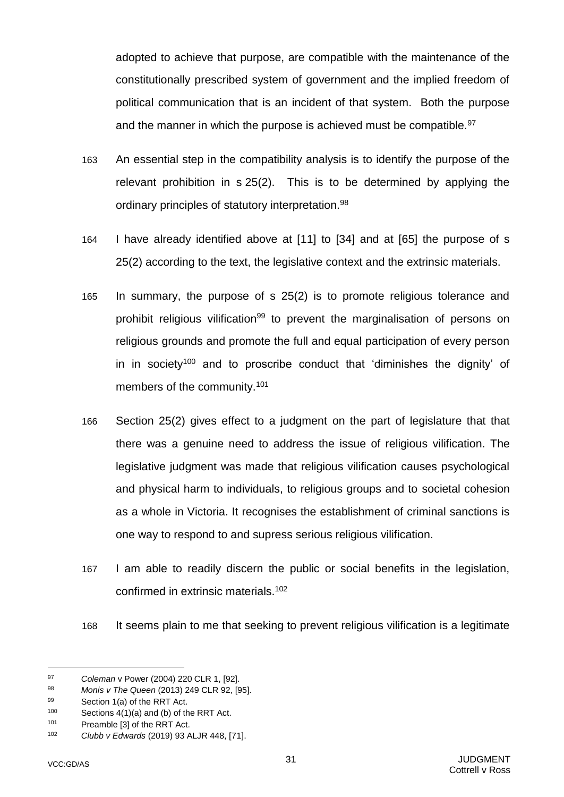adopted to achieve that purpose, are compatible with the maintenance of the constitutionally prescribed system of government and the implied freedom of political communication that is an incident of that system. Both the purpose and the manner in which the purpose is achieved must be compatible.<sup>97</sup>

- 163 An essential step in the compatibility analysis is to identify the purpose of the relevant prohibition in s 25(2). This is to be determined by applying the ordinary principles of statutory interpretation.<sup>98</sup>
- 164 I have already identified above at [\[11\]](#page-4-2) to [\[34\]](#page-9-1) and at [\[65\]](#page-15-2) the purpose of s 25(2) according to the text, the legislative context and the extrinsic materials.
- 165 In summary, the purpose of s 25(2) is to promote religious tolerance and prohibit religious vilification<sup>99</sup> to prevent the marginalisation of persons on religious grounds and promote the full and equal participation of every person in in society<sup>100</sup> and to proscribe conduct that 'diminishes the dignity' of members of the community.<sup>101</sup>
- 166 Section 25(2) gives effect to a judgment on the part of legislature that that there was a genuine need to address the issue of religious vilification. The legislative judgment was made that religious vilification causes psychological and physical harm to individuals, to religious groups and to societal cohesion as a whole in Victoria. It recognises the establishment of criminal sanctions is one way to respond to and supress serious religious vilification.
- 167 I am able to readily discern the public or social benefits in the legislation, confirmed in extrinsic materials.<sup>102</sup>
- 168 It seems plain to me that seeking to prevent religious vilification is a legitimate

<sup>97</sup> **Coleman v Power (2004) 220 CLR 1, [92].**<br>98 *Monis v The Queen (2*013) 249 CLR 92 JS

<sup>98</sup> *Monis v The Queen* (2013) 249 CLR 92, [95].

<sup>99</sup> Section 1(a) of the RRT Act.

<sup>100</sup> Sections  $4(1)(a)$  and (b) of the RRT Act.

<sup>101</sup> Preamble [3] of the RRT Act.

<sup>102</sup> *Clubb v Edwards* (2019) 93 ALJR 448, [71].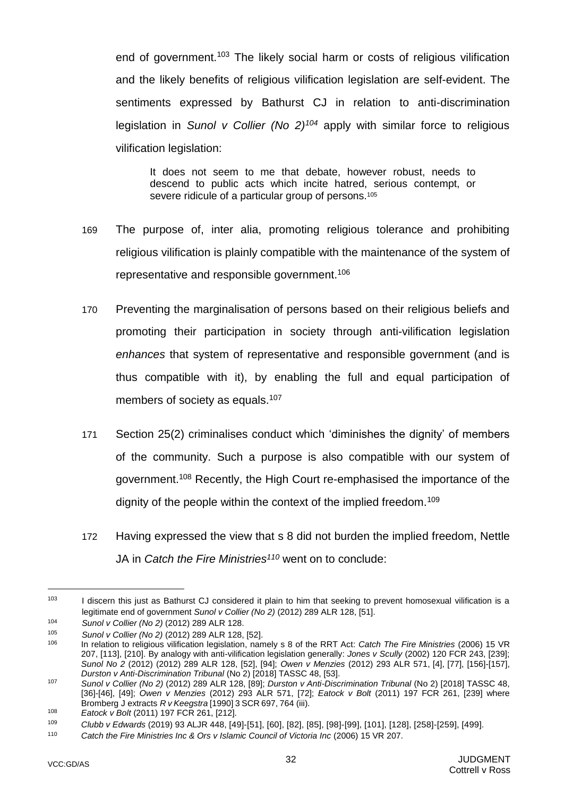end of government.<sup>103</sup> The likely social harm or costs of religious vilification and the likely benefits of religious vilification legislation are self-evident. The sentiments expressed by Bathurst CJ in relation to anti-discrimination legislation in *Sunol v Collier (No 2)<sup>104</sup>* apply with similar force to religious vilification legislation:

It does not seem to me that debate, however robust, needs to descend to public acts which incite hatred, serious contempt, or severe ridicule of a particular group of persons.<sup>105</sup>

- 169 The purpose of, inter alia, promoting religious tolerance and prohibiting religious vilification is plainly compatible with the maintenance of the system of representative and responsible government.<sup>106</sup>
- 170 Preventing the marginalisation of persons based on their religious beliefs and promoting their participation in society through anti-vilification legislation *enhances* that system of representative and responsible government (and is thus compatible with it), by enabling the full and equal participation of members of society as equals.<sup>107</sup>
- 171 Section 25(2) criminalises conduct which 'diminishes the dignity' of members of the community. Such a purpose is also compatible with our system of government.<sup>108</sup> Recently, the High Court re-emphasised the importance of the dignity of the people within the context of the implied freedom.<sup>109</sup>
- 172 Having expressed the view that s 8 did not burden the implied freedom, Nettle JA in *Catch the Fire Ministries<sup>110</sup>* went on to conclude:

 $103$  I discern this just as Bathurst CJ considered it plain to him that seeking to prevent homosexual vilification is a legitimate end of government *Sunol v Collier (No 2)* (2012) 289 ALR 128, [51].

<sup>104</sup> *Sunol v Collier (No 2)* (2012) 289 ALR 128.

<sup>105</sup> *Sunol v Collier (No 2)* (2012) 289 ALR 128, [52].

<sup>106</sup> In relation to religious vilification legislation, namely s 8 of the RRT Act: *Catch The Fire Ministries* (2006) 15 VR 207, [113], [210]. By analogy with anti-vilification legislation generally: *Jones v Scully* (2002) 120 FCR 243, [239]; *Sunol No 2* (2012) (2012) 289 ALR 128, [52], [94]; *Owen v Menzies* (2012) 293 ALR 571, [4], [77], [156]-[157], *Durston v Anti-Discrimination Tribunal* (No 2) [2018] TASSC 48, [53].

<sup>107</sup> *Sunol v Collier (No 2)* (2012) 289 ALR 128, [89]; *Durston v Anti-Discrimination Tribunal* (No 2) [2018] TASSC 48, [36]-[46], [49]; *Owen v Menzies* (2012) 293 ALR 571, [72]; *Eatock v Bolt* (2011) 197 FCR 261, [239] where Bromberg J extracts *R v Keegstra* [1990] 3 SCR 697, 764 (iii).

<sup>108</sup> *Eatock v Bolt* (2011) 197 FCR 261, [212].

<sup>109</sup> *Clubb v Edwards* (2019) 93 ALJR 448, [49]-[51], [60], [82], [85], [98]-[99], [101], [128], [258]-[259], [499].

<sup>110</sup> *Catch the Fire Ministries Inc & Ors v Islamic Council of Victoria Inc* (2006) 15 VR 207.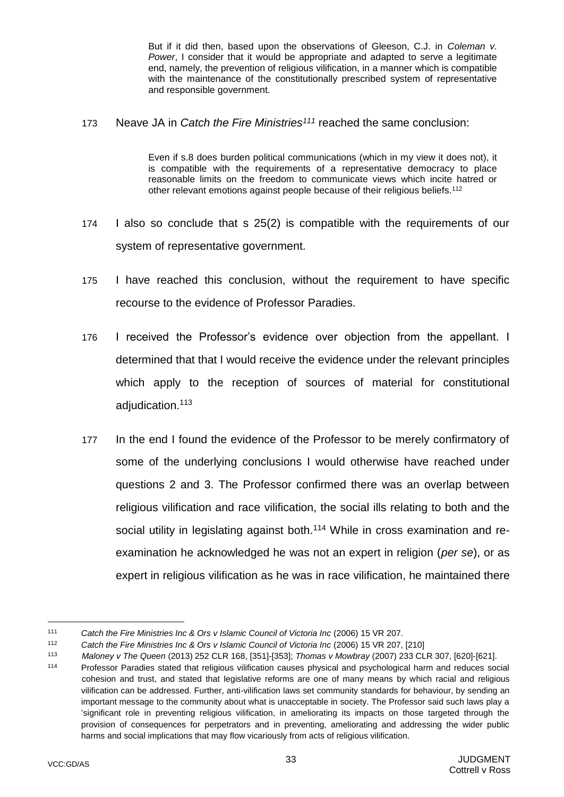But if it did then, based upon the observations of Gleeson, C.J. in *Coleman v. Power*, I consider that it would be appropriate and adapted to serve a legitimate end, namely, the prevention of religious vilification, in a manner which is compatible with the maintenance of the constitutionally prescribed system of representative and responsible government.

173 Neave JA in *Catch the Fire Ministries<sup>111</sup>* reached the same conclusion:

Even if s.8 does burden political communications (which in my view it does not), it is compatible with the requirements of a representative democracy to place reasonable limits on the freedom to communicate views which incite hatred or other relevant emotions against people because of their religious beliefs.<sup>112</sup>

- 174 I also so conclude that s 25(2) is compatible with the requirements of our system of representative government.
- 175 I have reached this conclusion, without the requirement to have specific recourse to the evidence of Professor Paradies.
- 176 I received the Professor's evidence over objection from the appellant. I determined that that I would receive the evidence under the relevant principles which apply to the reception of sources of material for constitutional adjudication.<sup>113</sup>
- 177 In the end I found the evidence of the Professor to be merely confirmatory of some of the underlying conclusions I would otherwise have reached under questions 2 and 3. The Professor confirmed there was an overlap between religious vilification and race vilification, the social ills relating to both and the social utility in legislating against both.<sup>114</sup> While in cross examination and reexamination he acknowledged he was not an expert in religion (*per se*), or as expert in religious vilification as he was in race vilification, he maintained there

<sup>111</sup> *Catch the Fire Ministries Inc & Ors v Islamic Council of Victoria Inc* (2006) 15 VR 207.

<sup>112</sup> *Catch the Fire Ministries Inc & Ors v Islamic Council of Victoria Inc* (2006) 15 VR 207, [210]

<sup>113</sup> *Maloney v The Queen* (2013) 252 CLR 168, [351]-[353]; *Thomas v Mowbray* (2007) 233 CLR 307, [620]-[621].

<sup>114</sup> Professor Paradies stated that religious vilification causes physical and psychological harm and reduces social cohesion and trust, and stated that legislative reforms are one of many means by which racial and religious vilification can be addressed. Further, anti-vilification laws set community standards for behaviour, by sending an important message to the community about what is unacceptable in society. The Professor said such laws play a 'significant role in preventing religious vilification, in ameliorating its impacts on those targeted through the provision of consequences for perpetrators and in preventing, ameliorating and addressing the wider public harms and social implications that may flow vicariously from acts of religious vilification.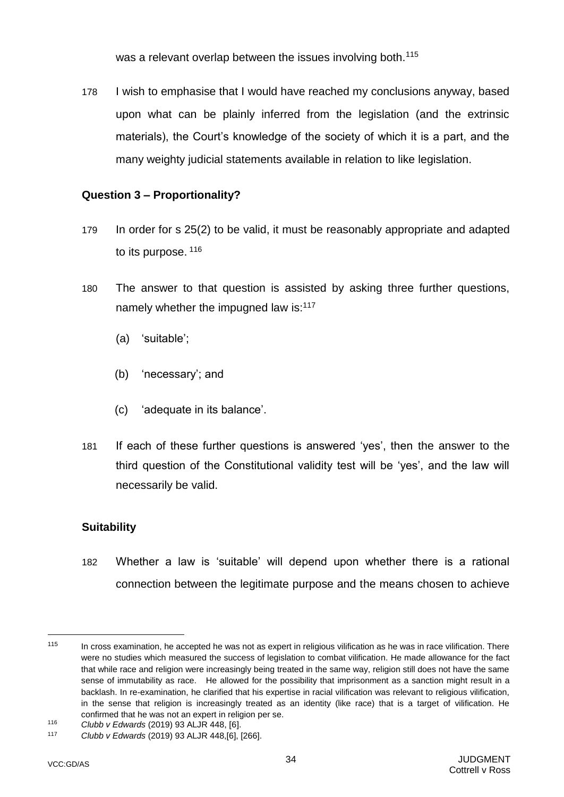was a relevant overlap between the issues involving both.<sup>115</sup>

<span id="page-36-0"></span>178 I wish to emphasise that I would have reached my conclusions anyway, based upon what can be plainly inferred from the legislation (and the extrinsic materials), the Court's knowledge of the society of which it is a part, and the many weighty judicial statements available in relation to like legislation.

### **Question 3 – Proportionality?**

- 179 In order for s 25(2) to be valid, it must be reasonably appropriate and adapted to its purpose. 116
- 180 The answer to that question is assisted by asking three further questions, namely whether the impugned law is:<sup>117</sup>
	- (a) 'suitable';
	- (b) 'necessary'; and
	- (c) 'adequate in its balance'.
- 181 If each of these further questions is answered 'yes', then the answer to the third question of the Constitutional validity test will be 'yes', and the law will necessarily be valid.

# **Suitability**

182 Whether a law is 'suitable' will depend upon whether there is a rational connection between the legitimate purpose and the means chosen to achieve

 $115$  In cross examination, he accepted he was not as expert in religious vilification as he was in race vilification. There were no studies which measured the success of legislation to combat vilification. He made allowance for the fact that while race and religion were increasingly being treated in the same way, religion still does not have the same sense of immutability as race. He allowed for the possibility that imprisonment as a sanction might result in a backlash. In re-examination, he clarified that his expertise in racial vilification was relevant to religious vilification, in the sense that religion is increasingly treated as an identity (like race) that is a target of vilification. He confirmed that he was not an expert in religion per se.

<sup>116</sup> *Clubb v Edwards* (2019) 93 ALJR 448, [6].

<sup>117</sup> *Clubb v Edwards* (2019) 93 ALJR 448,[6], [266].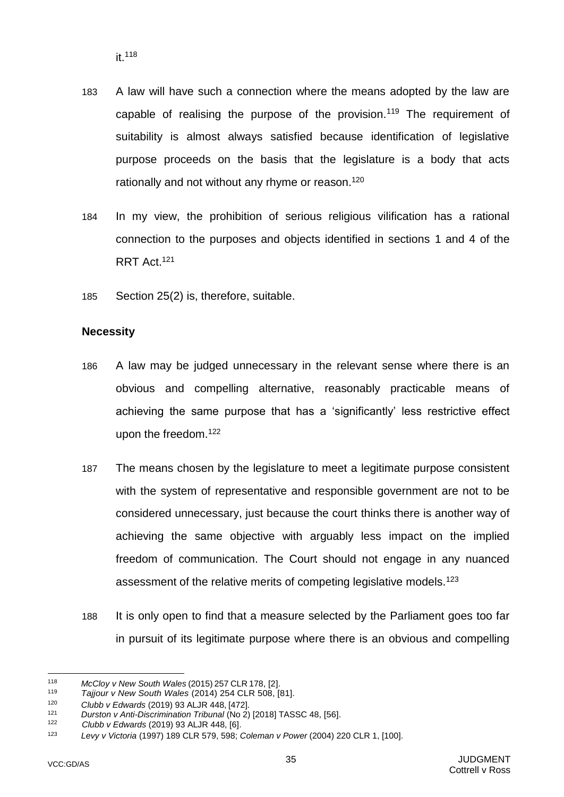- 183 A law will have such a connection where the means adopted by the law are capable of realising the purpose of the provision.<sup>119</sup> The requirement of suitability is almost always satisfied because identification of legislative purpose proceeds on the basis that the legislature is a body that acts rationally and not without any rhyme or reason.<sup>120</sup>
- 184 In my view, the prohibition of serious religious vilification has a rational connection to the purposes and objects identified in sections 1 and 4 of the RRT Act.<sup>121</sup>
- 185 Section 25(2) is, therefore, suitable.

### **Necessity**

- 186 A law may be judged unnecessary in the relevant sense where there is an obvious and compelling alternative, reasonably practicable means of achieving the same purpose that has a 'significantly' less restrictive effect upon the freedom.<sup>122</sup>
- 187 The means chosen by the legislature to meet a legitimate purpose consistent with the system of representative and responsible government are not to be considered unnecessary, just because the court thinks there is another way of achieving the same objective with arguably less impact on the implied freedom of communication. The Court should not engage in any nuanced assessment of the relative merits of competing legislative models.<sup>123</sup>
- 188 It is only open to find that a measure selected by the Parliament goes too far in pursuit of its legitimate purpose where there is an obvious and compelling

l <sup>118</sup> *McCloy v New South Wales* (2015) 257 CLR 178, [2].

<sup>119</sup> *Tajjour v New South Wales* (2014) 254 CLR 508, [81].

<sup>120</sup> *Clubb v Edwards* (2019) 93 ALJR 448, [472].

<sup>121</sup> *Durston v Anti-Discrimination Tribunal* (No 2) [2018] TASSC 48, [56].

<sup>122</sup> *Clubb v Edwards* (2019) 93 ALJR 448, [6].

<sup>123</sup> *Levy v Victoria* (1997) 189 CLR 579, 598; *Coleman v Power* (2004) 220 CLR 1, [100].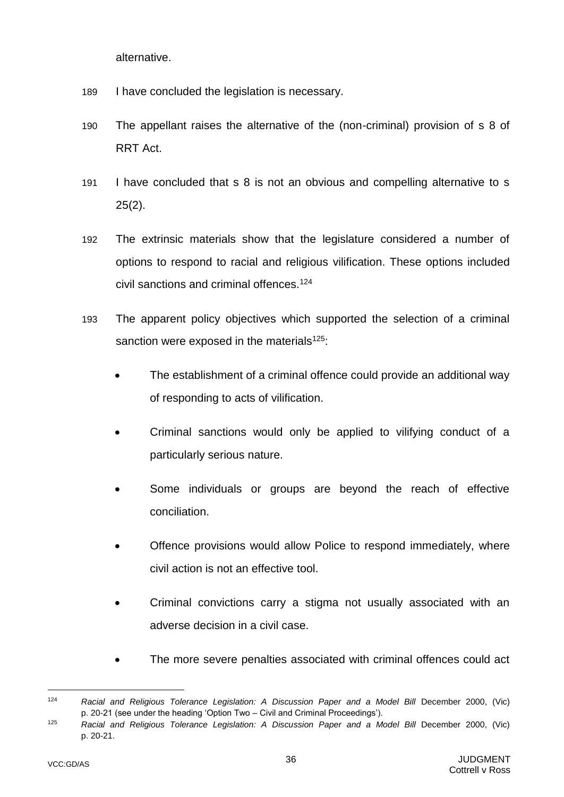alternative.

- 189 I have concluded the legislation is necessary.
- 190 The appellant raises the alternative of the (non-criminal) provision of s 8 of RRT Act.
- 191 I have concluded that s 8 is not an obvious and compelling alternative to s 25(2).
- 192 The extrinsic materials show that the legislature considered a number of options to respond to racial and religious vilification. These options included civil sanctions and criminal offences.<sup>124</sup>
- 193 The apparent policy objectives which supported the selection of a criminal sanction were exposed in the materials<sup>125</sup>:
	- The establishment of a criminal offence could provide an additional way of responding to acts of vilification.
	- Criminal sanctions would only be applied to vilifying conduct of a particularly serious nature.
	- Some individuals or groups are beyond the reach of effective conciliation.
	- Offence provisions would allow Police to respond immediately, where civil action is not an effective tool.
	- Criminal convictions carry a stigma not usually associated with an adverse decision in a civil case.
	- The more severe penalties associated with criminal offences could act

<sup>&</sup>lt;sup>124</sup> Racial and Religious Tolerance Legislation: A Discussion Paper and a Model Bill December 2000, (Vic) p. 20-21 (see under the heading 'Option Two – Civil and Criminal Proceedings').

<sup>&</sup>lt;sup>125</sup> Racial and Religious Tolerance Legislation: A Discussion Paper and a Model Bill December 2000, (Vic) p. 20-21.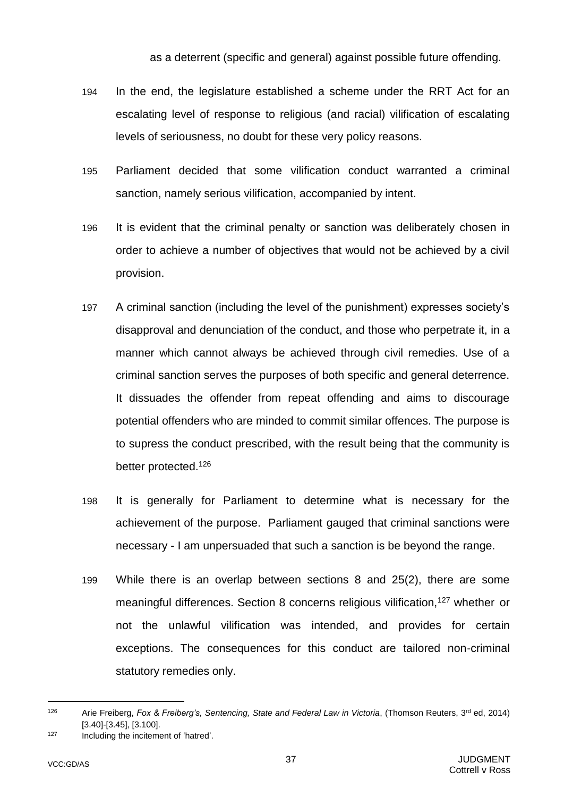as a deterrent (specific and general) against possible future offending.

- 194 In the end, the legislature established a scheme under the RRT Act for an escalating level of response to religious (and racial) vilification of escalating levels of seriousness, no doubt for these very policy reasons.
- 195 Parliament decided that some vilification conduct warranted a criminal sanction, namely serious vilification, accompanied by intent.
- 196 It is evident that the criminal penalty or sanction was deliberately chosen in order to achieve a number of objectives that would not be achieved by a civil provision.
- 197 A criminal sanction (including the level of the punishment) expresses society's disapproval and denunciation of the conduct, and those who perpetrate it, in a manner which cannot always be achieved through civil remedies. Use of a criminal sanction serves the purposes of both specific and general deterrence. It dissuades the offender from repeat offending and aims to discourage potential offenders who are minded to commit similar offences. The purpose is to supress the conduct prescribed, with the result being that the community is better protected.<sup>126</sup>
- 198 It is generally for Parliament to determine what is necessary for the achievement of the purpose. Parliament gauged that criminal sanctions were necessary - I am unpersuaded that such a sanction is be beyond the range.
- 199 While there is an overlap between sections 8 and 25(2), there are some meaningful differences. Section 8 concerns religious vilification,<sup>127</sup> whether or not the unlawful vilification was intended, and provides for certain exceptions. The consequences for this conduct are tailored non-criminal statutory remedies only.

<sup>126</sup> Arie Freiberg, *Fox & Freiberg's, Sentencing, State and Federal Law in Victoria*, (Thomson Reuters, 3rd ed, 2014) [3.40]-[3.45], [3.100].

<sup>127</sup> Including the incitement of 'hatred'.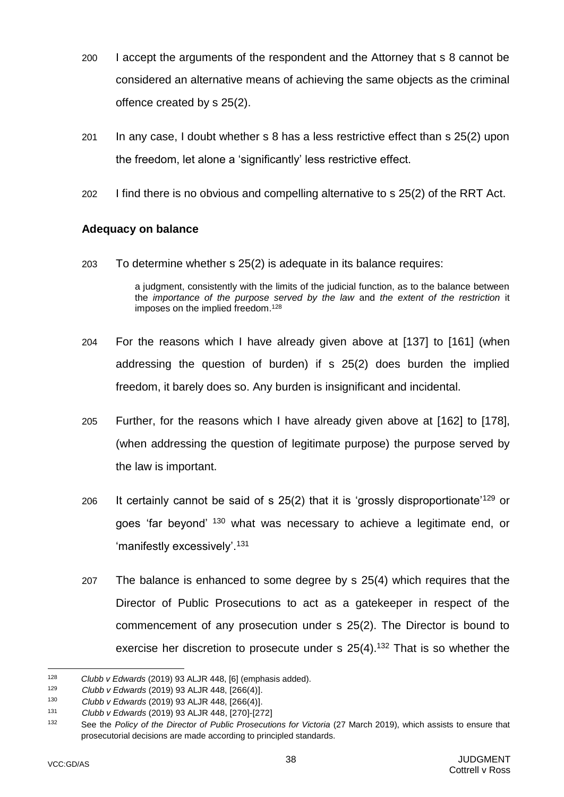- 200 I accept the arguments of the respondent and the Attorney that s 8 cannot be considered an alternative means of achieving the same objects as the criminal offence created by s 25(2).
- 201 In any case, I doubt whether s 8 has a less restrictive effect than s 25(2) upon the freedom, let alone a 'significantly' less restrictive effect.
- 202 I find there is no obvious and compelling alternative to s 25(2) of the RRT Act.

### **Adequacy on balance**

203 To determine whether s 25(2) is adequate in its balance requires:

a judgment, consistently with the limits of the judicial function, as to the balance between the *importance of the purpose served by the law* and *the extent of the restriction* it imposes on the implied freedom.<sup>128</sup>

- 204 For the reasons which I have already given above at [\[137\]](#page-28-0) to [\[161\]](#page-32-0) (when addressing the question of burden) if s 25(2) does burden the implied freedom, it barely does so. Any burden is insignificant and incidental.
- 205 Further, for the reasons which I have already given above at [\[162\]](#page-32-1) to [\[178\]](#page-36-0), (when addressing the question of legitimate purpose) the purpose served by the law is important.
- 206 It certainly cannot be said of s 25(2) that it is 'grossly disproportionate'<sup>129</sup> or goes 'far beyond' <sup>130</sup> what was necessary to achieve a legitimate end, or 'manifestly excessively'.<sup>131</sup>
- 207 The balance is enhanced to some degree by s 25(4) which requires that the Director of Public Prosecutions to act as a gatekeeper in respect of the commencement of any prosecution under s 25(2). The Director is bound to exercise her discretion to prosecute under  $s$  25(4).<sup>132</sup> That is so whether the

<sup>128</sup> <sup>128</sup> *Clubb v Edwards* (2019) 93 ALJR 448, [6] (emphasis added).

<sup>129</sup> *Clubb v Edwards* (2019) 93 ALJR 448, [266(4)].

<sup>130</sup> *Clubb v Edwards* (2019) 93 ALJR 448, [266(4)].

<sup>131</sup> *Clubb v Edwards* (2019) 93 ALJR 448, [270]-[272]

<sup>132</sup> See the *Policy of the Director of Public Prosecutions for Victoria* (27 March 2019), which assists to ensure that prosecutorial decisions are made according to principled standards.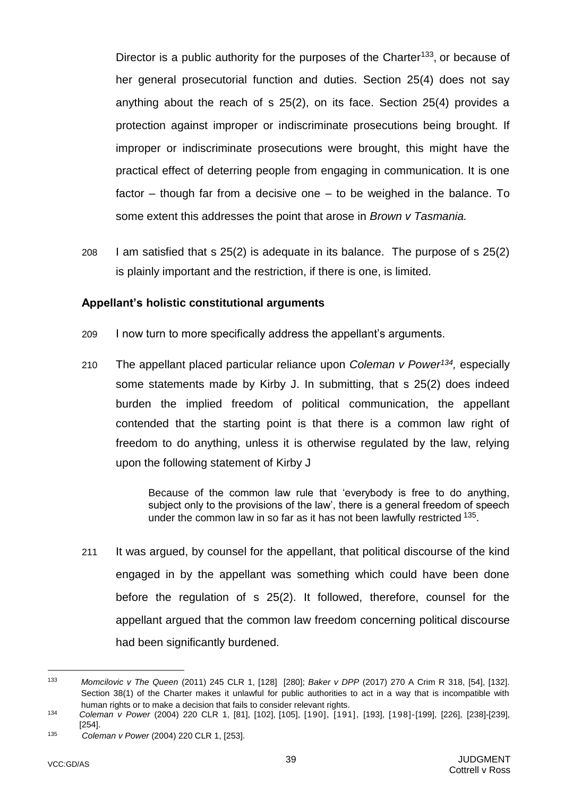Director is a public authority for the purposes of the Charter<sup>133</sup>, or because of her general prosecutorial function and duties. Section 25(4) does not say anything about the reach of s 25(2), on its face. Section 25(4) provides a protection against improper or indiscriminate prosecutions being brought. If improper or indiscriminate prosecutions were brought, this might have the practical effect of deterring people from engaging in communication. It is one factor – though far from a decisive one – to be weighed in the balance. To some extent this addresses the point that arose in *Brown v Tasmania.* 

208 I am satisfied that s 25(2) is adequate in its balance. The purpose of s 25(2) is plainly important and the restriction, if there is one, is limited.

#### **Appellant's holistic constitutional arguments**

- 209 I now turn to more specifically address the appellant's arguments.
- 210 The appellant placed particular reliance upon *Coleman v Power<sup>134</sup> ,* especially some statements made by Kirby J. In submitting, that s 25(2) does indeed burden the implied freedom of political communication, the appellant contended that the starting point is that there is a common law right of freedom to do anything, unless it is otherwise regulated by the law, relying upon the following statement of Kirby J

Because of the common law rule that 'everybody is free to do anything, subject only to the provisions of the law', there is a general freedom of speech under the common law in so far as it has not been lawfully restricted <sup>135</sup>.

211 It was argued, by counsel for the appellant, that political discourse of the kind engaged in by the appellant was something which could have been done before the regulation of s 25(2). It followed, therefore, counsel for the appellant argued that the common law freedom concerning political discourse had been significantly burdened.

<sup>133</sup> *Momcilovic v The Queen* (2011) 245 CLR 1, [128] [280]; *Baker v DPP* (2017) 270 A Crim R 318, [54], [132]. Section 38(1) of the Charter makes it unlawful for public authorities to act in a way that is incompatible with human rights or to make a decision that fails to consider relevant rights.

<sup>134</sup> *Coleman v Power* (2004) 220 CLR 1, [81], [102], [105], [190], [191], [193], [198]-[199], [226], [238]-[239], [254].

<sup>135</sup> *Coleman v Power* (2004) 220 CLR 1, [253].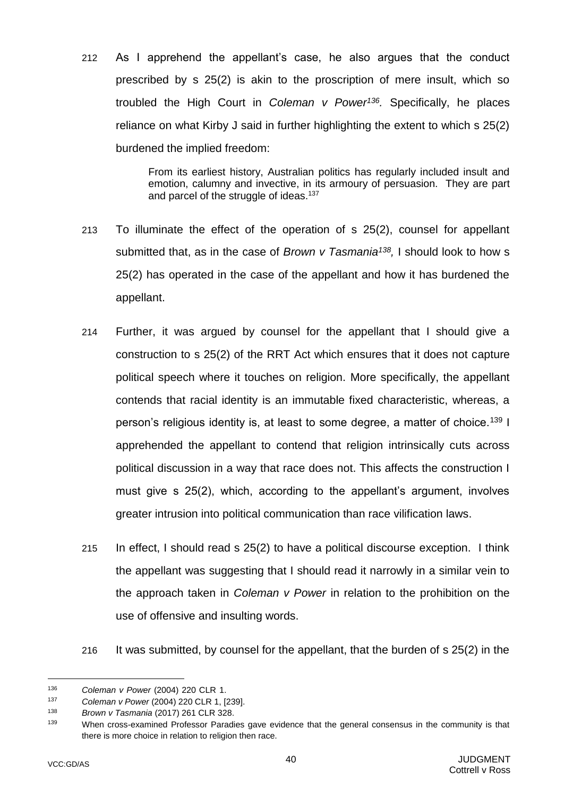212 As I apprehend the appellant's case, he also argues that the conduct prescribed by s 25(2) is akin to the proscription of mere insult, which so troubled the High Court in *Coleman v Power<sup>136</sup> .* Specifically, he places reliance on what Kirby J said in further highlighting the extent to which s 25(2) burdened the implied freedom:

> From its earliest history, Australian politics has regularly included insult and emotion, calumny and invective, in its armoury of persuasion. They are part and parcel of the struggle of ideas.<sup>137</sup>

- 213 To illuminate the effect of the operation of s 25(2), counsel for appellant submitted that, as in the case of *Brown v Tasmania<sup>138</sup> ,* I should look to how s 25(2) has operated in the case of the appellant and how it has burdened the appellant.
- 214 Further, it was argued by counsel for the appellant that I should give a construction to s 25(2) of the RRT Act which ensures that it does not capture political speech where it touches on religion. More specifically, the appellant contends that racial identity is an immutable fixed characteristic, whereas, a person's religious identity is, at least to some degree, a matter of choice.<sup>139</sup> I apprehended the appellant to contend that religion intrinsically cuts across political discussion in a way that race does not. This affects the construction I must give s 25(2), which, according to the appellant's argument, involves greater intrusion into political communication than race vilification laws.
- 215 In effect, I should read s 25(2) to have a political discourse exception. I think the appellant was suggesting that I should read it narrowly in a similar vein to the approach taken in *Coleman v Power* in relation to the prohibition on the use of offensive and insulting words.
- 216 It was submitted, by counsel for the appellant, that the burden of s 25(2) in the

<sup>136</sup> *Coleman v Power* (2004) 220 CLR 1.

<sup>137</sup> *Coleman v Power* (2004) 220 CLR 1, [239].

<sup>138</sup> *Brown v Tasmania* (2017) 261 CLR 328.

<sup>139</sup> When cross-examined Professor Paradies gave evidence that the general consensus in the community is that there is more choice in relation to religion then race.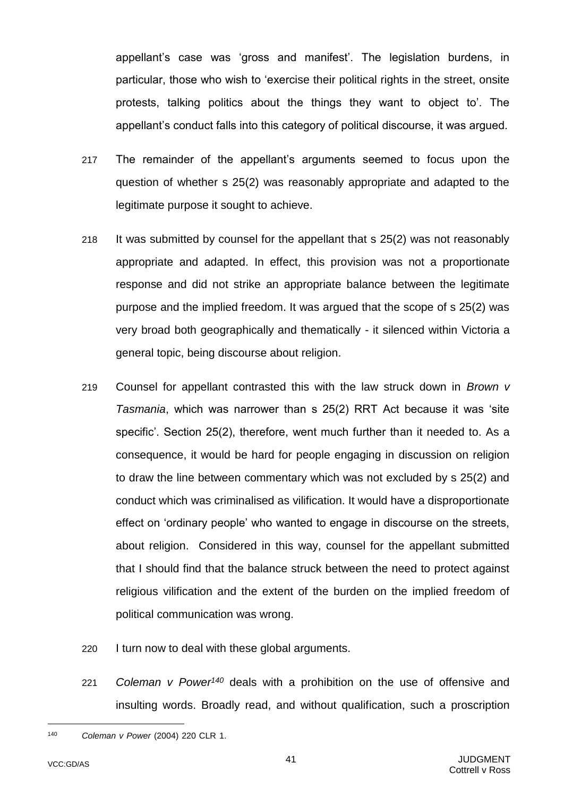appellant's case was 'gross and manifest'. The legislation burdens, in particular, those who wish to 'exercise their political rights in the street, onsite protests, talking politics about the things they want to object to'. The appellant's conduct falls into this category of political discourse, it was argued.

- 217 The remainder of the appellant's arguments seemed to focus upon the question of whether s 25(2) was reasonably appropriate and adapted to the legitimate purpose it sought to achieve.
- 218 It was submitted by counsel for the appellant that s 25(2) was not reasonably appropriate and adapted. In effect, this provision was not a proportionate response and did not strike an appropriate balance between the legitimate purpose and the implied freedom. It was argued that the scope of s 25(2) was very broad both geographically and thematically - it silenced within Victoria a general topic, being discourse about religion.
- 219 Counsel for appellant contrasted this with the law struck down in *Brown v Tasmania*, which was narrower than s 25(2) RRT Act because it was 'site specific'. Section 25(2), therefore, went much further than it needed to. As a consequence, it would be hard for people engaging in discussion on religion to draw the line between commentary which was not excluded by s 25(2) and conduct which was criminalised as vilification. It would have a disproportionate effect on 'ordinary people' who wanted to engage in discourse on the streets, about religion. Considered in this way, counsel for the appellant submitted that I should find that the balance struck between the need to protect against religious vilification and the extent of the burden on the implied freedom of political communication was wrong.
- 220 I turn now to deal with these global arguments.
- 221 *Coleman v Power<sup>140</sup>* deals with a prohibition on the use of offensive and insulting words. Broadly read, and without qualification, such a proscription

<sup>140</sup> *Coleman v Power* (2004) 220 CLR 1.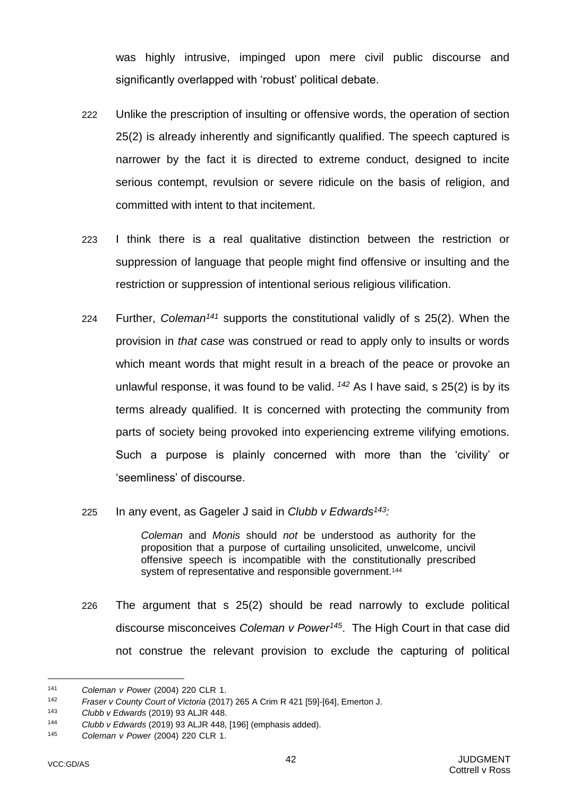was highly intrusive, impinged upon mere civil public discourse and significantly overlapped with 'robust' political debate.

- 222 Unlike the prescription of insulting or offensive words, the operation of section 25(2) is already inherently and significantly qualified. The speech captured is narrower by the fact it is directed to extreme conduct, designed to incite serious contempt, revulsion or severe ridicule on the basis of religion, and committed with intent to that incitement.
- 223 I think there is a real qualitative distinction between the restriction or suppression of language that people might find offensive or insulting and the restriction or suppression of intentional serious religious vilification.
- 224 Further, *Coleman<sup>141</sup>* supports the constitutional validly of s 25(2). When the provision in *that case* was construed or read to apply only to insults or words which meant words that might result in a breach of the peace or provoke an unlawful response, it was found to be valid. *<sup>142</sup>* As I have said, s 25(2) is by its terms already qualified. It is concerned with protecting the community from parts of society being provoked into experiencing extreme vilifying emotions. Such a purpose is plainly concerned with more than the 'civility' or 'seemliness' of discourse.
- 225 In any event, as Gageler J said in *Clubb v Edwards<sup>143</sup>:*

*Coleman* and *Monis* should *not* be understood as authority for the proposition that a purpose of curtailing unsolicited, unwelcome, uncivil offensive speech is incompatible with the constitutionally prescribed system of representative and responsible government.<sup>144</sup>

226 The argument that s 25(2) should be read narrowly to exclude political discourse misconceives *Coleman v Power<sup>145</sup>*. The High Court in that case did not construe the relevant provision to exclude the capturing of political

<sup>141</sup> *Coleman v Power* (2004) 220 CLR 1.

<sup>142</sup> *Fraser v County Court of Victoria* (2017) 265 A Crim R 421 [59]-[64], Emerton J.

<sup>143</sup> *Clubb v Edwards* (2019) 93 ALJR 448.

<sup>144</sup> *Clubb v Edwards* (2019) 93 ALJR 448, [196] (emphasis added).

<sup>145</sup> *Coleman v Power* (2004) 220 CLR 1.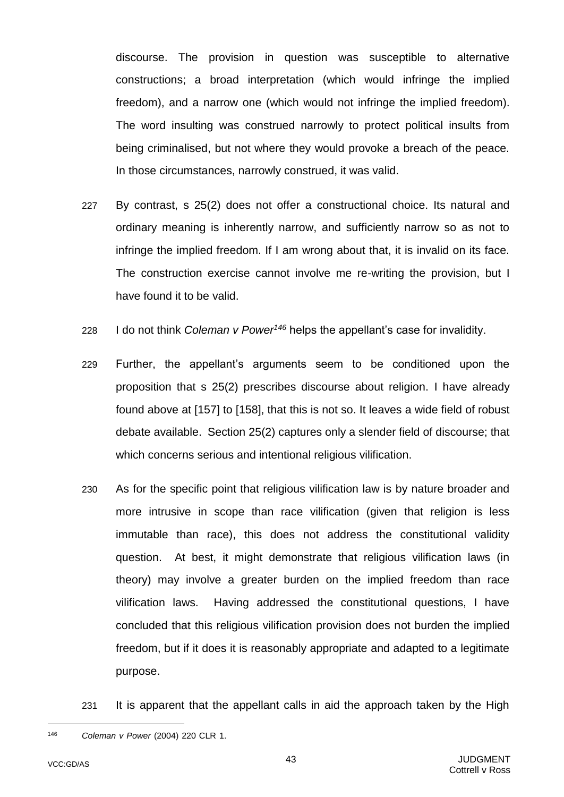discourse. The provision in question was susceptible to alternative constructions; a broad interpretation (which would infringe the implied freedom), and a narrow one (which would not infringe the implied freedom). The word insulting was construed narrowly to protect political insults from being criminalised, but not where they would provoke a breach of the peace. In those circumstances, narrowly construed, it was valid.

- 227 By contrast, s 25(2) does not offer a constructional choice. Its natural and ordinary meaning is inherently narrow, and sufficiently narrow so as not to infringe the implied freedom. If I am wrong about that, it is invalid on its face. The construction exercise cannot involve me re-writing the provision, but I have found it to be valid.
- 228 I do not think *Coleman v Power<sup>146</sup>* helps the appellant's case for invalidity.
- 229 Further, the appellant's arguments seem to be conditioned upon the proposition that s 25(2) prescribes discourse about religion. I have already found above at [\[157\]](#page-31-0) to [\[158\]](#page-32-2), that this is not so. It leaves a wide field of robust debate available. Section 25(2) captures only a slender field of discourse; that which concerns serious and intentional religious vilification.
- 230 As for the specific point that religious vilification law is by nature broader and more intrusive in scope than race vilification (given that religion is less immutable than race), this does not address the constitutional validity question. At best, it might demonstrate that religious vilification laws (in theory) may involve a greater burden on the implied freedom than race vilification laws. Having addressed the constitutional questions, I have concluded that this religious vilification provision does not burden the implied freedom, but if it does it is reasonably appropriate and adapted to a legitimate purpose.
- <span id="page-45-0"></span>231 It is apparent that the appellant calls in aid the approach taken by the High

<sup>146</sup> *Coleman v Power* (2004) 220 CLR 1.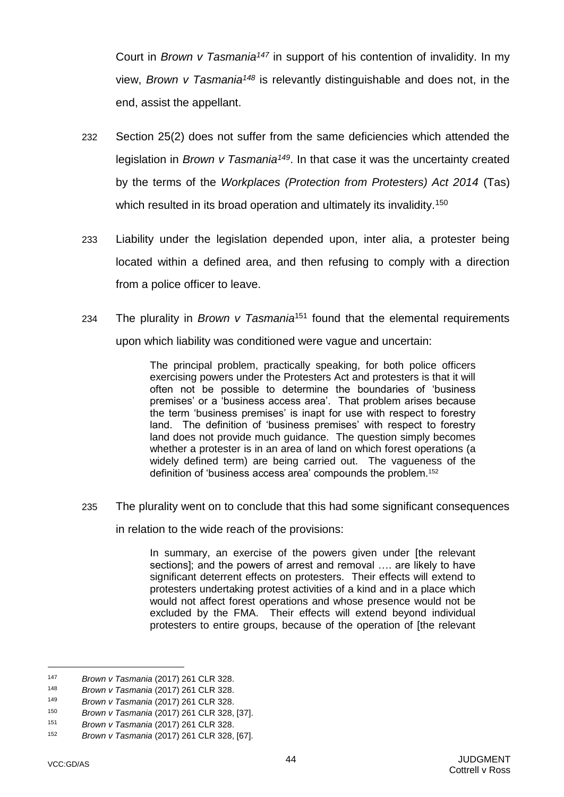Court in *Brown v Tasmania<sup>147</sup>* in support of his contention of invalidity. In my view, *Brown v Tasmania<sup>148</sup>* is relevantly distinguishable and does not, in the end, assist the appellant.

- 232 Section 25(2) does not suffer from the same deficiencies which attended the legislation in *Brown v Tasmania<sup>149</sup>*. In that case it was the uncertainty created by the terms of the *Workplaces (Protection from Protesters) Act 2014* (Tas) which resulted in its broad operation and ultimately its invalidity.<sup>150</sup>
- 233 Liability under the legislation depended upon, inter alia, a protester being located within a defined area, and then refusing to comply with a direction from a police officer to leave.
- 234 The plurality in *Brown v Tasmania*<sup>151</sup> found that the elemental requirements upon which liability was conditioned were vague and uncertain:

The principal problem, practically speaking, for both police officers exercising powers under the Protesters Act and protesters is that it will often not be possible to determine the boundaries of 'business premises' or a 'business access area'. That problem arises because the term 'business premises' is inapt for use with respect to forestry land. The definition of 'business premises' with respect to forestry land does not provide much guidance. The question simply becomes whether a protester is in an area of land on which forest operations (a widely defined term) are being carried out. The vagueness of the definition of 'business access area' compounds the problem.<sup>152</sup>

235 The plurality went on to conclude that this had some significant consequences

in relation to the wide reach of the provisions:

In summary, an exercise of the powers given under [the relevant sections]; and the powers of arrest and removal …. are likely to have significant deterrent effects on protesters. Their effects will extend to protesters undertaking protest activities of a kind and in a place which would not affect forest operations and whose presence would not be excluded by the FMA. Their effects will extend beyond individual protesters to entire groups, because of the operation of [the relevant

<sup>147</sup> *Brown v Tasmania* (2017) 261 CLR 328.

<sup>148</sup> *Brown v Tasmania* (2017) 261 CLR 328.

<sup>149</sup> *Brown v Tasmania* (2017) 261 CLR 328.

<sup>150</sup> *Brown v Tasmania* (2017) 261 CLR 328, [37].

<sup>151</sup> *Brown v Tasmania* (2017) 261 CLR 328.

<sup>152</sup> *Brown v Tasmania* (2017) 261 CLR 328, [67].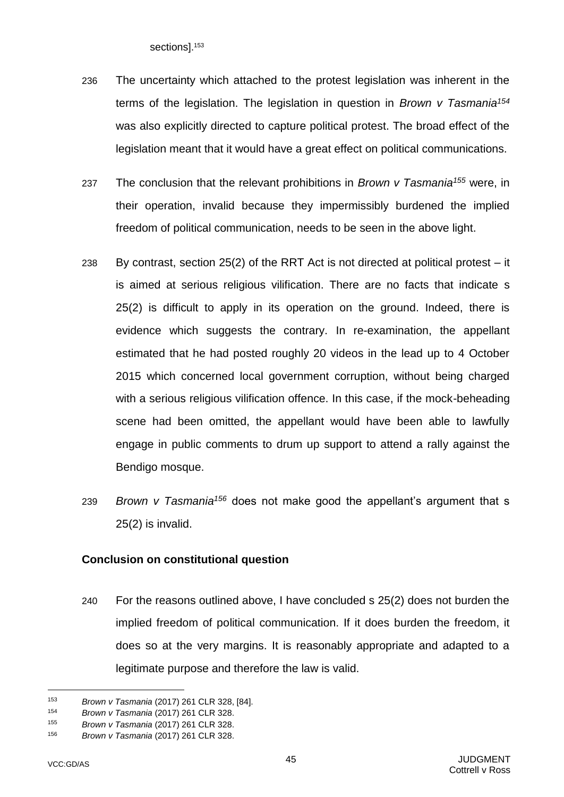sections].<sup>153</sup>

- 236 The uncertainty which attached to the protest legislation was inherent in the terms of the legislation. The legislation in question in *Brown v Tasmania<sup>154</sup>* was also explicitly directed to capture political protest. The broad effect of the legislation meant that it would have a great effect on political communications.
- 237 The conclusion that the relevant prohibitions in *Brown v Tasmania<sup>155</sup>* were, in their operation, invalid because they impermissibly burdened the implied freedom of political communication, needs to be seen in the above light.
- 238 By contrast, section 25(2) of the RRT Act is not directed at political protest it is aimed at serious religious vilification. There are no facts that indicate s 25(2) is difficult to apply in its operation on the ground. Indeed, there is evidence which suggests the contrary. In re-examination, the appellant estimated that he had posted roughly 20 videos in the lead up to 4 October 2015 which concerned local government corruption, without being charged with a serious religious vilification offence. In this case, if the mock-beheading scene had been omitted, the appellant would have been able to lawfully engage in public comments to drum up support to attend a rally against the Bendigo mosque.
- <span id="page-47-0"></span>239 *Brown v Tasmania<sup>156</sup>* does not make good the appellant's argument that s 25(2) is invalid.

## **Conclusion on constitutional question**

240 For the reasons outlined above, I have concluded s 25(2) does not burden the implied freedom of political communication. If it does burden the freedom, it does so at the very margins. It is reasonably appropriate and adapted to a legitimate purpose and therefore the law is valid.

<sup>153</sup> *Brown v Tasmania* (2017) 261 CLR 328, [84].

<sup>154</sup> *Brown v Tasmania* (2017) 261 CLR 328.

<sup>155</sup> *Brown v Tasmania* (2017) 261 CLR 328.

<sup>156</sup> *Brown v Tasmania* (2017) 261 CLR 328.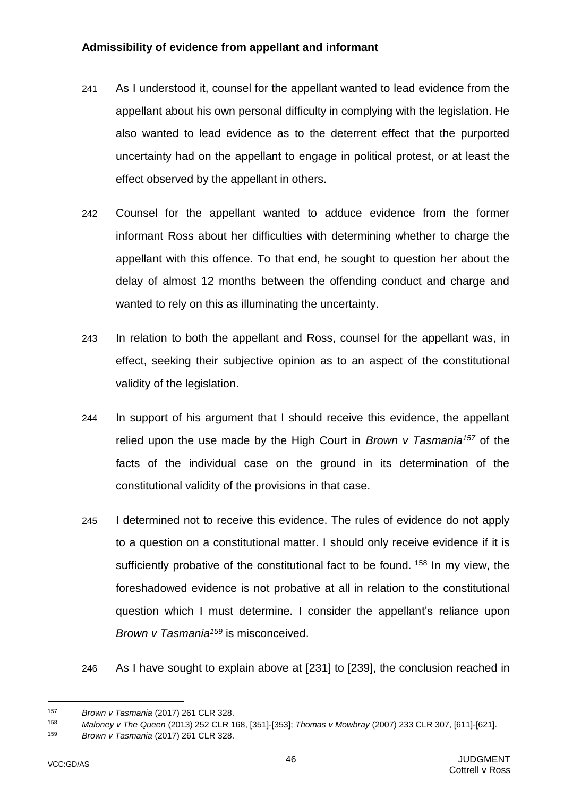## **Admissibility of evidence from appellant and informant**

- 241 As I understood it, counsel for the appellant wanted to lead evidence from the appellant about his own personal difficulty in complying with the legislation. He also wanted to lead evidence as to the deterrent effect that the purported uncertainty had on the appellant to engage in political protest, or at least the effect observed by the appellant in others.
- 242 Counsel for the appellant wanted to adduce evidence from the former informant Ross about her difficulties with determining whether to charge the appellant with this offence. To that end, he sought to question her about the delay of almost 12 months between the offending conduct and charge and wanted to rely on this as illuminating the uncertainty.
- 243 In relation to both the appellant and Ross, counsel for the appellant was, in effect, seeking their subjective opinion as to an aspect of the constitutional validity of the legislation.
- 244 In support of his argument that I should receive this evidence, the appellant relied upon the use made by the High Court in *Brown v Tasmania<sup>157</sup>* of the facts of the individual case on the ground in its determination of the constitutional validity of the provisions in that case.
- 245 I determined not to receive this evidence. The rules of evidence do not apply to a question on a constitutional matter. I should only receive evidence if it is sufficiently probative of the constitutional fact to be found. <sup>158</sup> In my view, the foreshadowed evidence is not probative at all in relation to the constitutional question which I must determine. I consider the appellant's reliance upon *Brown v Tasmania<sup>159</sup>* is misconceived.
- 246 As I have sought to explain above at [\[231\]](#page-45-0) to [\[239\]](#page-47-0), the conclusion reached in

<sup>157</sup> *Brown v Tasmania* (2017) 261 CLR 328.

<sup>158</sup> *Maloney v The Queen* (2013) 252 CLR 168, [351]-[353]; *Thomas v Mowbray* (2007) 233 CLR 307, [611]-[621].

<sup>159</sup> *Brown v Tasmania* (2017) 261 CLR 328.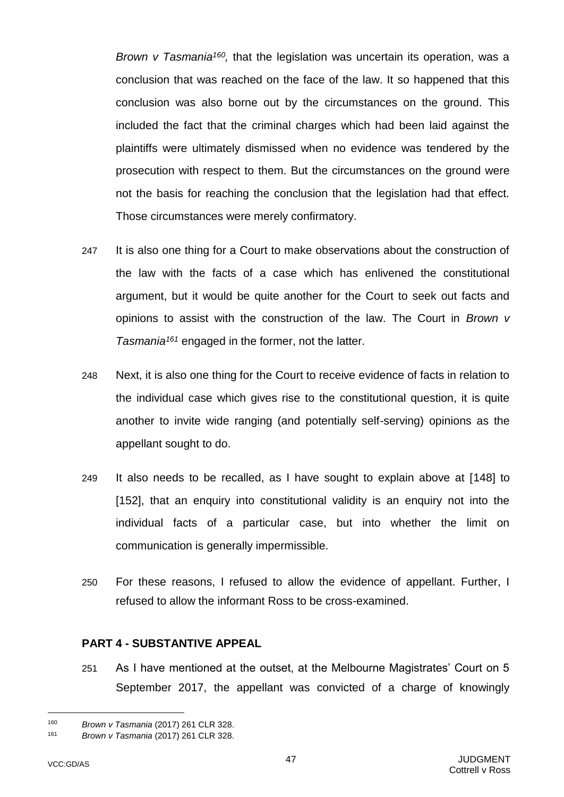Brown v Tasmania<sup>160</sup>, that the legislation was uncertain its operation, was a conclusion that was reached on the face of the law. It so happened that this conclusion was also borne out by the circumstances on the ground. This included the fact that the criminal charges which had been laid against the plaintiffs were ultimately dismissed when no evidence was tendered by the prosecution with respect to them. But the circumstances on the ground were not the basis for reaching the conclusion that the legislation had that effect. Those circumstances were merely confirmatory.

- 247 It is also one thing for a Court to make observations about the construction of the law with the facts of a case which has enlivened the constitutional argument, but it would be quite another for the Court to seek out facts and opinions to assist with the construction of the law. The Court in *Brown v Tasmania<sup>161</sup>* engaged in the former, not the latter.
- 248 Next, it is also one thing for the Court to receive evidence of facts in relation to the individual case which gives rise to the constitutional question, it is quite another to invite wide ranging (and potentially self-serving) opinions as the appellant sought to do.
- 249 It also needs to be recalled, as I have sought to explain above at [\[148\]](#page-29-0) to [\[152\]](#page-30-0), that an enquiry into constitutional validity is an enquiry not into the individual facts of a particular case, but into whether the limit on communication is generally impermissible.
- 250 For these reasons, I refused to allow the evidence of appellant. Further, I refused to allow the informant Ross to be cross-examined.

## **PART 4 - SUBSTANTIVE APPEAL**

251 As I have mentioned at the outset, at the Melbourne Magistrates' Court on 5 September 2017, the appellant was convicted of a charge of knowingly

<sup>160</sup> *Brown v Tasmania* (2017) 261 CLR 328.

<sup>161</sup> *Brown v Tasmania* (2017) 261 CLR 328.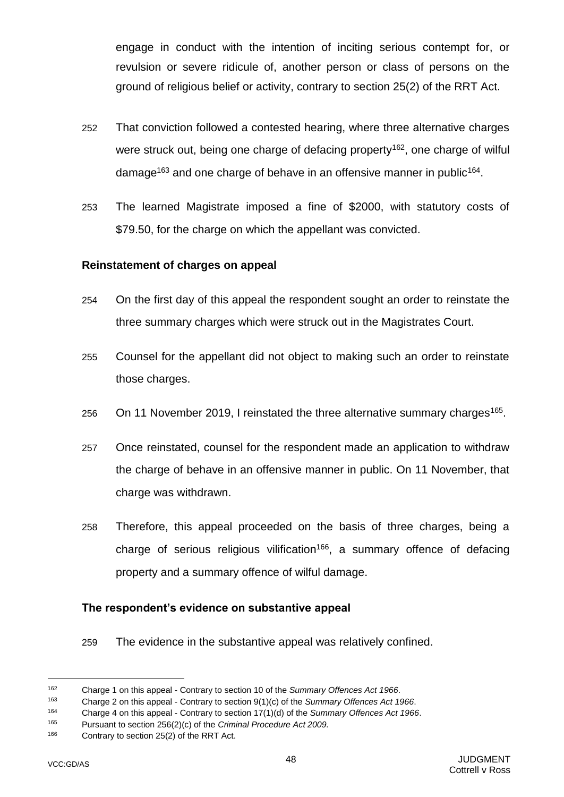engage in conduct with the intention of inciting serious contempt for, or revulsion or severe ridicule of, another person or class of persons on the ground of religious belief or activity, contrary to section 25(2) of the RRT Act.

- 252 That conviction followed a contested hearing, where three alternative charges were struck out, being one charge of defacing property<sup>162</sup>, one charge of wilful damage<sup>163</sup> and one charge of behave in an offensive manner in public<sup>164</sup>.
- 253 The learned Magistrate imposed a fine of \$2000, with statutory costs of \$79.50, for the charge on which the appellant was convicted.

#### **Reinstatement of charges on appeal**

- 254 On the first day of this appeal the respondent sought an order to reinstate the three summary charges which were struck out in the Magistrates Court.
- 255 Counsel for the appellant did not object to making such an order to reinstate those charges.
- 256 On 11 November 2019, I reinstated the three alternative summary charges<sup>165</sup>.
- 257 Once reinstated, counsel for the respondent made an application to withdraw the charge of behave in an offensive manner in public. On 11 November, that charge was withdrawn.
- 258 Therefore, this appeal proceeded on the basis of three charges, being a charge of serious religious vilification<sup>166</sup>, a summary offence of defacing property and a summary offence of wilful damage.

#### **The respondent's evidence on substantive appeal**

259 The evidence in the substantive appeal was relatively confined.

<sup>162</sup> Charge 1 on this appeal - Contrary to section 10 of the *Summary Offences Act 1966*.

<sup>163</sup> Charge 2 on this appeal - Contrary to section 9(1)(c) of the *Summary Offences Act 1966*.

<sup>164</sup> Charge 4 on this appeal - Contrary to section 17(1)(d) of the *Summary Offences Act 1966*.

<sup>165</sup> Pursuant to section 256(2)(c) of the *Criminal Procedure Act 2009.*

<sup>166</sup> Contrary to section 25(2) of the RRT Act.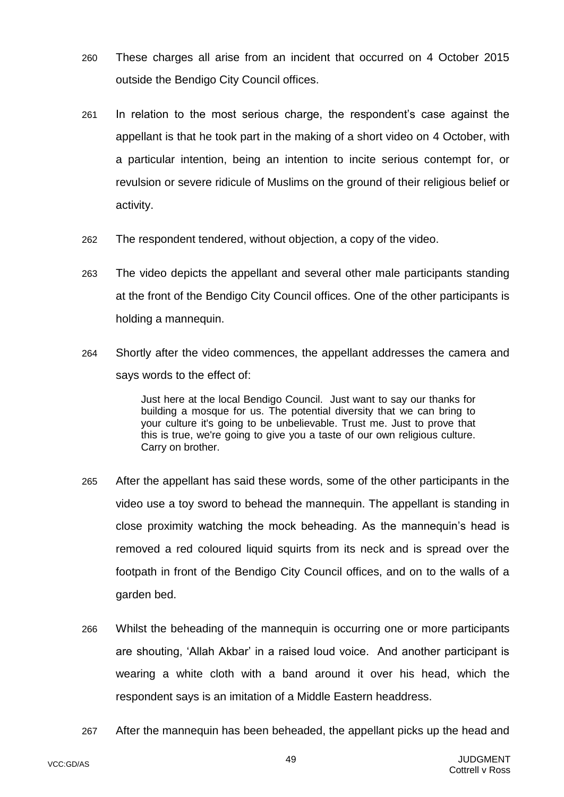- 260 These charges all arise from an incident that occurred on 4 October 2015 outside the Bendigo City Council offices.
- 261 In relation to the most serious charge, the respondent's case against the appellant is that he took part in the making of a short video on 4 October, with a particular intention, being an intention to incite serious contempt for, or revulsion or severe ridicule of Muslims on the ground of their religious belief or activity.
- 262 The respondent tendered, without objection, a copy of the video.
- 263 The video depicts the appellant and several other male participants standing at the front of the Bendigo City Council offices. One of the other participants is holding a mannequin.
- <span id="page-51-0"></span>264 Shortly after the video commences, the appellant addresses the camera and says words to the effect of:

Just here at the local Bendigo Council. Just want to say our thanks for building a mosque for us. The potential diversity that we can bring to your culture it's going to be unbelievable. Trust me. Just to prove that this is true, we're going to give you a taste of our own religious culture. Carry on brother.

- 265 After the appellant has said these words, some of the other participants in the video use a toy sword to behead the mannequin. The appellant is standing in close proximity watching the mock beheading. As the mannequin's head is removed a red coloured liquid squirts from its neck and is spread over the footpath in front of the Bendigo City Council offices, and on to the walls of a garden bed.
- 266 Whilst the beheading of the mannequin is occurring one or more participants are shouting, 'Allah Akbar' in a raised loud voice. And another participant is wearing a white cloth with a band around it over his head, which the respondent says is an imitation of a Middle Eastern headdress.
- 267 After the mannequin has been beheaded, the appellant picks up the head and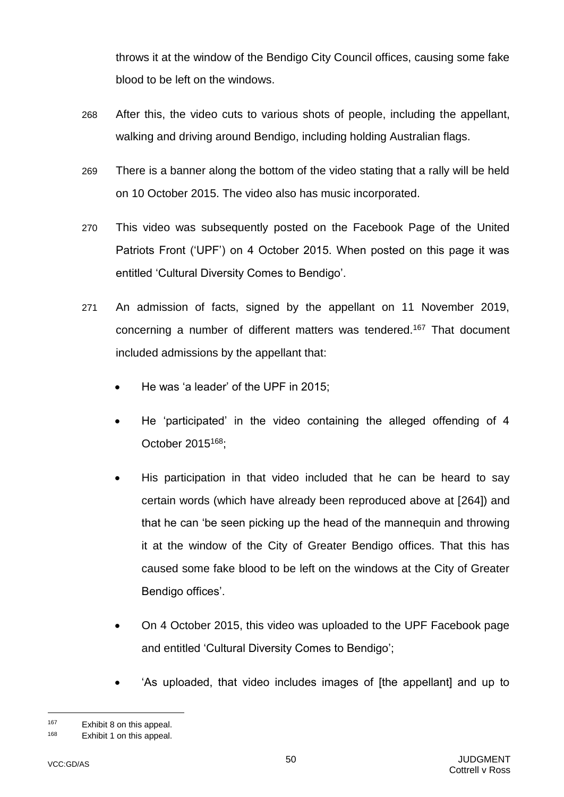throws it at the window of the Bendigo City Council offices, causing some fake blood to be left on the windows.

- 268 After this, the video cuts to various shots of people, including the appellant, walking and driving around Bendigo, including holding Australian flags.
- 269 There is a banner along the bottom of the video stating that a rally will be held on 10 October 2015. The video also has music incorporated.
- 270 This video was subsequently posted on the Facebook Page of the United Patriots Front ('UPF') on 4 October 2015. When posted on this page it was entitled 'Cultural Diversity Comes to Bendigo'.
- 271 An admission of facts, signed by the appellant on 11 November 2019, concerning a number of different matters was tendered.<sup>167</sup> That document included admissions by the appellant that:
	- He was 'a leader' of the UPF in 2015;
	- He 'participated' in the video containing the alleged offending of 4 October 2015<sup>168</sup>;
	- His participation in that video included that he can be heard to say certain words (which have already been reproduced above at [\[264\]](#page-51-0)) and that he can 'be seen picking up the head of the mannequin and throwing it at the window of the City of Greater Bendigo offices. That this has caused some fake blood to be left on the windows at the City of Greater Bendigo offices'.
	- On 4 October 2015, this video was uploaded to the UPF Facebook page and entitled 'Cultural Diversity Comes to Bendigo';
	- 'As uploaded, that video includes images of [the appellant] and up to

<sup>167</sup> Exhibit 8 on this appeal.

<sup>168</sup> Exhibit 1 on this appeal.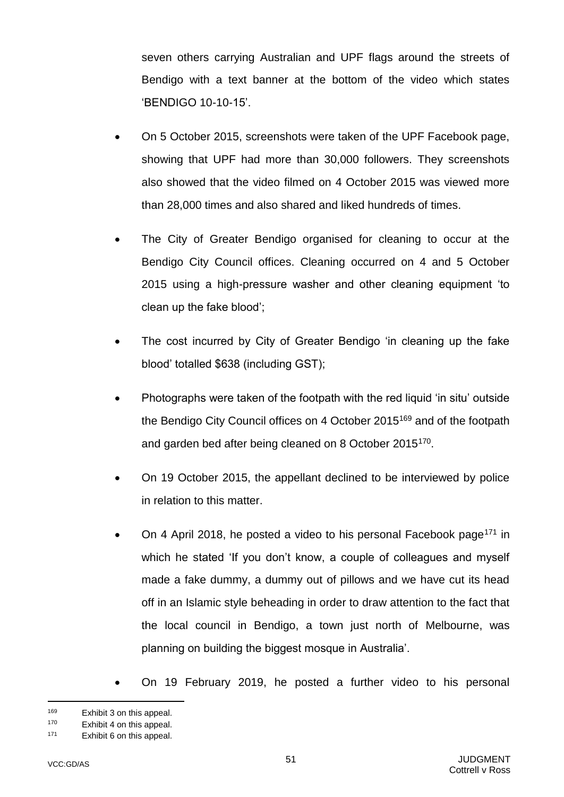seven others carrying Australian and UPF flags around the streets of Bendigo with a text banner at the bottom of the video which states 'BENDIGO 10-10-15'.

- On 5 October 2015, screenshots were taken of the UPF Facebook page, showing that UPF had more than 30,000 followers. They screenshots also showed that the video filmed on 4 October 2015 was viewed more than 28,000 times and also shared and liked hundreds of times.
- The City of Greater Bendigo organised for cleaning to occur at the Bendigo City Council offices. Cleaning occurred on 4 and 5 October 2015 using a high-pressure washer and other cleaning equipment 'to clean up the fake blood';
- The cost incurred by City of Greater Bendigo 'in cleaning up the fake blood' totalled \$638 (including GST);
- Photographs were taken of the footpath with the red liquid 'in situ' outside the Bendigo City Council offices on 4 October 2015<sup>169</sup> and of the footpath and garden bed after being cleaned on 8 October 2015<sup>170</sup>.
- On 19 October 2015, the appellant declined to be interviewed by police in relation to this matter.
- On 4 April 2018, he posted a video to his personal Facebook page<sup>171</sup> in which he stated 'If you don't know, a couple of colleagues and myself made a fake dummy, a dummy out of pillows and we have cut its head off in an Islamic style beheading in order to draw attention to the fact that the local council in Bendigo, a town just north of Melbourne, was planning on building the biggest mosque in Australia'.
	- On 19 February 2019, he posted a further video to his personal

<sup>169</sup> Exhibit 3 on this appeal.

<sup>170</sup> Exhibit 4 on this appeal.

<sup>171</sup> Exhibit 6 on this appeal.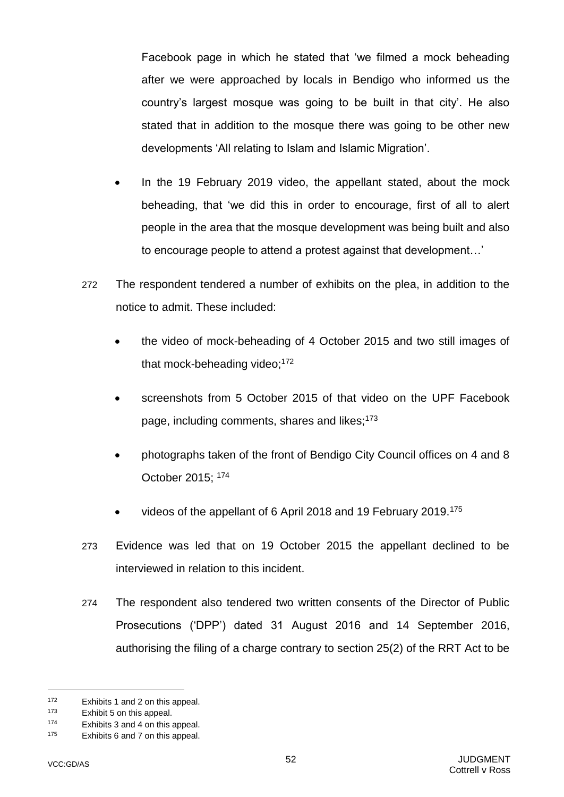Facebook page in which he stated that 'we filmed a mock beheading after we were approached by locals in Bendigo who informed us the country's largest mosque was going to be built in that city'. He also stated that in addition to the mosque there was going to be other new developments 'All relating to Islam and Islamic Migration'.

- In the 19 February 2019 video, the appellant stated, about the mock beheading, that 'we did this in order to encourage, first of all to alert people in the area that the mosque development was being built and also to encourage people to attend a protest against that development…'
- 272 The respondent tendered a number of exhibits on the plea, in addition to the notice to admit. These included:
	- the video of mock-beheading of 4 October 2015 and two still images of that mock-beheading video:<sup>172</sup>
	- screenshots from 5 October 2015 of that video on the UPF Facebook page, including comments, shares and likes;<sup>173</sup>
	- photographs taken of the front of Bendigo City Council offices on 4 and 8 October 2015; <sup>174</sup>
	- videos of the appellant of 6 April 2018 and 19 February 2019.<sup>175</sup>
- 273 Evidence was led that on 19 October 2015 the appellant declined to be interviewed in relation to this incident.
- 274 The respondent also tendered two written consents of the Director of Public Prosecutions ('DPP') dated 31 August 2016 and 14 September 2016, authorising the filing of a charge contrary to section 25(2) of the RRT Act to be

<sup>172</sup> Exhibits 1 and 2 on this appeal.

<sup>173</sup> Exhibit 5 on this appeal.

<sup>174</sup> Exhibits 3 and 4 on this appeal.

<sup>175</sup> Exhibits 6 and 7 on this appeal.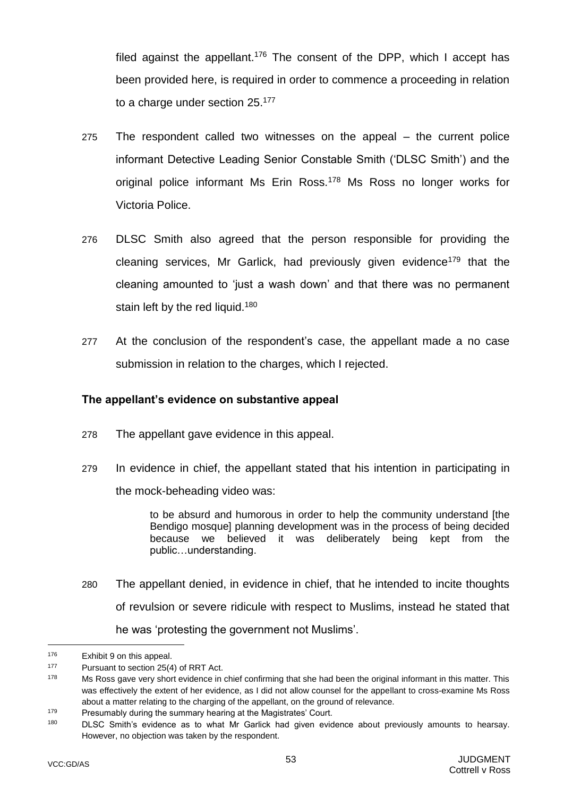filed against the appellant.<sup>176</sup> The consent of the DPP, which I accept has been provided here, is required in order to commence a proceeding in relation to a charge under section 25.<sup>177</sup>

- 275 The respondent called two witnesses on the appeal the current police informant Detective Leading Senior Constable Smith ('DLSC Smith') and the original police informant Ms Erin Ross.<sup>178</sup> Ms Ross no longer works for Victoria Police.
- 276 DLSC Smith also agreed that the person responsible for providing the cleaning services, Mr Garlick, had previously given evidence<sup>179</sup> that the cleaning amounted to 'just a wash down' and that there was no permanent stain left by the red liquid.<sup>180</sup>
- 277 At the conclusion of the respondent's case, the appellant made a no case submission in relation to the charges, which I rejected.

#### **The appellant's evidence on substantive appeal**

- 278 The appellant gave evidence in this appeal.
- 279 In evidence in chief, the appellant stated that his intention in participating in the mock-beheading video was:

to be absurd and humorous in order to help the community understand [the Bendigo mosque] planning development was in the process of being decided because we believed it was deliberately being kept from the public…understanding.

280 The appellant denied, in evidence in chief, that he intended to incite thoughts of revulsion or severe ridicule with respect to Muslims, instead he stated that he was 'protesting the government not Muslims'.

<sup>176</sup> Exhibit 9 on this appeal.

<sup>177</sup> Pursuant to section 25(4) of RRT Act.

 $178$  Ms Ross gave very short evidence in chief confirming that she had been the original informant in this matter. This was effectively the extent of her evidence, as I did not allow counsel for the appellant to cross-examine Ms Ross about a matter relating to the charging of the appellant, on the ground of relevance.

<sup>179</sup> Presumably during the summary hearing at the Magistrates' Court.

<sup>&</sup>lt;sup>180</sup> DLSC Smith's evidence as to what Mr Garlick had given evidence about previously amounts to hearsay. However, no objection was taken by the respondent.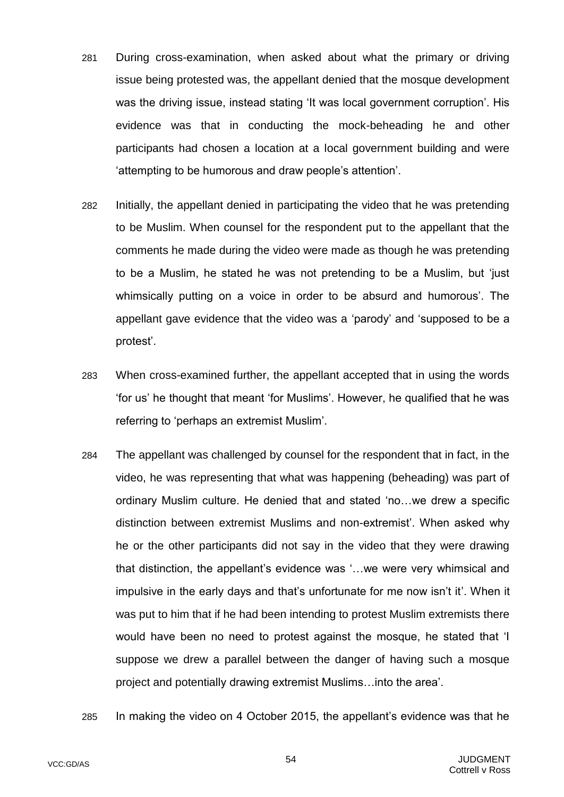- 281 During cross-examination, when asked about what the primary or driving issue being protested was, the appellant denied that the mosque development was the driving issue, instead stating 'It was local government corruption'. His evidence was that in conducting the mock-beheading he and other participants had chosen a location at a local government building and were 'attempting to be humorous and draw people's attention'.
- 282 Initially, the appellant denied in participating the video that he was pretending to be Muslim. When counsel for the respondent put to the appellant that the comments he made during the video were made as though he was pretending to be a Muslim, he stated he was not pretending to be a Muslim, but 'just whimsically putting on a voice in order to be absurd and humorous'. The appellant gave evidence that the video was a 'parody' and 'supposed to be a protest'.
- 283 When cross-examined further, the appellant accepted that in using the words 'for us' he thought that meant 'for Muslims'. However, he qualified that he was referring to 'perhaps an extremist Muslim'.
- 284 The appellant was challenged by counsel for the respondent that in fact, in the video, he was representing that what was happening (beheading) was part of ordinary Muslim culture. He denied that and stated 'no…we drew a specific distinction between extremist Muslims and non-extremist'. When asked why he or the other participants did not say in the video that they were drawing that distinction, the appellant's evidence was '…we were very whimsical and impulsive in the early days and that's unfortunate for me now isn't it'. When it was put to him that if he had been intending to protest Muslim extremists there would have been no need to protest against the mosque, he stated that 'I suppose we drew a parallel between the danger of having such a mosque project and potentially drawing extremist Muslims…into the area'.
- 285 In making the video on 4 October 2015, the appellant's evidence was that he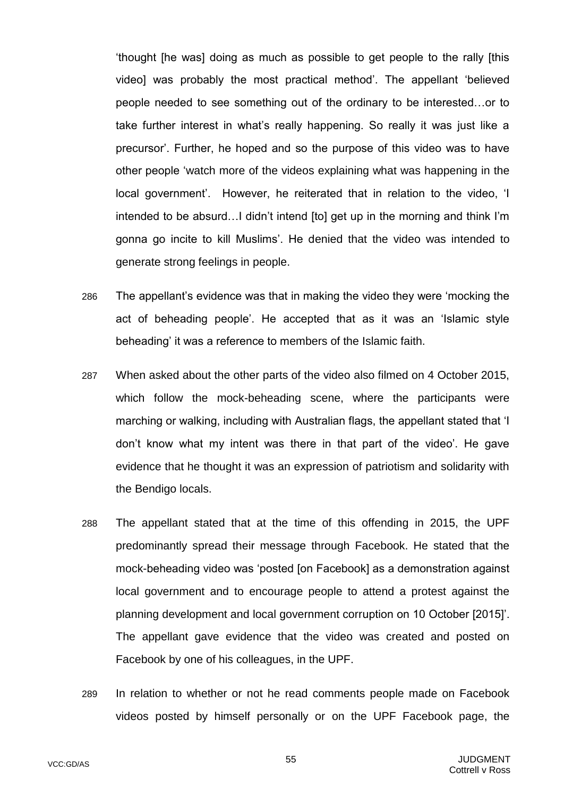'thought [he was] doing as much as possible to get people to the rally [this video] was probably the most practical method'. The appellant 'believed people needed to see something out of the ordinary to be interested…or to take further interest in what's really happening. So really it was just like a precursor'. Further, he hoped and so the purpose of this video was to have other people 'watch more of the videos explaining what was happening in the local government'. However, he reiterated that in relation to the video, 'I intended to be absurd…I didn't intend [to] get up in the morning and think I'm gonna go incite to kill Muslims'. He denied that the video was intended to generate strong feelings in people.

- 286 The appellant's evidence was that in making the video they were 'mocking the act of beheading people'. He accepted that as it was an 'Islamic style beheading' it was a reference to members of the Islamic faith.
- 287 When asked about the other parts of the video also filmed on 4 October 2015, which follow the mock-beheading scene, where the participants were marching or walking, including with Australian flags, the appellant stated that 'I don't know what my intent was there in that part of the video'. He gave evidence that he thought it was an expression of patriotism and solidarity with the Bendigo locals.
- 288 The appellant stated that at the time of this offending in 2015, the UPF predominantly spread their message through Facebook. He stated that the mock-beheading video was 'posted [on Facebook] as a demonstration against local government and to encourage people to attend a protest against the planning development and local government corruption on 10 October [2015]'. The appellant gave evidence that the video was created and posted on Facebook by one of his colleagues, in the UPF.
- 289 In relation to whether or not he read comments people made on Facebook videos posted by himself personally or on the UPF Facebook page, the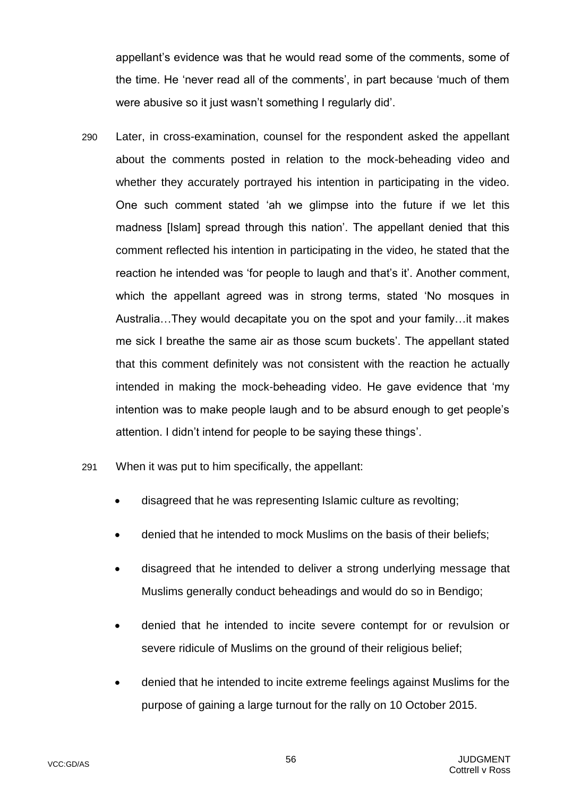appellant's evidence was that he would read some of the comments, some of the time. He 'never read all of the comments', in part because 'much of them were abusive so it just wasn't something I regularly did'.

- 290 Later, in cross-examination, counsel for the respondent asked the appellant about the comments posted in relation to the mock-beheading video and whether they accurately portrayed his intention in participating in the video. One such comment stated 'ah we glimpse into the future if we let this madness [Islam] spread through this nation'. The appellant denied that this comment reflected his intention in participating in the video, he stated that the reaction he intended was 'for people to laugh and that's it'. Another comment, which the appellant agreed was in strong terms, stated 'No mosques in Australia…They would decapitate you on the spot and your family…it makes me sick I breathe the same air as those scum buckets'. The appellant stated that this comment definitely was not consistent with the reaction he actually intended in making the mock-beheading video. He gave evidence that 'my intention was to make people laugh and to be absurd enough to get people's attention. I didn't intend for people to be saying these things'.
- 291 When it was put to him specifically, the appellant:
	- disagreed that he was representing Islamic culture as revolting;
	- denied that he intended to mock Muslims on the basis of their beliefs;
	- disagreed that he intended to deliver a strong underlying message that Muslims generally conduct beheadings and would do so in Bendigo;
	- denied that he intended to incite severe contempt for or revulsion or severe ridicule of Muslims on the ground of their religious belief;
	- denied that he intended to incite extreme feelings against Muslims for the purpose of gaining a large turnout for the rally on 10 October 2015.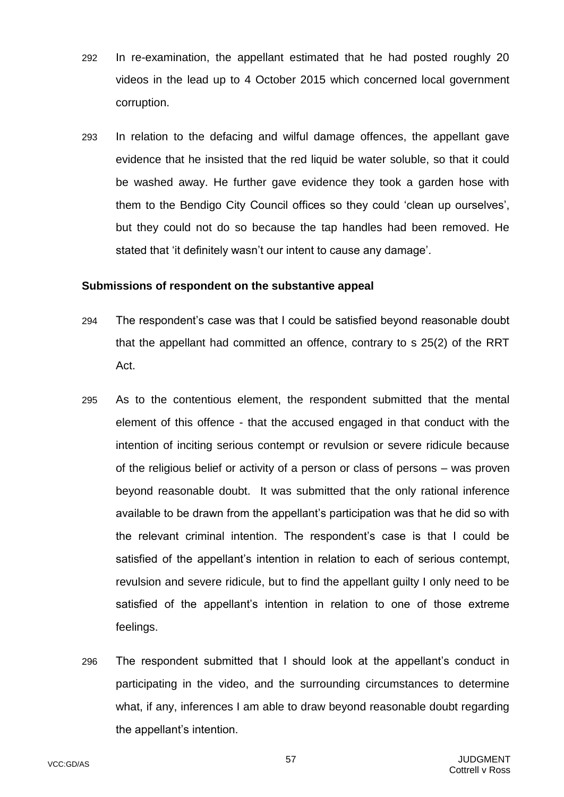- 292 In re-examination, the appellant estimated that he had posted roughly 20 videos in the lead up to 4 October 2015 which concerned local government corruption.
- 293 In relation to the defacing and wilful damage offences, the appellant gave evidence that he insisted that the red liquid be water soluble, so that it could be washed away. He further gave evidence they took a garden hose with them to the Bendigo City Council offices so they could 'clean up ourselves', but they could not do so because the tap handles had been removed. He stated that 'it definitely wasn't our intent to cause any damage'.

#### **Submissions of respondent on the substantive appeal**

- 294 The respondent's case was that I could be satisfied beyond reasonable doubt that the appellant had committed an offence, contrary to s 25(2) of the RRT Act.
- 295 As to the contentious element, the respondent submitted that the mental element of this offence - that the accused engaged in that conduct with the intention of inciting serious contempt or revulsion or severe ridicule because of the religious belief or activity of a person or class of persons – was proven beyond reasonable doubt. It was submitted that the only rational inference available to be drawn from the appellant's participation was that he did so with the relevant criminal intention. The respondent's case is that I could be satisfied of the appellant's intention in relation to each of serious contempt, revulsion and severe ridicule, but to find the appellant guilty I only need to be satisfied of the appellant's intention in relation to one of those extreme feelings.
- 296 The respondent submitted that I should look at the appellant's conduct in participating in the video, and the surrounding circumstances to determine what, if any, inferences I am able to draw beyond reasonable doubt regarding the appellant's intention.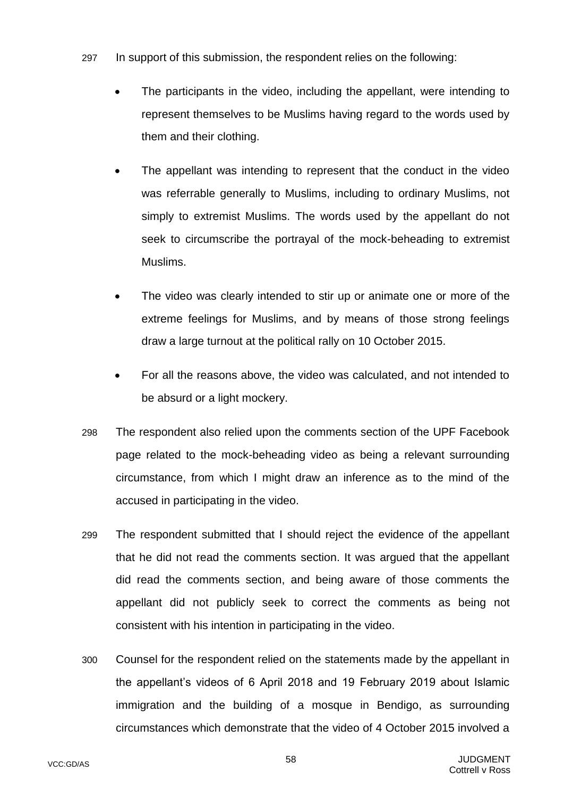- 297 In support of this submission, the respondent relies on the following:
	- The participants in the video, including the appellant, were intending to represent themselves to be Muslims having regard to the words used by them and their clothing.
	- The appellant was intending to represent that the conduct in the video was referrable generally to Muslims, including to ordinary Muslims, not simply to extremist Muslims. The words used by the appellant do not seek to circumscribe the portrayal of the mock-beheading to extremist Muslims.
	- The video was clearly intended to stir up or animate one or more of the extreme feelings for Muslims, and by means of those strong feelings draw a large turnout at the political rally on 10 October 2015.
	- For all the reasons above, the video was calculated, and not intended to be absurd or a light mockery.
- 298 The respondent also relied upon the comments section of the UPF Facebook page related to the mock-beheading video as being a relevant surrounding circumstance, from which I might draw an inference as to the mind of the accused in participating in the video.
- 299 The respondent submitted that I should reject the evidence of the appellant that he did not read the comments section. It was argued that the appellant did read the comments section, and being aware of those comments the appellant did not publicly seek to correct the comments as being not consistent with his intention in participating in the video.
- 300 Counsel for the respondent relied on the statements made by the appellant in the appellant's videos of 6 April 2018 and 19 February 2019 about Islamic immigration and the building of a mosque in Bendigo, as surrounding circumstances which demonstrate that the video of 4 October 2015 involved a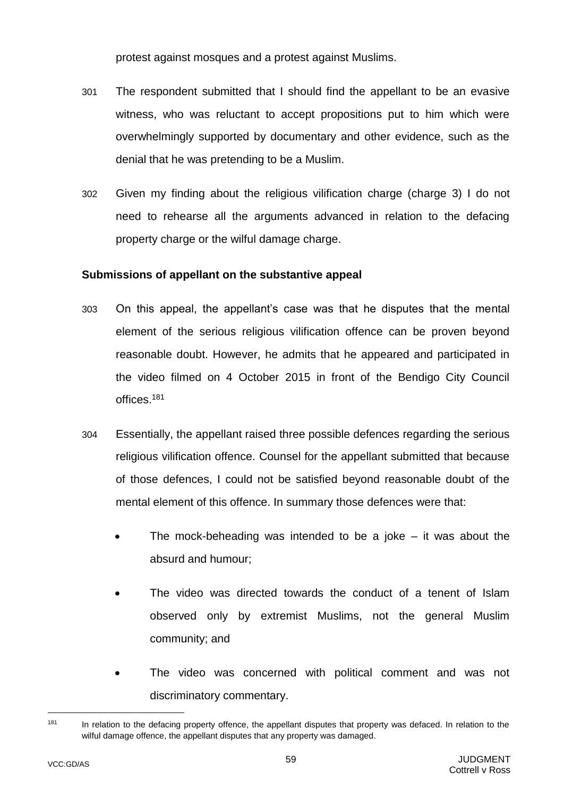protest against mosques and a protest against Muslims.

- 301 The respondent submitted that I should find the appellant to be an evasive witness, who was reluctant to accept propositions put to him which were overwhelmingly supported by documentary and other evidence, such as the denial that he was pretending to be a Muslim.
- 302 Given my finding about the religious vilification charge (charge 3) I do not need to rehearse all the arguments advanced in relation to the defacing property charge or the wilful damage charge.

#### **Submissions of appellant on the substantive appeal**

- 303 On this appeal, the appellant's case was that he disputes that the mental element of the serious religious vilification offence can be proven beyond reasonable doubt. However, he admits that he appeared and participated in the video filmed on 4 October 2015 in front of the Bendigo City Council offices.<sup>181</sup>
- 304 Essentially, the appellant raised three possible defences regarding the serious religious vilification offence. Counsel for the appellant submitted that because of those defences, I could not be satisfied beyond reasonable doubt of the mental element of this offence. In summary those defences were that:
	- The mock-beheading was intended to be a joke  $-$  it was about the absurd and humour;
	- The video was directed towards the conduct of a tenent of Islam observed only by extremist Muslims, not the general Muslim community; and
	- The video was concerned with political comment and was not discriminatory commentary.

<sup>181</sup> In relation to the defacing property offence, the appellant disputes that property was defaced. In relation to the wilful damage offence, the appellant disputes that any property was damaged.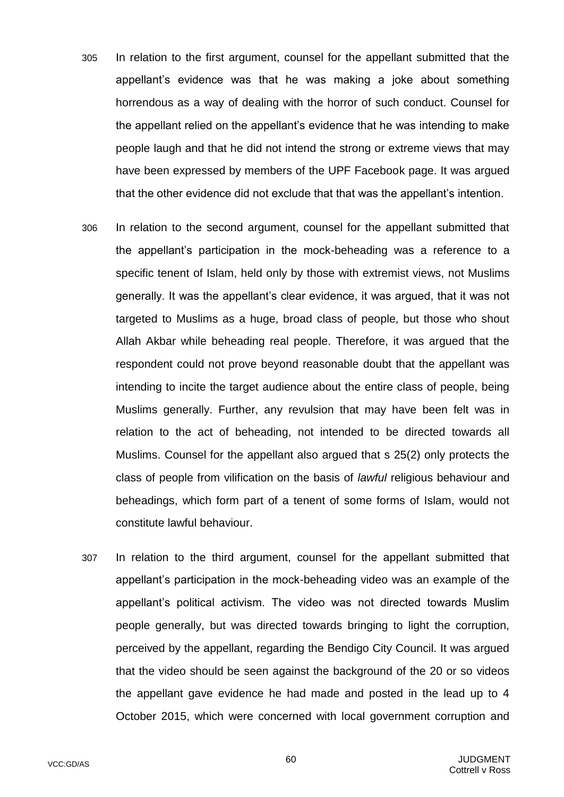- 305 In relation to the first argument, counsel for the appellant submitted that the appellant's evidence was that he was making a joke about something horrendous as a way of dealing with the horror of such conduct. Counsel for the appellant relied on the appellant's evidence that he was intending to make people laugh and that he did not intend the strong or extreme views that may have been expressed by members of the UPF Facebook page. It was argued that the other evidence did not exclude that that was the appellant's intention.
- 306 In relation to the second argument, counsel for the appellant submitted that the appellant's participation in the mock-beheading was a reference to a specific tenent of Islam, held only by those with extremist views, not Muslims generally. It was the appellant's clear evidence, it was argued, that it was not targeted to Muslims as a huge, broad class of people, but those who shout Allah Akbar while beheading real people. Therefore, it was argued that the respondent could not prove beyond reasonable doubt that the appellant was intending to incite the target audience about the entire class of people, being Muslims generally. Further, any revulsion that may have been felt was in relation to the act of beheading, not intended to be directed towards all Muslims. Counsel for the appellant also argued that s 25(2) only protects the class of people from vilification on the basis of *lawful* religious behaviour and beheadings, which form part of a tenent of some forms of Islam, would not constitute lawful behaviour.
- 307 In relation to the third argument, counsel for the appellant submitted that appellant's participation in the mock-beheading video was an example of the appellant's political activism. The video was not directed towards Muslim people generally, but was directed towards bringing to light the corruption, perceived by the appellant, regarding the Bendigo City Council. It was argued that the video should be seen against the background of the 20 or so videos the appellant gave evidence he had made and posted in the lead up to 4 October 2015, which were concerned with local government corruption and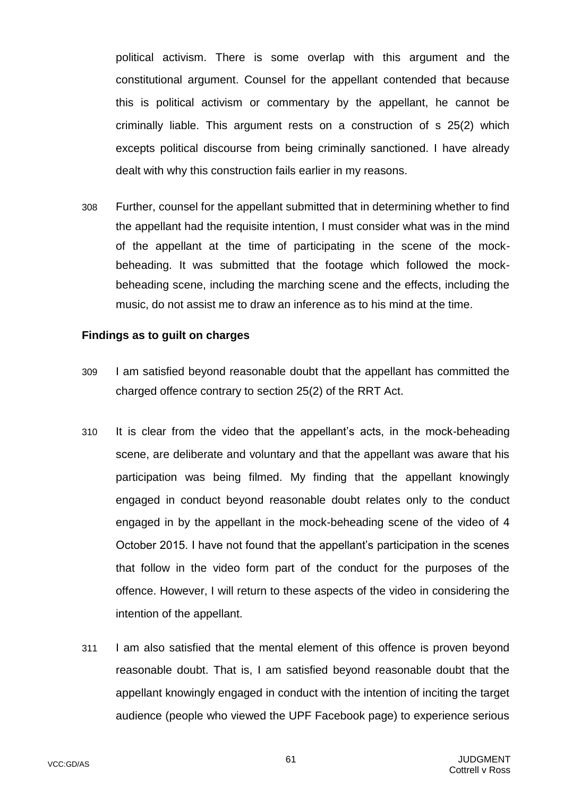political activism. There is some overlap with this argument and the constitutional argument. Counsel for the appellant contended that because this is political activism or commentary by the appellant, he cannot be criminally liable. This argument rests on a construction of s 25(2) which excepts political discourse from being criminally sanctioned. I have already dealt with why this construction fails earlier in my reasons.

308 Further, counsel for the appellant submitted that in determining whether to find the appellant had the requisite intention, I must consider what was in the mind of the appellant at the time of participating in the scene of the mockbeheading. It was submitted that the footage which followed the mockbeheading scene, including the marching scene and the effects, including the music, do not assist me to draw an inference as to his mind at the time.

#### **Findings as to guilt on charges**

- 309 I am satisfied beyond reasonable doubt that the appellant has committed the charged offence contrary to section 25(2) of the RRT Act.
- 310 It is clear from the video that the appellant's acts, in the mock-beheading scene, are deliberate and voluntary and that the appellant was aware that his participation was being filmed. My finding that the appellant knowingly engaged in conduct beyond reasonable doubt relates only to the conduct engaged in by the appellant in the mock-beheading scene of the video of 4 October 2015. I have not found that the appellant's participation in the scenes that follow in the video form part of the conduct for the purposes of the offence. However, I will return to these aspects of the video in considering the intention of the appellant.
- 311 I am also satisfied that the mental element of this offence is proven beyond reasonable doubt. That is, I am satisfied beyond reasonable doubt that the appellant knowingly engaged in conduct with the intention of inciting the target audience (people who viewed the UPF Facebook page) to experience serious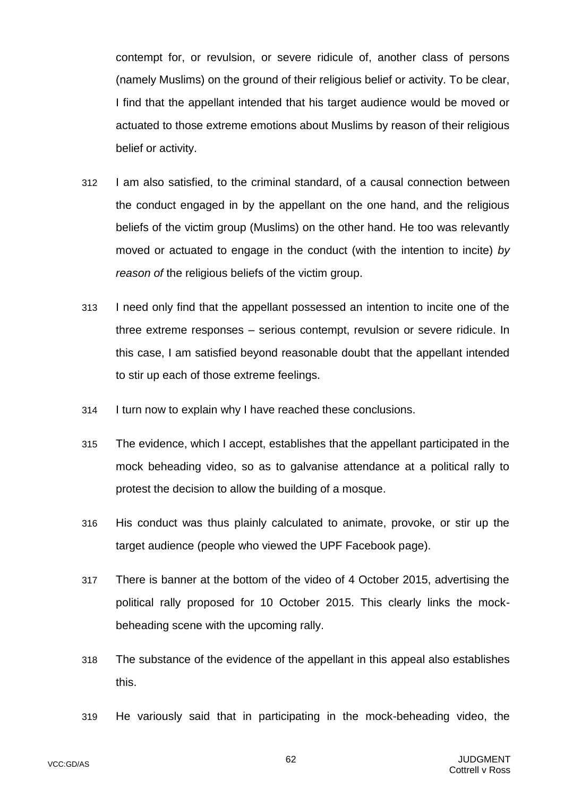contempt for, or revulsion, or severe ridicule of, another class of persons (namely Muslims) on the ground of their religious belief or activity. To be clear, I find that the appellant intended that his target audience would be moved or actuated to those extreme emotions about Muslims by reason of their religious belief or activity.

- 312 I am also satisfied, to the criminal standard, of a causal connection between the conduct engaged in by the appellant on the one hand, and the religious beliefs of the victim group (Muslims) on the other hand. He too was relevantly moved or actuated to engage in the conduct (with the intention to incite) *by reason of* the religious beliefs of the victim group.
- 313 I need only find that the appellant possessed an intention to incite one of the three extreme responses – serious contempt, revulsion or severe ridicule. In this case, I am satisfied beyond reasonable doubt that the appellant intended to stir up each of those extreme feelings.
- 314 I turn now to explain why I have reached these conclusions.
- 315 The evidence, which I accept, establishes that the appellant participated in the mock beheading video, so as to galvanise attendance at a political rally to protest the decision to allow the building of a mosque.
- 316 His conduct was thus plainly calculated to animate, provoke, or stir up the target audience (people who viewed the UPF Facebook page).
- 317 There is banner at the bottom of the video of 4 October 2015, advertising the political rally proposed for 10 October 2015. This clearly links the mockbeheading scene with the upcoming rally.
- 318 The substance of the evidence of the appellant in this appeal also establishes this.
- 319 He variously said that in participating in the mock-beheading video, the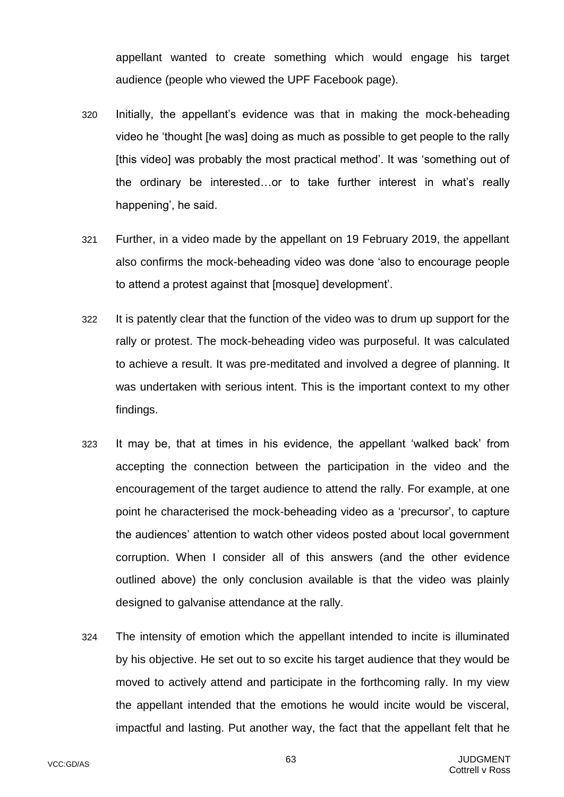appellant wanted to create something which would engage his target audience (people who viewed the UPF Facebook page).

- 320 Initially, the appellant's evidence was that in making the mock-beheading video he 'thought [he was] doing as much as possible to get people to the rally [this video] was probably the most practical method'. It was 'something out of the ordinary be interested…or to take further interest in what's really happening', he said.
- 321 Further, in a video made by the appellant on 19 February 2019, the appellant also confirms the mock-beheading video was done 'also to encourage people to attend a protest against that [mosque] development'.
- 322 It is patently clear that the function of the video was to drum up support for the rally or protest. The mock-beheading video was purposeful. It was calculated to achieve a result. It was pre-meditated and involved a degree of planning. It was undertaken with serious intent. This is the important context to my other findings.
- 323 It may be, that at times in his evidence, the appellant 'walked back' from accepting the connection between the participation in the video and the encouragement of the target audience to attend the rally. For example, at one point he characterised the mock-beheading video as a 'precursor', to capture the audiences' attention to watch other videos posted about local government corruption. When I consider all of this answers (and the other evidence outlined above) the only conclusion available is that the video was plainly designed to galvanise attendance at the rally.
- 324 The intensity of emotion which the appellant intended to incite is illuminated by his objective. He set out to so excite his target audience that they would be moved to actively attend and participate in the forthcoming rally. In my view the appellant intended that the emotions he would incite would be visceral, impactful and lasting. Put another way, the fact that the appellant felt that he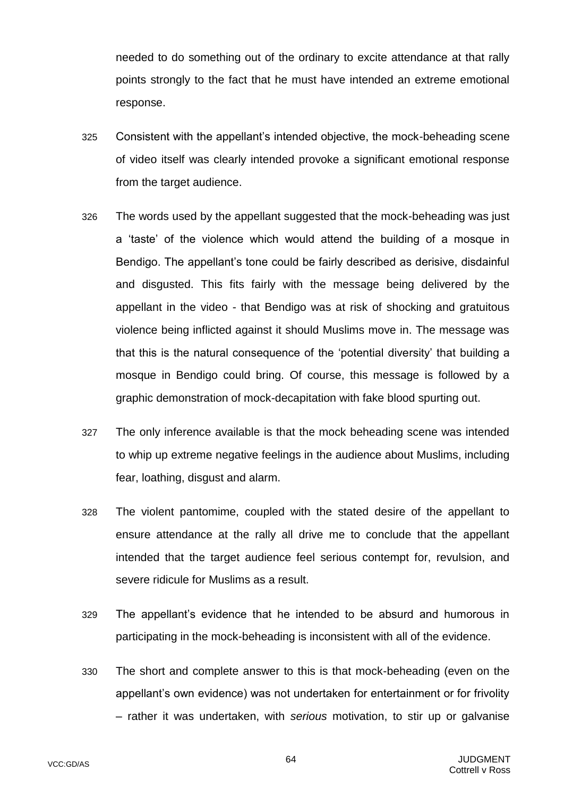needed to do something out of the ordinary to excite attendance at that rally points strongly to the fact that he must have intended an extreme emotional response.

- 325 Consistent with the appellant's intended objective, the mock-beheading scene of video itself was clearly intended provoke a significant emotional response from the target audience.
- 326 The words used by the appellant suggested that the mock-beheading was just a 'taste' of the violence which would attend the building of a mosque in Bendigo. The appellant's tone could be fairly described as derisive, disdainful and disgusted. This fits fairly with the message being delivered by the appellant in the video - that Bendigo was at risk of shocking and gratuitous violence being inflicted against it should Muslims move in. The message was that this is the natural consequence of the 'potential diversity' that building a mosque in Bendigo could bring. Of course, this message is followed by a graphic demonstration of mock-decapitation with fake blood spurting out.
- 327 The only inference available is that the mock beheading scene was intended to whip up extreme negative feelings in the audience about Muslims, including fear, loathing, disgust and alarm.
- 328 The violent pantomime, coupled with the stated desire of the appellant to ensure attendance at the rally all drive me to conclude that the appellant intended that the target audience feel serious contempt for, revulsion, and severe ridicule for Muslims as a result.
- 329 The appellant's evidence that he intended to be absurd and humorous in participating in the mock-beheading is inconsistent with all of the evidence.
- 330 The short and complete answer to this is that mock-beheading (even on the appellant's own evidence) was not undertaken for entertainment or for frivolity – rather it was undertaken, with *serious* motivation, to stir up or galvanise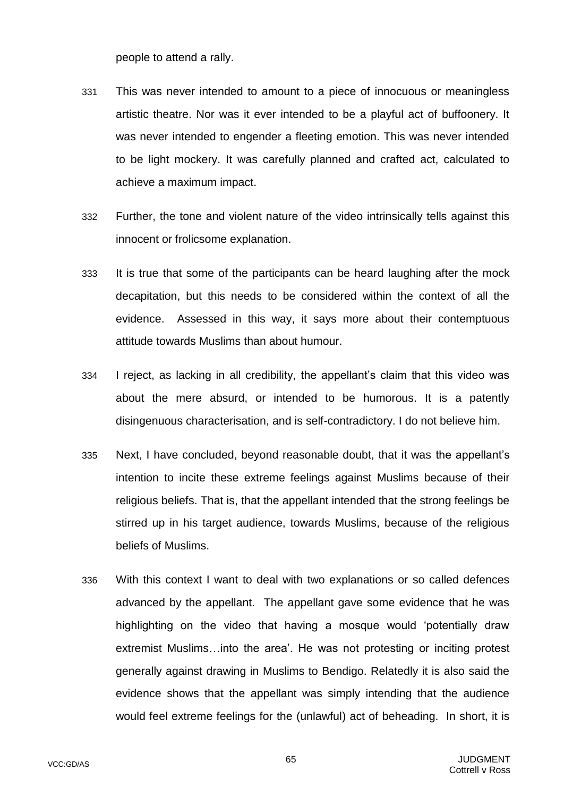people to attend a rally.

- 331 This was never intended to amount to a piece of innocuous or meaningless artistic theatre. Nor was it ever intended to be a playful act of buffoonery. It was never intended to engender a fleeting emotion. This was never intended to be light mockery. It was carefully planned and crafted act, calculated to achieve a maximum impact.
- 332 Further, the tone and violent nature of the video intrinsically tells against this innocent or frolicsome explanation.
- 333 It is true that some of the participants can be heard laughing after the mock decapitation, but this needs to be considered within the context of all the evidence. Assessed in this way, it says more about their contemptuous attitude towards Muslims than about humour.
- 334 I reject, as lacking in all credibility, the appellant's claim that this video was about the mere absurd, or intended to be humorous. It is a patently disingenuous characterisation, and is self-contradictory. I do not believe him.
- 335 Next, I have concluded, beyond reasonable doubt, that it was the appellant's intention to incite these extreme feelings against Muslims because of their religious beliefs. That is, that the appellant intended that the strong feelings be stirred up in his target audience, towards Muslims, because of the religious beliefs of Muslims.
- 336 With this context I want to deal with two explanations or so called defences advanced by the appellant. The appellant gave some evidence that he was highlighting on the video that having a mosque would 'potentially draw extremist Muslims…into the area'. He was not protesting or inciting protest generally against drawing in Muslims to Bendigo. Relatedly it is also said the evidence shows that the appellant was simply intending that the audience would feel extreme feelings for the (unlawful) act of beheading. In short, it is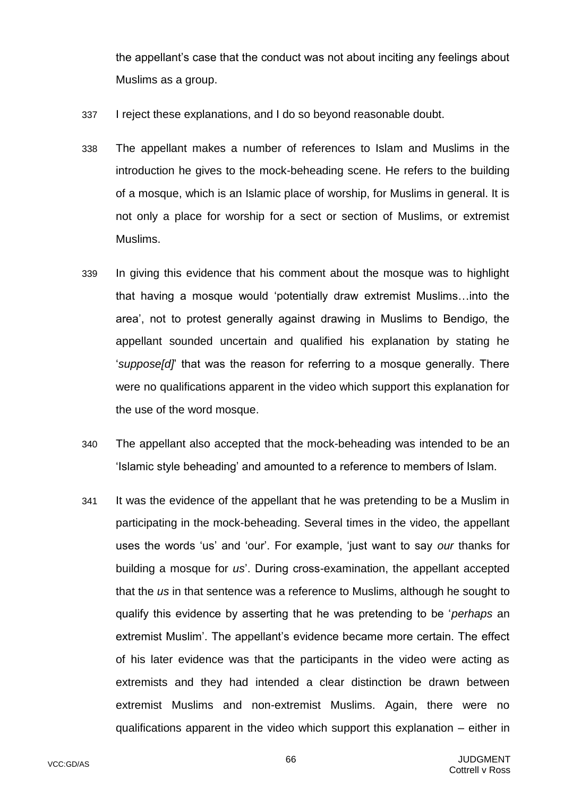the appellant's case that the conduct was not about inciting any feelings about Muslims as a group.

- 337 I reject these explanations, and I do so beyond reasonable doubt.
- 338 The appellant makes a number of references to Islam and Muslims in the introduction he gives to the mock-beheading scene. He refers to the building of a mosque, which is an Islamic place of worship, for Muslims in general. It is not only a place for worship for a sect or section of Muslims, or extremist Muslims.
- 339 In giving this evidence that his comment about the mosque was to highlight that having a mosque would 'potentially draw extremist Muslims…into the area', not to protest generally against drawing in Muslims to Bendigo, the appellant sounded uncertain and qualified his explanation by stating he '*suppose[d]*' that was the reason for referring to a mosque generally. There were no qualifications apparent in the video which support this explanation for the use of the word mosque.
- 340 The appellant also accepted that the mock-beheading was intended to be an 'Islamic style beheading' and amounted to a reference to members of Islam.
- 341 It was the evidence of the appellant that he was pretending to be a Muslim in participating in the mock-beheading. Several times in the video, the appellant uses the words 'us' and 'our'. For example, 'just want to say *our* thanks for building a mosque for *us*'. During cross-examination, the appellant accepted that the *us* in that sentence was a reference to Muslims, although he sought to qualify this evidence by asserting that he was pretending to be '*perhaps* an extremist Muslim'. The appellant's evidence became more certain. The effect of his later evidence was that the participants in the video were acting as extremists and they had intended a clear distinction be drawn between extremist Muslims and non-extremist Muslims. Again, there were no qualifications apparent in the video which support this explanation – either in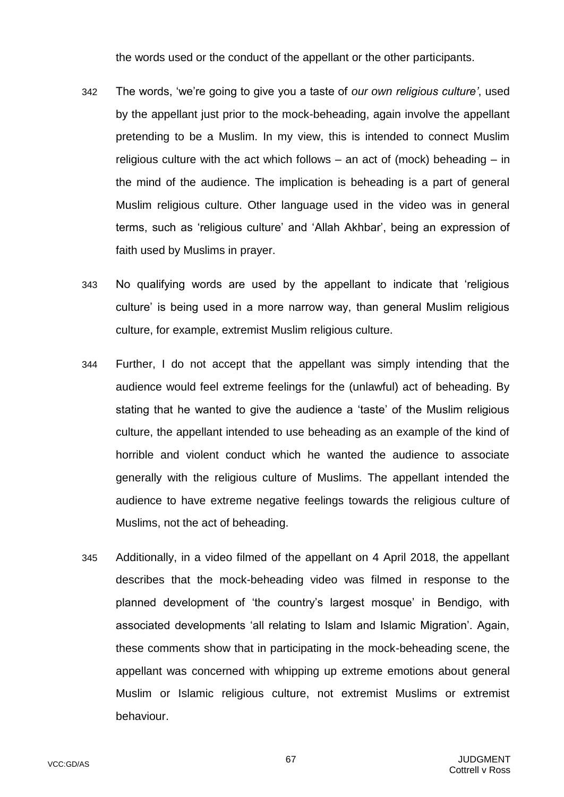the words used or the conduct of the appellant or the other participants.

- 342 The words, 'we're going to give you a taste of *our own religious culture'*, used by the appellant just prior to the mock-beheading, again involve the appellant pretending to be a Muslim. In my view, this is intended to connect Muslim religious culture with the act which follows – an act of (mock) beheading – in the mind of the audience. The implication is beheading is a part of general Muslim religious culture. Other language used in the video was in general terms, such as 'religious culture' and 'Allah Akhbar', being an expression of faith used by Muslims in prayer.
- 343 No qualifying words are used by the appellant to indicate that 'religious culture' is being used in a more narrow way, than general Muslim religious culture, for example, extremist Muslim religious culture.
- 344 Further, I do not accept that the appellant was simply intending that the audience would feel extreme feelings for the (unlawful) act of beheading. By stating that he wanted to give the audience a 'taste' of the Muslim religious culture, the appellant intended to use beheading as an example of the kind of horrible and violent conduct which he wanted the audience to associate generally with the religious culture of Muslims. The appellant intended the audience to have extreme negative feelings towards the religious culture of Muslims, not the act of beheading.
- 345 Additionally, in a video filmed of the appellant on 4 April 2018, the appellant describes that the mock-beheading video was filmed in response to the planned development of 'the country's largest mosque' in Bendigo, with associated developments 'all relating to Islam and Islamic Migration'. Again, these comments show that in participating in the mock-beheading scene, the appellant was concerned with whipping up extreme emotions about general Muslim or Islamic religious culture, not extremist Muslims or extremist behaviour.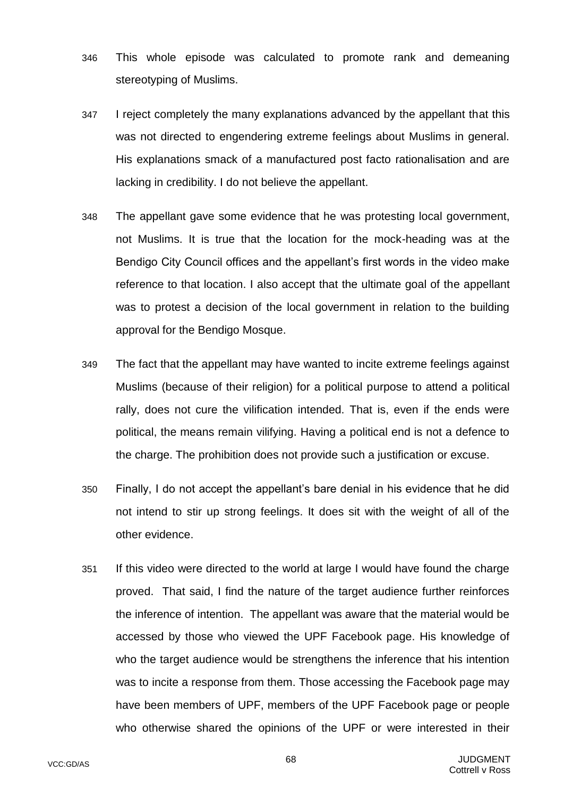- 346 This whole episode was calculated to promote rank and demeaning stereotyping of Muslims.
- 347 I reject completely the many explanations advanced by the appellant that this was not directed to engendering extreme feelings about Muslims in general. His explanations smack of a manufactured post facto rationalisation and are lacking in credibility. I do not believe the appellant.
- 348 The appellant gave some evidence that he was protesting local government, not Muslims. It is true that the location for the mock-heading was at the Bendigo City Council offices and the appellant's first words in the video make reference to that location. I also accept that the ultimate goal of the appellant was to protest a decision of the local government in relation to the building approval for the Bendigo Mosque.
- 349 The fact that the appellant may have wanted to incite extreme feelings against Muslims (because of their religion) for a political purpose to attend a political rally, does not cure the vilification intended. That is, even if the ends were political, the means remain vilifying. Having a political end is not a defence to the charge. The prohibition does not provide such a justification or excuse.
- 350 Finally, I do not accept the appellant's bare denial in his evidence that he did not intend to stir up strong feelings. It does sit with the weight of all of the other evidence.
- 351 If this video were directed to the world at large I would have found the charge proved. That said, I find the nature of the target audience further reinforces the inference of intention. The appellant was aware that the material would be accessed by those who viewed the UPF Facebook page. His knowledge of who the target audience would be strengthens the inference that his intention was to incite a response from them. Those accessing the Facebook page may have been members of UPF, members of the UPF Facebook page or people who otherwise shared the opinions of the UPF or were interested in their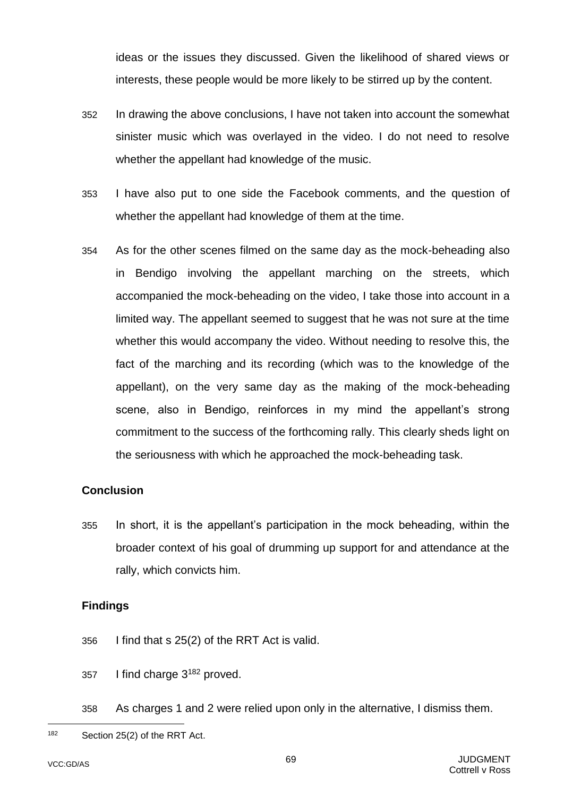ideas or the issues they discussed. Given the likelihood of shared views or interests, these people would be more likely to be stirred up by the content.

- 352 In drawing the above conclusions, I have not taken into account the somewhat sinister music which was overlayed in the video. I do not need to resolve whether the appellant had knowledge of the music.
- 353 I have also put to one side the Facebook comments, and the question of whether the appellant had knowledge of them at the time.
- 354 As for the other scenes filmed on the same day as the mock-beheading also in Bendigo involving the appellant marching on the streets, which accompanied the mock-beheading on the video, I take those into account in a limited way. The appellant seemed to suggest that he was not sure at the time whether this would accompany the video. Without needing to resolve this, the fact of the marching and its recording (which was to the knowledge of the appellant), on the very same day as the making of the mock-beheading scene, also in Bendigo, reinforces in my mind the appellant's strong commitment to the success of the forthcoming rally. This clearly sheds light on the seriousness with which he approached the mock-beheading task.

#### **Conclusion**

355 In short, it is the appellant's participation in the mock beheading, within the broader context of his goal of drumming up support for and attendance at the rally, which convicts him.

#### **Findings**

- 356 I find that s 25(2) of the RRT Act is valid.
- 357 I find charge 3<sup>182</sup> proved.
- 358 As charges 1 and 2 were relied upon only in the alternative, I dismiss them.

<sup>182</sup> Section 25(2) of the RRT Act.